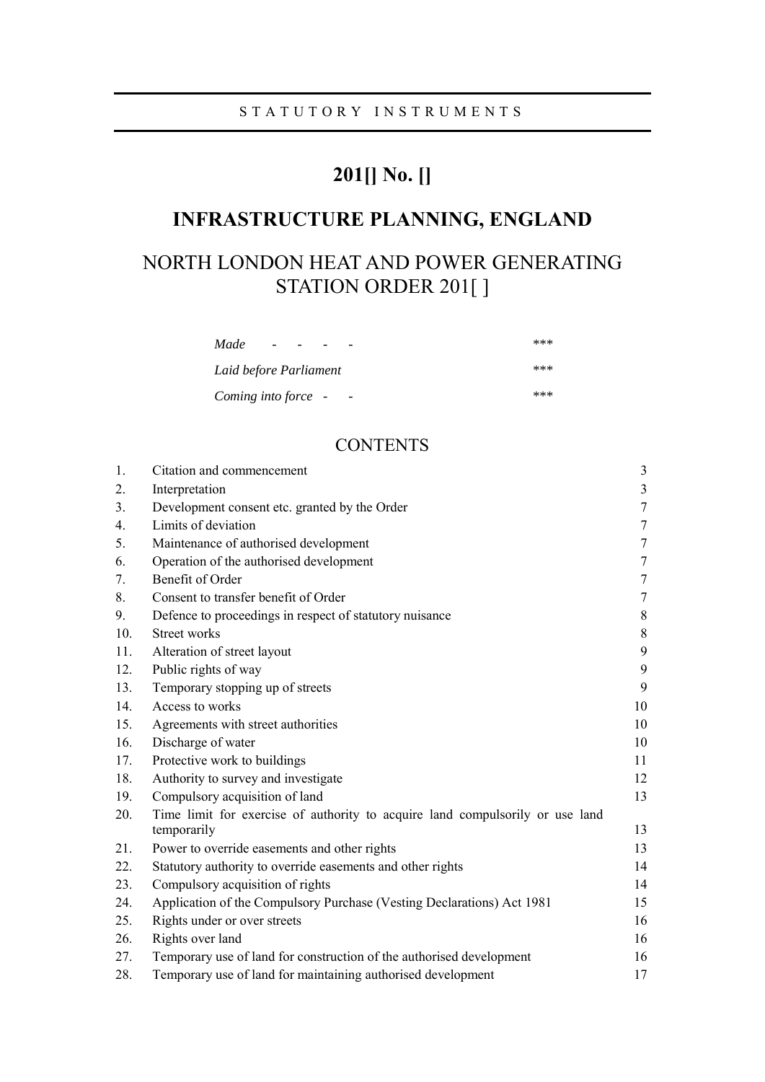# **201[] No. []**

# **INFRASTRUCTURE PLANNING, ENGLAND**

# NORTH LONDON HEAT AND POWER GENERATING STATION ORDER 201[]

| Made<br>$\overline{\phantom{a}}$ | *** |
|----------------------------------|-----|
| Laid before Parliament           | *** |
| Coming into force -              | *** |

# **CONTENTS**

| 1.  | Citation and commencement                                                                    | 3                |
|-----|----------------------------------------------------------------------------------------------|------------------|
| 2.  | Interpretation                                                                               | $\mathfrak{Z}$   |
| 3.  | Development consent etc. granted by the Order                                                | $\boldsymbol{7}$ |
| 4.  | Limits of deviation                                                                          | $\tau$           |
| 5.  | Maintenance of authorised development                                                        | 7                |
| 6.  | Operation of the authorised development                                                      | $\boldsymbol{7}$ |
| 7.  | Benefit of Order                                                                             | $\tau$           |
| 8.  | Consent to transfer benefit of Order                                                         | 7                |
| 9.  | Defence to proceedings in respect of statutory nuisance                                      | $8\,$            |
| 10. | <b>Street works</b>                                                                          | $8\,$            |
| 11. | Alteration of street layout                                                                  | 9                |
| 12. | Public rights of way                                                                         | 9                |
| 13. | Temporary stopping up of streets                                                             | 9                |
| 14. | Access to works                                                                              | 10               |
| 15. | Agreements with street authorities                                                           | 10               |
| 16. | Discharge of water                                                                           | 10               |
| 17. | Protective work to buildings                                                                 | 11               |
| 18. | Authority to survey and investigate                                                          | 12               |
| 19. | Compulsory acquisition of land                                                               | 13               |
| 20. | Time limit for exercise of authority to acquire land compulsorily or use land<br>temporarily | 13               |
| 21. | Power to override easements and other rights                                                 | 13               |
| 22. | Statutory authority to override easements and other rights                                   | 14               |
| 23. | Compulsory acquisition of rights                                                             | 14               |
| 24. | Application of the Compulsory Purchase (Vesting Declarations) Act 1981                       | 15               |
| 25. | Rights under or over streets                                                                 | 16               |
| 26. | Rights over land                                                                             | 16               |
| 27. | Temporary use of land for construction of the authorised development                         | 16               |
| 28. | Temporary use of land for maintaining authorised development                                 | 17               |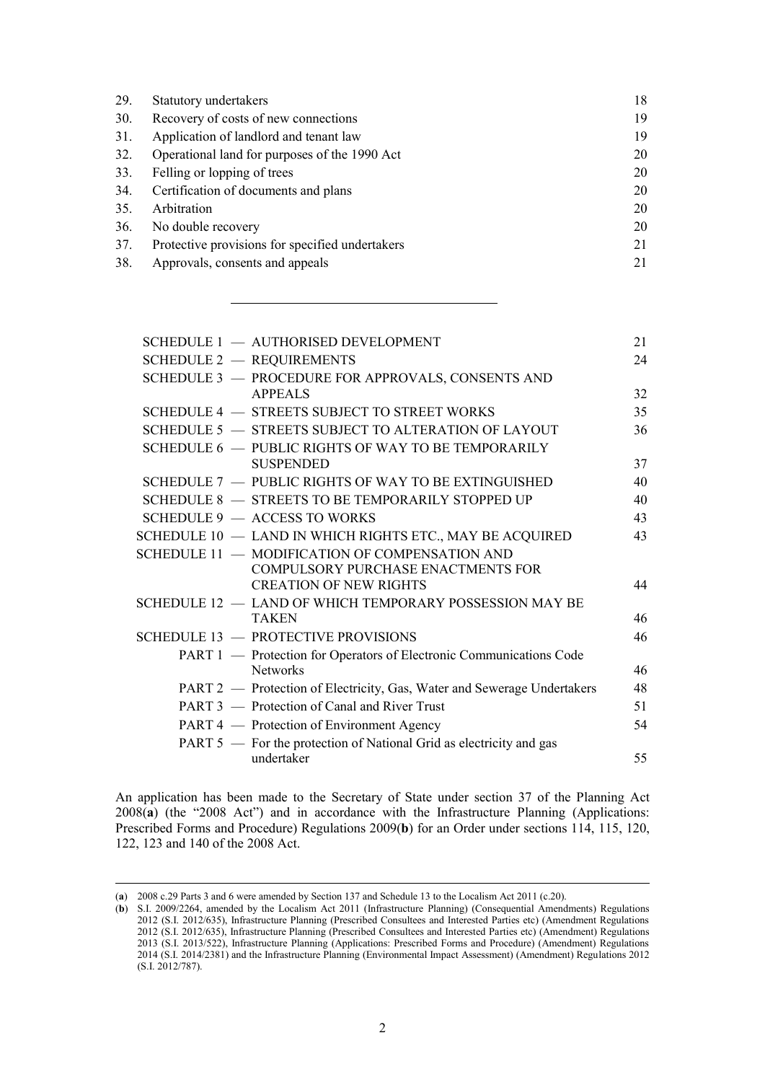| Statutory undertakers                           | 18 |
|-------------------------------------------------|----|
| Recovery of costs of new connections            | 19 |
| Application of landlord and tenant law          | 19 |
| Operational land for purposes of the 1990 Act   | 20 |
| Felling or lopping of trees                     | 20 |
| Certification of documents and plans            | 20 |
| Arbitration                                     | 20 |
| No double recovery                              | 20 |
| Protective provisions for specified undertakers | 21 |
| Approvals, consents and appeals                 | 21 |
|                                                 |    |

| 21 |
|----|
| 24 |
|    |
| 32 |
| 35 |
| 36 |
|    |
| 37 |
| 40 |
| 40 |
| 43 |
| 43 |
|    |
|    |
| 44 |
|    |
| 46 |
| 46 |
|    |
| 46 |
| 48 |
| 51 |
| 54 |
|    |
| 55 |
|    |

An application has been made to the Secretary of State under section 37 of the Planning Act 2008(**a**) (the "2008 Act") and in accordance with the Infrastructure Planning (Applications: Prescribed Forms and Procedure) Regulations 2009(**b**) for an Order under sections 114, 115, 120, 122, 123 and 140 of the 2008 Act.

 $\overline{a}$ 

<sup>(</sup>**a**) 2008 c.29 Parts 3 and 6 were amended by Section 137 and Schedule 13 to the Localism Act 2011 (c.20).

<sup>(</sup>**b**) S.I. 2009/2264, amended by the Localism Act 2011 (Infrastructure Planning) (Consequential Amendments) Regulations 2012 (S.I. 2012/635), Infrastructure Planning (Prescribed Consultees and Interested Parties etc) (Amendment Regulations 2012 (S.I. 2012/635), Infrastructure Planning (Prescribed Consultees and Interested Parties etc) (Amendment) Regulations 2013 (S.I. 2013/522), Infrastructure Planning (Applications: Prescribed Forms and Procedure) (Amendment) Regulations 2014 (S.I. 2014/2381) and the Infrastructure Planning (Environmental Impact Assessment) (Amendment) Regulations 2012 (S.I. 2012/787).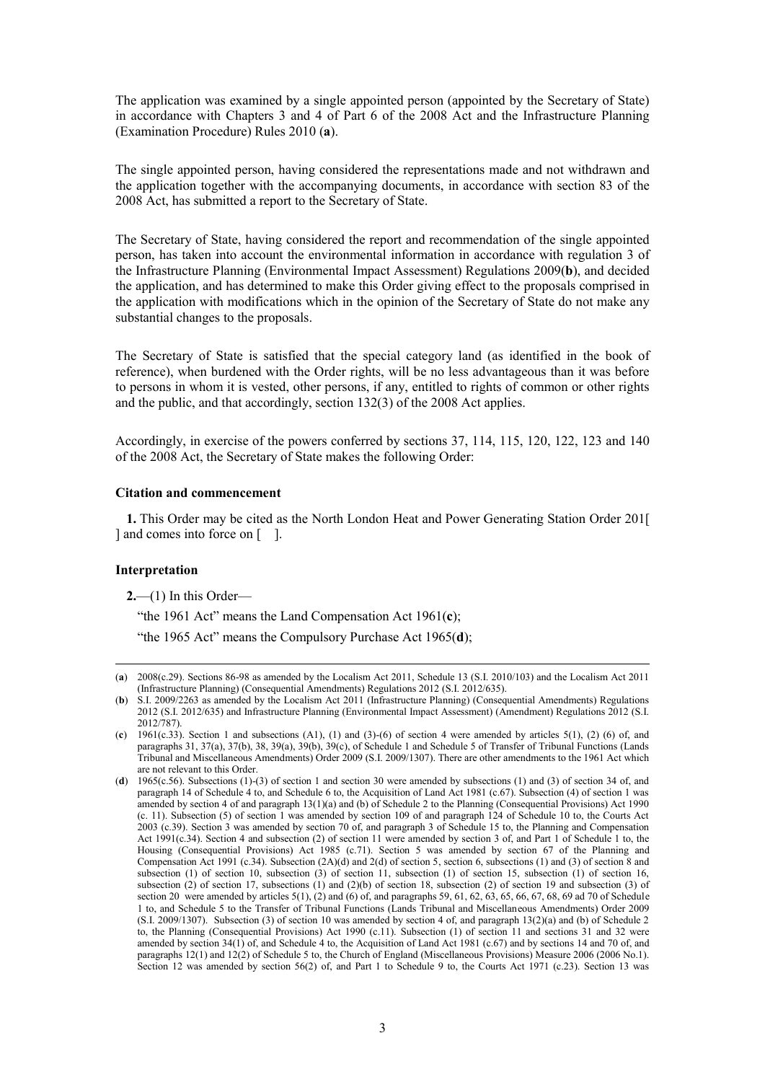The application was examined by a single appointed person (appointed by the Secretary of State) in accordance with Chapters 3 and 4 of Part 6 of the 2008 Act and the Infrastructure Planning (Examination Procedure) Rules 2010 (**a**).

The single appointed person, having considered the representations made and not withdrawn and the application together with the accompanying documents, in accordance with section 83 of the 2008 Act, has submitted a report to the Secretary of State.

The Secretary of State, having considered the report and recommendation of the single appointed person, has taken into account the environmental information in accordance with regulation 3 of the Infrastructure Planning (Environmental Impact Assessment) Regulations 2009(**b**), and decided the application, and has determined to make this Order giving effect to the proposals comprised in the application with modifications which in the opinion of the Secretary of State do not make any substantial changes to the proposals.

The Secretary of State is satisfied that the special category land (as identified in the book of reference), when burdened with the Order rights, will be no less advantageous than it was before to persons in whom it is vested, other persons, if any, entitled to rights of common or other rights and the public, and that accordingly, section 132(3) of the 2008 Act applies.

Accordingly, in exercise of the powers conferred by sections 37, 114, 115, 120, 122, 123 and 140 of the 2008 Act, the Secretary of State makes the following Order:

#### <span id="page-2-0"></span>**Citation and commencement**

**1.** This Order may be cited as the North London Heat and Power Generating Station Order 201[ ] and comes into force on [ ].

#### <span id="page-2-1"></span>**Interpretation**

 $\overline{a}$ 

**2.**—(1) In this Order—

"the 1961 Act" means the Land Compensation Act 1961(**c**);

"the 1965 Act" means the Compulsory Purchase Act 1965(**d**);

<sup>(</sup>**a**) 2008(c.29). Sections 86-98 as amended by the Localism Act 2011, Schedule 13 (S.I. 2010/103) and the Localism Act 2011 (Infrastructure Planning) (Consequential Amendments) Regulations 2012 (S.I. 2012/635).

<sup>(</sup>**b**) S.I. 2009/2263 as amended by the Localism Act 2011 (Infrastructure Planning) (Consequential Amendments) Regulations 2012 (S.I. 2012/635) and Infrastructure Planning (Environmental Impact Assessment) (Amendment) Regulations 2012 (S.I. 2012/787).

<sup>(</sup>**c**) 1961(c.33). Section 1 and subsections (A1), (1) and (3)-(6) of section 4 were amended by articles 5(1), (2) (6) of, and paragraphs 31, 37(a), 37(b), 38, 39(a), 39(b), 39(c), of Schedule 1 and Schedule 5 of Transfer of Tribunal Functions (Lands Tribunal and Miscellaneous Amendments) Order 2009 (S.I. 2009/1307). There are other amendments to the 1961 Act which are not relevant to this Order.

<sup>(</sup>**d**) 1965(c.56). Subsections (1)-(3) of section 1 and section 30 were amended by subsections (1) and (3) of section 34 of, and paragraph 14 of Schedule 4 to, and Schedule 6 to, the Acquisition of Land Act 1981 (c.67). Subsection (4) of section 1 was amended by section 4 of and paragraph  $13(1)(a)$  and (b) of Schedule 2 to the Planning (Consequential Provisions) Act 1990 (c. 11). Subsection (5) of section 1 was amended by section 109 of and paragraph 124 of Schedule 10 to, the Courts Act 2003 (c.39). Section 3 was amended by section 70 of, and paragraph 3 of Schedule 15 to, the Planning and Compensation Act 1991(c.34). Section 4 and subsection (2) of section 11 were amended by section 3 of, and Part 1 of Schedule 1 to, the Housing (Consequential Provisions) Act 1985 (c.71). Section 5 was amended by section 67 of the Planning and Compensation Act 1991 (c.34). Subsection (2A)(d) and 2(d) of section 5, section 6, subsections (1) and (3) of section 8 and subsection (1) of section 10, subsection (3) of section 11, subsection (1) of section 15, subsection (1) of section 16, subsection  $(2)$  of section 17, subsections  $(1)$  and  $(2)(b)$  of section 18, subsection  $(2)$  of section 19 and subsection  $(3)$  of section 20 were amended by articles  $5(1)$ , (2) and (6) of, and paragraphs 59, 61, 62, 63, 65, 66, 67, 68, 69 ad 70 of Schedule 1 to, and Schedule 5 to the Transfer of Tribunal Functions (Lands Tribunal and Miscellaneous Amendments) Order 2009 (S.I. 2009/1307). Subsection (3) of section 10 was amended by section 4 of, and paragraph 13(2)(a) and (b) of Schedule 2 to, the Planning (Consequential Provisions) Act 1990 (c.11). Subsection (1) of section 11 and sections 31 and 32 were amended by section 34(1) of, and Schedule 4 to, the Acquisition of Land Act 1981 (c.67) and by sections 14 and 70 of, and paragraphs 12(1) and 12(2) of Schedule 5 to, the Church of England (Miscellaneous Provisions) Measure 2006 (2006 No.1). Section 12 was amended by section 56(2) of, and Part 1 to Schedule 9 to, the Courts Act 1971 (c.23). Section 13 was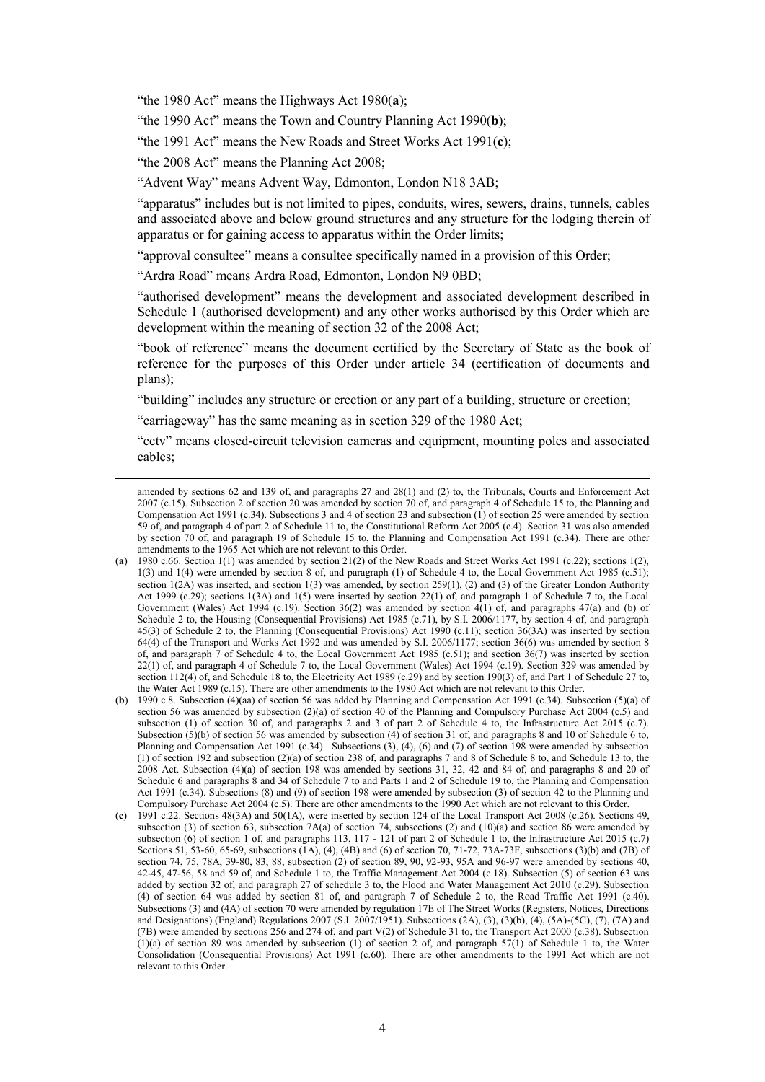"the 1980 Act" means the Highways Act 1980(**a**);

"the 1990 Act" means the Town and Country Planning Act 1990(**b**);

"the 1991 Act" means the New Roads and Street Works Act 1991(**c**);

"the 2008 Act" means the Planning Act 2008;

 $\overline{a}$ 

"Advent Way" means Advent Way, Edmonton, London N18 3AB;

"apparatus" includes but is not limited to pipes, conduits, wires, sewers, drains, tunnels, cables and associated above and below ground structures and any structure for the lodging therein of apparatus or for gaining access to apparatus within the Order limits;

"approval consultee" means a consultee specifically named in a provision of this Order;

"Ardra Road" means Ardra Road, Edmonton, London N9 0BD;

"authorised development" means the development and associated development described in Schedule 1 (authorised development) and any other works authorised by this Order which are development within the meaning of section 32 of the 2008 Act;

"book of reference" means the document certified by the Secretary of State as the book of reference for the purposes of this Order under article 34 (certification of documents and plans);

"building" includes any structure or erection or any part of a building, structure or erection;

"carriageway" has the same meaning as in section 329 of the 1980 Act;

"cctv" means closed-circuit television cameras and equipment, mounting poles and associated cables;

amended by sections 62 and 139 of, and paragraphs 27 and 28(1) and (2) to, the Tribunals, Courts and Enforcement Act 2007 (c.15). Subsection 2 of section 20 was amended by section 70 of, and paragraph 4 of Schedule 15 to, the Planning and Compensation Act 1991 (c.34). Subsections 3 and 4 of section 23 and subsection (1) of section 25 were amended by section 59 of, and paragraph 4 of part 2 of Schedule 11 to, the Constitutional Reform Act 2005 (c.4). Section 31 was also amended by section 70 of, and paragraph 19 of Schedule 15 to, the Planning and Compensation Act 1991 (c.34). There are other amendments to the 1965 Act which are not relevant to this Order.

<sup>(</sup>**a**) 1980 c.66. Section 1(1) was amended by section 21(2) of the New Roads and Street Works Act 1991 (c.22); sections 1(2), 1(3) and 1(4) were amended by section 8 of, and paragraph (1) of Schedule 4 to, the Local Government Act 1985 (c.51); section  $1(2A)$  was inserted, and section 1(3) was amended, by section 259(1), (2) and (3) of the Greater London Authority Act 1999 (c.29); sections 1(3A) and 1(5) were inserted by section 22(1) of, and paragraph 1 of Schedule 7 to, the Local Government (Wales) Act 1994 (c.19). Section 36(2) was amended by section 4(1) of, and paragraphs 47(a) and (b) of Schedule 2 to, the Housing (Consequential Provisions) Act 1985 (c.71), by S.I. 2006/1177, by section 4 of, and paragraph 45(3) of Schedule 2 to, the Planning (Consequential Provisions) Act 1990 (c.11); section 36(3A) was inserted by section 64(4) of the Transport and Works Act 1992 and was amended by S.I. 2006/1177; section 36(6) was amended by section 8 of, and paragraph  $7$  of Schedule 4 to, the Local Government Act 1985 (c.51); and section  $36(7)$  was inserted by section 22(1) of, and paragraph 4 of Schedule 7 to, the Local Government (Wales) Act 1994 (c.19). Section 329 was amended by section 112(4) of, and Schedule 18 to, the Electricity Act 1989 (c.29) and by section 190(3) of, and Part 1 of Schedule 27 to, the Water Act 1989 (c.15). There are other amendments to the 1980 Act which are not relevant to this Order.

<sup>(</sup>**b**) 1990 c.8. Subsection (4)(aa) of section 56 was added by Planning and Compensation Act 1991 (c.34). Subsection (5)(a) of section 56 was amended by subsection (2)(a) of section 40 of the Planning and Compulsory Purchase Act 2004 (c.5) and subsection (1) of section 30 of, and paragraphs 2 and 3 of part 2 of Schedule 4 to, the Infrastructure Act 2015 (c.7). Subsection (5)(b) of section 56 was amended by subsection (4) of section 31 of, and paragraphs 8 and 10 of Schedule 6 to, Planning and Compensation Act 1991 (c.34). Subsections (3), (4), (6) and (7) of section 198 were amended by subsection (1) of section 192 and subsection (2)(a) of section 238 of, and paragraphs 7 and 8 of Schedule 8 to, and Schedule 13 to, the 2008 Act. Subsection (4)(a) of section 198 was amended by sections 31, 32, 42 and 84 of, and paragraphs 8 and 20 of Schedule 6 and paragraphs 8 and 34 of Schedule 7 to and Parts 1 and 2 of Schedule 19 to, the Planning and Compensation Act 1991 (c.34). Subsections (8) and (9) of section 198 were amended by subsection (3) of section 42 to the Planning and Compulsory Purchase Act 2004 (c.5). There are other amendments to the 1990 Act which are not relevant to this Order.

<sup>(</sup>**c**) 1991 c.22. Sections 48(3A) and 50(1A), were inserted by section 124 of the Local Transport Act 2008 (c.26). Sections 49, subsection (3) of section 63, subsection 7A(a) of section 74, subsections (2) and (10)(a) and section 86 were amended by subsection (6) of section 1 of, and paragraphs 113, 117 - 121 of part 2 of Schedule 1 to, the Infrastructure Act 2015 (c.7) Sections 51, 53-60, 65-69, subsections  $(1A)$ ,  $(4)$ ,  $(4B)$  and  $(6)$  of section 70, 71-72, 73A-73F, subsections (3)(b) and (7B) of section 74, 75, 78A, 39-80, 83, 88, subsection (2) of section 89, 90, 92-93, 95A and 96-97 were amended by sections 40, 42-45, 47-56, 58 and 59 of, and Schedule 1 to, the Traffic Management Act 2004 (c.18). Subsection (5) of section 63 was added by section 32 of, and paragraph 27 of schedule 3 to, the Flood and Water Management Act 2010 (c.29). Subsection (4) of section 64 was added by section 81 of, and paragraph 7 of Schedule 2 to, the Road Traffic Act 1991 (c.40). Subsections (3) and (4A) of section 70 were amended by regulation 17E of The Street Works (Registers, Notices, Directions and Designations) (England) Regulations 2007 (S.I. 2007/1951). Subsections (2A), (3), (3)(b), (4), (5A)-(5C), (7), (7A) and (7B) were amended by sections 256 and 274 of, and part V(2) of Schedule 31 to, the Transport Act 2000 (c.38). Subsection  $(1)(a)$  of section 89 was amended by subsection (1) of section 2 of, and paragraph 57(1) of Schedule 1 to, the Water Consolidation (Consequential Provisions) Act 1991 (c.60). There are other amendments to the 1991 Act which are not relevant to this Order.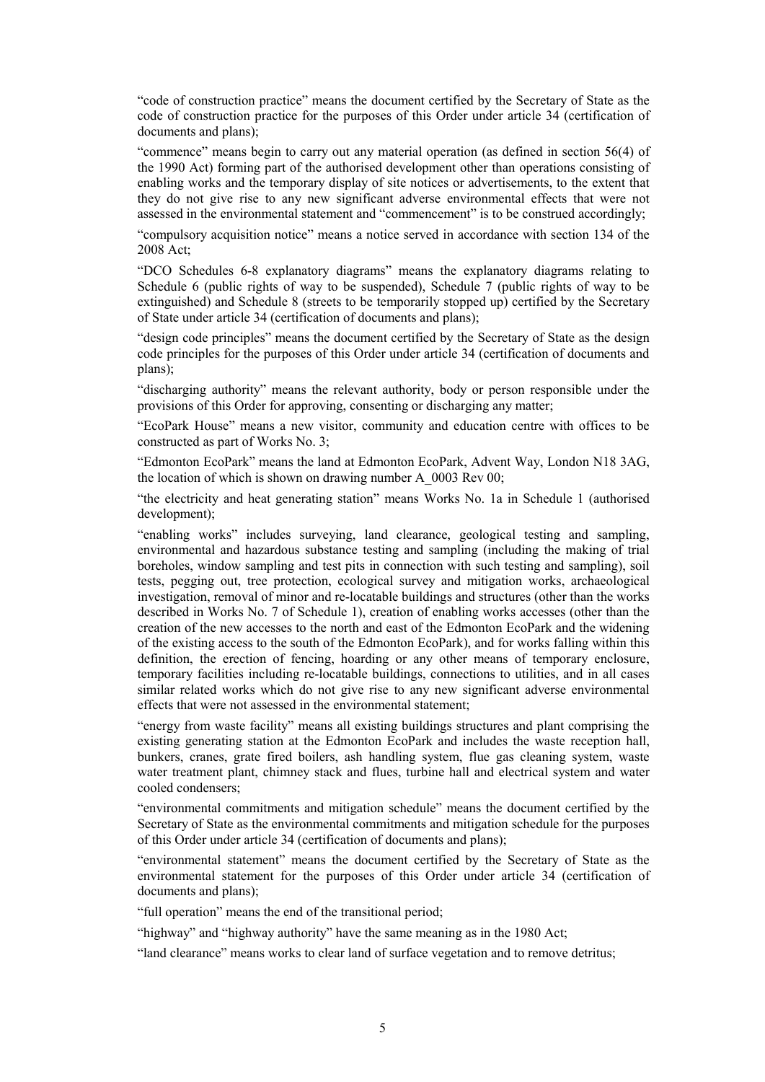"code of construction practice" means the document certified by the Secretary of State as the code of construction practice for the purposes of this Order under article 34 (certification of documents and plans);

"commence" means begin to carry out any material operation (as defined in section 56(4) of the 1990 Act) forming part of the authorised development other than operations consisting of enabling works and the temporary display of site notices or advertisements, to the extent that they do not give rise to any new significant adverse environmental effects that were not assessed in the environmental statement and "commencement" is to be construed accordingly;

"compulsory acquisition notice" means a notice served in accordance with section 134 of the 2008 Act;

"DCO Schedules 6-8 explanatory diagrams" means the explanatory diagrams relating to Schedule 6 (public rights of way to be suspended), Schedule 7 (public rights of way to be extinguished) and Schedule 8 (streets to be temporarily stopped up) certified by the Secretary of State under article 34 (certification of documents and plans);

"design code principles" means the document certified by the Secretary of State as the design code principles for the purposes of this Order under article 34 (certification of documents and plans);

"discharging authority" means the relevant authority, body or person responsible under the provisions of this Order for approving, consenting or discharging any matter;

"EcoPark House" means a new visitor, community and education centre with offices to be constructed as part of Works No. 3;

"Edmonton EcoPark" means the land at Edmonton EcoPark, Advent Way, London N18 3AG, the location of which is shown on drawing number A 0003 Rev 00;

"the electricity and heat generating station" means Works No. 1a in Schedule 1 (authorised development);

"enabling works" includes surveying, land clearance, geological testing and sampling, environmental and hazardous substance testing and sampling (including the making of trial boreholes, window sampling and test pits in connection with such testing and sampling), soil tests, pegging out, tree protection, ecological survey and mitigation works, archaeological investigation, removal of minor and re-locatable buildings and structures (other than the works described in Works No. 7 of Schedule 1), creation of enabling works accesses (other than the creation of the new accesses to the north and east of the Edmonton EcoPark and the widening of the existing access to the south of the Edmonton EcoPark), and for works falling within this definition, the erection of fencing, hoarding or any other means of temporary enclosure, temporary facilities including re-locatable buildings, connections to utilities, and in all cases similar related works which do not give rise to any new significant adverse environmental effects that were not assessed in the environmental statement;

"energy from waste facility" means all existing buildings structures and plant comprising the existing generating station at the Edmonton EcoPark and includes the waste reception hall, bunkers, cranes, grate fired boilers, ash handling system, flue gas cleaning system, waste water treatment plant, chimney stack and flues, turbine hall and electrical system and water cooled condensers;

"environmental commitments and mitigation schedule" means the document certified by the Secretary of State as the environmental commitments and mitigation schedule for the purposes of this Order under article 34 (certification of documents and plans);

"environmental statement" means the document certified by the Secretary of State as the environmental statement for the purposes of this Order under article 34 (certification of documents and plans);

"full operation" means the end of the transitional period;

"highway" and "highway authority" have the same meaning as in the 1980 Act;

"land clearance" means works to clear land of surface vegetation and to remove detritus;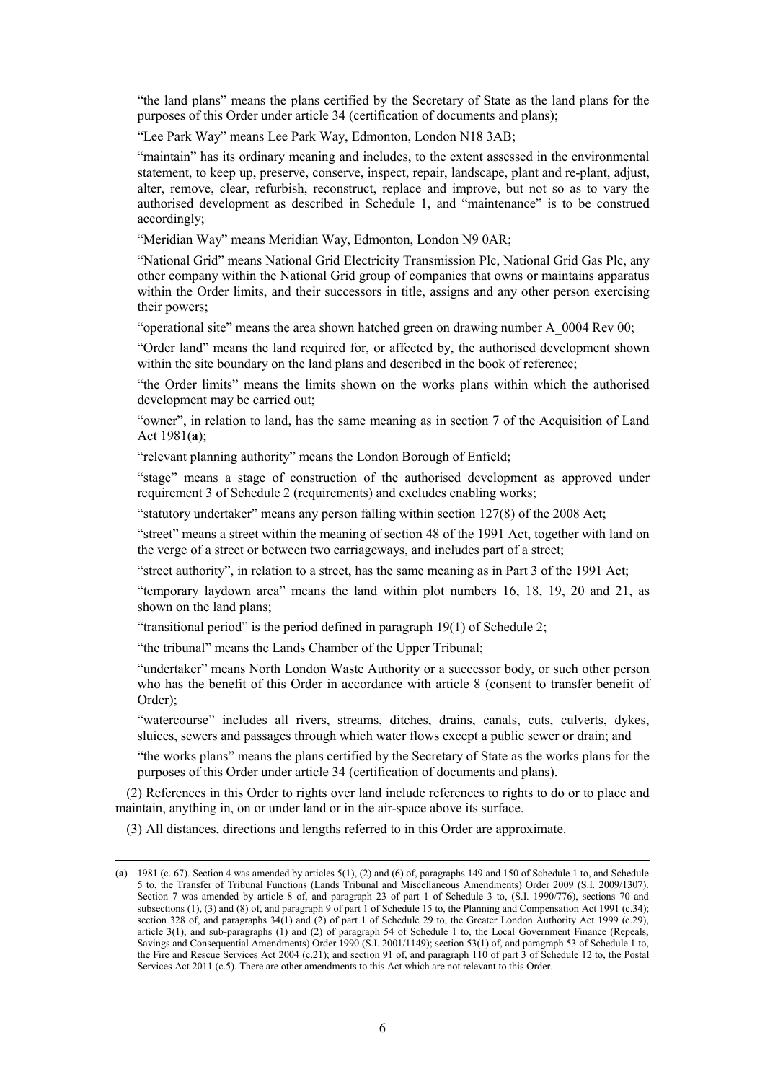"the land plans" means the plans certified by the Secretary of State as the land plans for the purposes of this Order under article 34 (certification of documents and plans);

"Lee Park Way" means Lee Park Way, Edmonton, London N18 3AB;

"maintain" has its ordinary meaning and includes, to the extent assessed in the environmental statement, to keep up, preserve, conserve, inspect, repair, landscape, plant and re-plant, adjust, alter, remove, clear, refurbish, reconstruct, replace and improve, but not so as to vary the authorised development as described in Schedule 1, and "maintenance" is to be construed accordingly;

"Meridian Way" means Meridian Way, Edmonton, London N9 0AR;

"National Grid" means National Grid Electricity Transmission Plc, National Grid Gas Plc, any other company within the National Grid group of companies that owns or maintains apparatus within the Order limits, and their successors in title, assigns and any other person exercising their powers;

"operational site" means the area shown hatched green on drawing number A\_0004 Rev 00;

"Order land" means the land required for, or affected by, the authorised development shown within the site boundary on the land plans and described in the book of reference;

"the Order limits" means the limits shown on the works plans within which the authorised development may be carried out;

"owner", in relation to land, has the same meaning as in section 7 of the Acquisition of Land Act 1981(**a**);

"relevant planning authority" means the London Borough of Enfield;

"stage" means a stage of construction of the authorised development as approved under requirement 3 of Schedule 2 (requirements) and excludes enabling works;

"statutory undertaker" means any person falling within section 127(8) of the 2008 Act;

"street" means a street within the meaning of section 48 of the 1991 Act, together with land on the verge of a street or between two carriageways, and includes part of a street;

"street authority", in relation to a street, has the same meaning as in Part 3 of the 1991 Act;

"temporary laydown area" means the land within plot numbers 16, 18, 19, 20 and 21, as shown on the land plans;

"transitional period" is the period defined in paragraph  $19(1)$  of Schedule 2;

"the tribunal" means the Lands Chamber of the Upper Tribunal;

"undertaker" means North London Waste Authority or a successor body, or such other person who has the benefit of this Order in accordance with article 8 (consent to transfer benefit of Order);

"watercourse" includes all rivers, streams, ditches, drains, canals, cuts, culverts, dykes, sluices, sewers and passages through which water flows except a public sewer or drain; and

"the works plans" means the plans certified by the Secretary of State as the works plans for the purposes of this Order under article 34 (certification of documents and plans).

(2) References in this Order to rights over land include references to rights to do or to place and maintain, anything in, on or under land or in the air-space above its surface.

(3) All distances, directions and lengths referred to in this Order are approximate.

 $\overline{a}$ 

<sup>(</sup>**a**) 1981 (c. 67). Section 4 was amended by articles 5(1), (2) and (6) of, paragraphs 149 and 150 of Schedule 1 to, and Schedule 5 to, the Transfer of Tribunal Functions (Lands Tribunal and Miscellaneous Amendments) Order 2009 (S.I. 2009/1307). Section 7 was amended by article 8 of, and paragraph 23 of part 1 of Schedule 3 to, (S.I. 1990/776), sections 70 and subsections (1), (3) and (8) of, and paragraph 9 of part 1 of Schedule 15 to, the Planning and Compensation Act 1991 (c.34); section 328 of, and paragraphs 34(1) and (2) of part 1 of Schedule 29 to, the Greater London Authority Act 1999 (c.29), article 3(1), and sub-paragraphs (1) and (2) of paragraph 54 of Schedule 1 to, the Local Government Finance (Repeals, Savings and Consequential Amendments) Order 1990 (S.I. 2001/1149); section 53(1) of, and paragraph 53 of Schedule 1 to, the Fire and Rescue Services Act 2004 (c.21); and section 91 of, and paragraph 110 of part 3 of Schedule 12 to, the Postal Services Act 2011 (c.5). There are other amendments to this Act which are not relevant to this Order.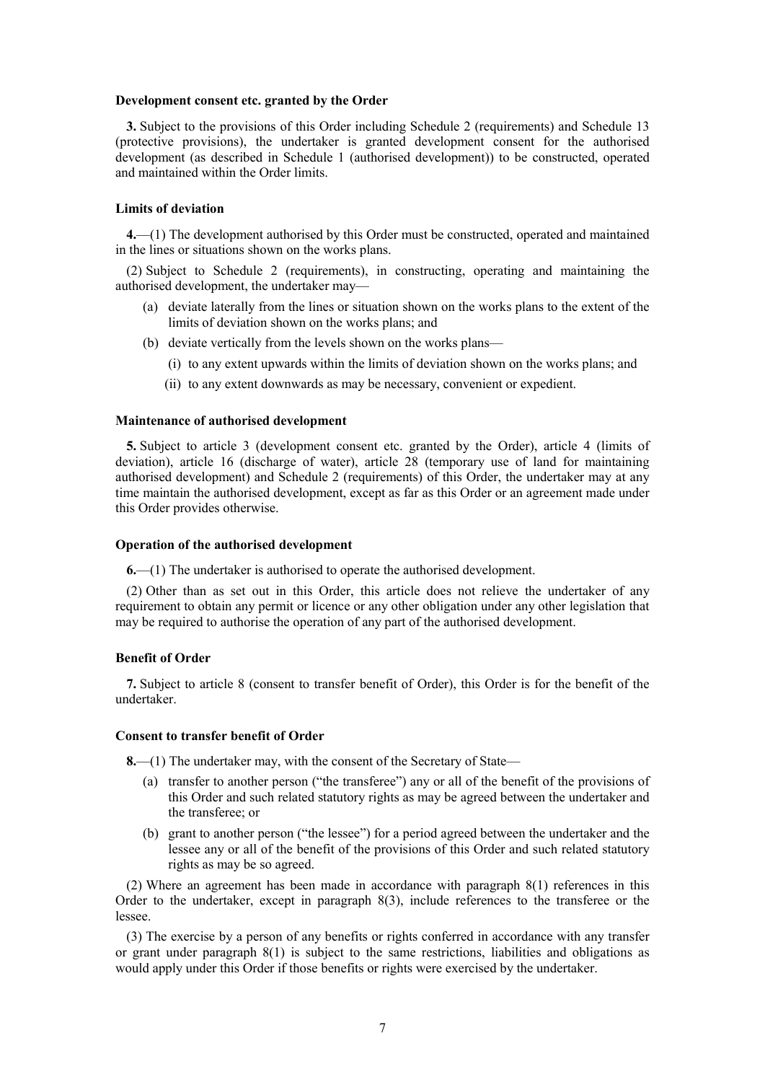#### <span id="page-6-0"></span>**Development consent etc. granted by the Order**

**3.** Subject to the provisions of this Order including Schedule 2 (requirements) and Schedule 13 (protective provisions), the undertaker is granted development consent for the authorised development (as described in Schedule 1 (authorised development)) to be constructed, operated and maintained within the Order limits.

#### <span id="page-6-1"></span>**Limits of deviation**

**4.**—(1) The development authorised by this Order must be constructed, operated and maintained in the lines or situations shown on the works plans.

(2) Subject to Schedule 2 (requirements), in constructing, operating and maintaining the authorised development, the undertaker may—

- (a) deviate laterally from the lines or situation shown on the works plans to the extent of the limits of deviation shown on the works plans; and
- (b) deviate vertically from the levels shown on the works plans—
	- (i) to any extent upwards within the limits of deviation shown on the works plans; and
	- (ii) to any extent downwards as may be necessary, convenient or expedient.

#### <span id="page-6-2"></span>**Maintenance of authorised development**

**5.** Subject to article 3 (development consent etc. granted by the Order), article 4 (limits of deviation), article 16 (discharge of water), article 28 (temporary use of land for maintaining authorised development) and Schedule 2 (requirements) of this Order, the undertaker may at any time maintain the authorised development, except as far as this Order or an agreement made under this Order provides otherwise.

#### <span id="page-6-3"></span>**Operation of the authorised development**

**6.**—(1) The undertaker is authorised to operate the authorised development.

(2) Other than as set out in this Order, this article does not relieve the undertaker of any requirement to obtain any permit or licence or any other obligation under any other legislation that may be required to authorise the operation of any part of the authorised development.

### <span id="page-6-4"></span>**Benefit of Order**

**7.** Subject to article 8 (consent to transfer benefit of Order), this Order is for the benefit of the undertaker.

#### <span id="page-6-5"></span>**Consent to transfer benefit of Order**

**8.**—(1) The undertaker may, with the consent of the Secretary of State—

- (a) transfer to another person ("the transferee") any or all of the benefit of the provisions of this Order and such related statutory rights as may be agreed between the undertaker and the transferee; or
- (b) grant to another person ("the lessee") for a period agreed between the undertaker and the lessee any or all of the benefit of the provisions of this Order and such related statutory rights as may be so agreed.

(2) Where an agreement has been made in accordance with paragraph 8(1) references in this Order to the undertaker, except in paragraph 8(3), include references to the transferee or the lessee.

(3) The exercise by a person of any benefits or rights conferred in accordance with any transfer or grant under paragraph 8(1) is subject to the same restrictions, liabilities and obligations as would apply under this Order if those benefits or rights were exercised by the undertaker.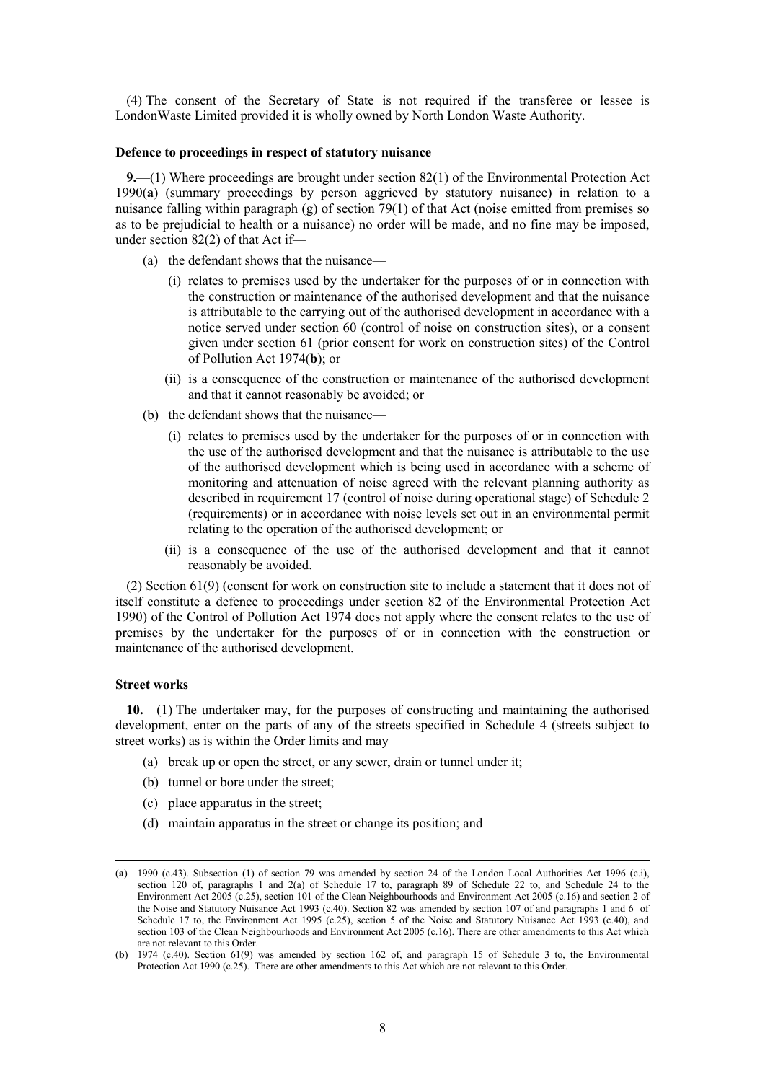(4) The consent of the Secretary of State is not required if the transferee or lessee is LondonWaste Limited provided it is wholly owned by North London Waste Authority.

#### <span id="page-7-0"></span>**Defence to proceedings in respect of statutory nuisance**

**9.**—(1) Where proceedings are brought under section 82(1) of the Environmental Protection Act 1990(**a**) (summary proceedings by person aggrieved by statutory nuisance) in relation to a nuisance falling within paragraph (g) of section 79(1) of that Act (noise emitted from premises so as to be prejudicial to health or a nuisance) no order will be made, and no fine may be imposed, under section 82(2) of that Act if—

- (a) the defendant shows that the nuisance—
	- (i) relates to premises used by the undertaker for the purposes of or in connection with the construction or maintenance of the authorised development and that the nuisance is attributable to the carrying out of the authorised development in accordance with a notice served under section 60 (control of noise on construction sites), or a consent given under section 61 (prior consent for work on construction sites) of the Control of Pollution Act 1974(**b**); or
	- (ii) is a consequence of the construction or maintenance of the authorised development and that it cannot reasonably be avoided; or
- (b) the defendant shows that the nuisance—
	- (i) relates to premises used by the undertaker for the purposes of or in connection with the use of the authorised development and that the nuisance is attributable to the use of the authorised development which is being used in accordance with a scheme of monitoring and attenuation of noise agreed with the relevant planning authority as described in requirement 17 (control of noise during operational stage) of Schedule 2 (requirements) or in accordance with noise levels set out in an environmental permit relating to the operation of the authorised development; or
	- (ii) is a consequence of the use of the authorised development and that it cannot reasonably be avoided.

(2) Section 61(9) (consent for work on construction site to include a statement that it does not of itself constitute a defence to proceedings under section 82 of the Environmental Protection Act 1990) of the Control of Pollution Act 1974 does not apply where the consent relates to the use of premises by the undertaker for the purposes of or in connection with the construction or maintenance of the authorised development.

#### <span id="page-7-1"></span>**Street works**

 $\overline{a}$ 

<span id="page-7-2"></span>**10.**—(1) The undertaker may, for the purposes of constructing and maintaining the authorised development, enter on the parts of any of the streets specified in Schedule 4 (streets subject to street works) as is within the Order limits and may—

- (a) break up or open the street, or any sewer, drain or tunnel under it;
- (b) tunnel or bore under the street;
- (c) place apparatus in the street;
- (d) maintain apparatus in the street or change its position; and

<sup>(</sup>**a**) 1990 (c.43). Subsection (1) of section 79 was amended by section 24 of the London Local Authorities Act 1996 (c.i), section 120 of, paragraphs 1 and 2(a) of Schedule 17 to, paragraph 89 of Schedule 22 to, and Schedule 24 to the Environment Act 2005 (c.25), section 101 of the Clean Neighbourhoods and Environment Act 2005 (c.16) and section 2 of the Noise and Statutory Nuisance Act 1993 (c.40). Section 82 was amended by section 107 of and paragraphs 1 and 6 of Schedule 17 to, the Environment Act 1995 (c.25), section 5 of the Noise and Statutory Nuisance Act 1993 (c.40), and section 103 of the Clean Neighbourhoods and Environment Act 2005 (c.16). There are other amendments to this Act which are not relevant to this Order.

<sup>(</sup>**b**) 1974 (c.40). Section 61(9) was amended by section 162 of, and paragraph 15 of Schedule 3 to, the Environmental Protection Act 1990 (c.25). There are other amendments to this Act which are not relevant to this Order.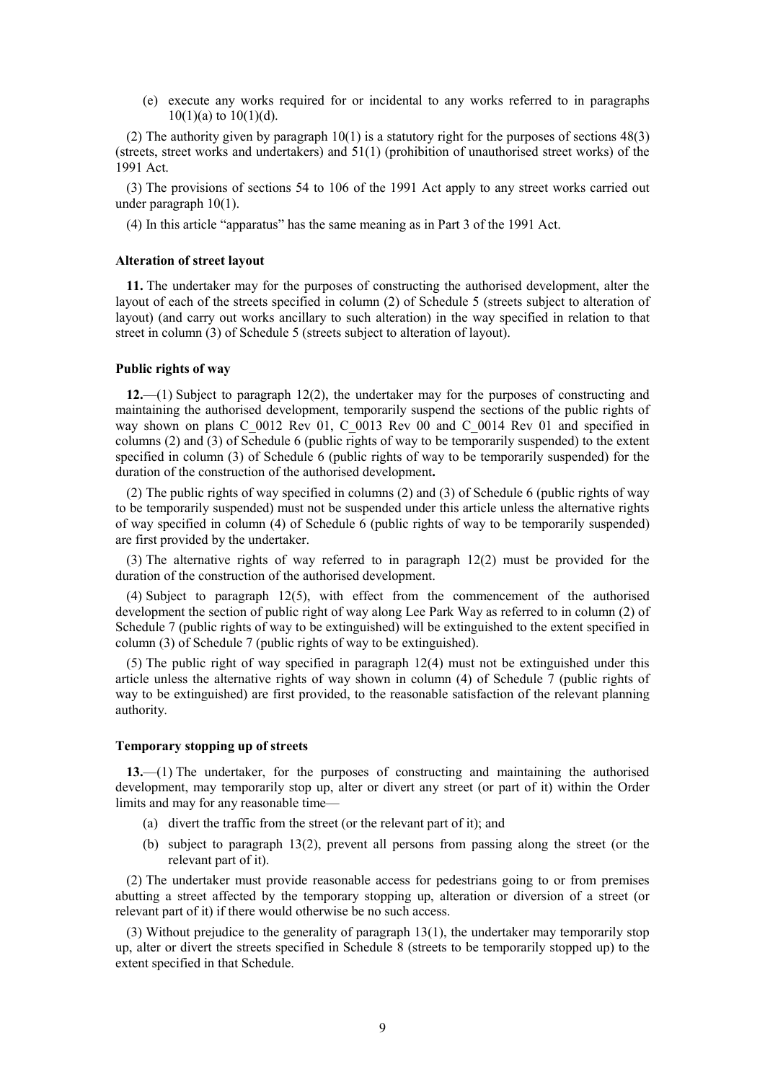(e) execute any works required for or incidental to any works referred to in paragraphs  $10(1)(a)$  to  $10(1)(d)$ .

(2) The authority given by paragraph  $10(1)$  is a statutory right for the purposes of sections  $48(3)$ (streets, street works and undertakers) and 51(1) (prohibition of unauthorised street works) of the 1991 Act.

(3) The provisions of sections 54 to 106 of the 1991 Act apply to any street works carried out under paragraph 10(1).

<span id="page-8-0"></span>(4) In this article "apparatus" has the same meaning as in Part 3 of the 1991 Act.

#### **Alteration of street layout**

**11.** The undertaker may for the purposes of constructing the authorised development, alter the layout of each of the streets specified in column (2) of Schedule 5 (streets subject to alteration of layout) (and carry out works ancillary to such alteration) in the way specified in relation to that street in column (3) of Schedule 5 (streets subject to alteration of layout).

#### <span id="page-8-1"></span>**Public rights of way**

**12.**—(1) Subject to paragraph 12(2), the undertaker may for the purposes of constructing and maintaining the authorised development, temporarily suspend the sections of the public rights of way shown on plans C\_0012 Rev 01, C\_0013 Rev 00 and C\_0014 Rev 01 and specified in columns (2) and (3) of Schedule 6 (public rights of way to be temporarily suspended) to the extent specified in column (3) of Schedule 6 (public rights of way to be temporarily suspended) for the duration of the construction of the authorised development**.**

(2) The public rights of way specified in columns (2) and (3) of Schedule 6 (public rights of way to be temporarily suspended) must not be suspended under this article unless the alternative rights of way specified in column (4) of Schedule 6 (public rights of way to be temporarily suspended) are first provided by the undertaker.

(3) The alternative rights of way referred to in paragraph 12(2) must be provided for the duration of the construction of the authorised development.

(4) Subject to paragraph 12(5), with effect from the commencement of the authorised development the section of public right of way along Lee Park Way as referred to in column (2) of Schedule 7 (public rights of way to be extinguished) will be extinguished to the extent specified in column (3) of Schedule 7 (public rights of way to be extinguished).

(5) The public right of way specified in paragraph 12(4) must not be extinguished under this article unless the alternative rights of way shown in column (4) of Schedule 7 (public rights of way to be extinguished) are first provided, to the reasonable satisfaction of the relevant planning authority.

#### <span id="page-8-2"></span>**Temporary stopping up of streets**

**13.**—(1) The undertaker, for the purposes of constructing and maintaining the authorised development, may temporarily stop up, alter or divert any street (or part of it) within the Order limits and may for any reasonable time—

- (a) divert the traffic from the street (or the relevant part of it); and
- (b) subject to paragraph 13(2), prevent all persons from passing along the street (or the relevant part of it).

(2) The undertaker must provide reasonable access for pedestrians going to or from premises abutting a street affected by the temporary stopping up, alteration or diversion of a street (or relevant part of it) if there would otherwise be no such access.

(3) Without prejudice to the generality of paragraph 13(1), the undertaker may temporarily stop up, alter or divert the streets specified in Schedule 8 (streets to be temporarily stopped up) to the extent specified in that Schedule.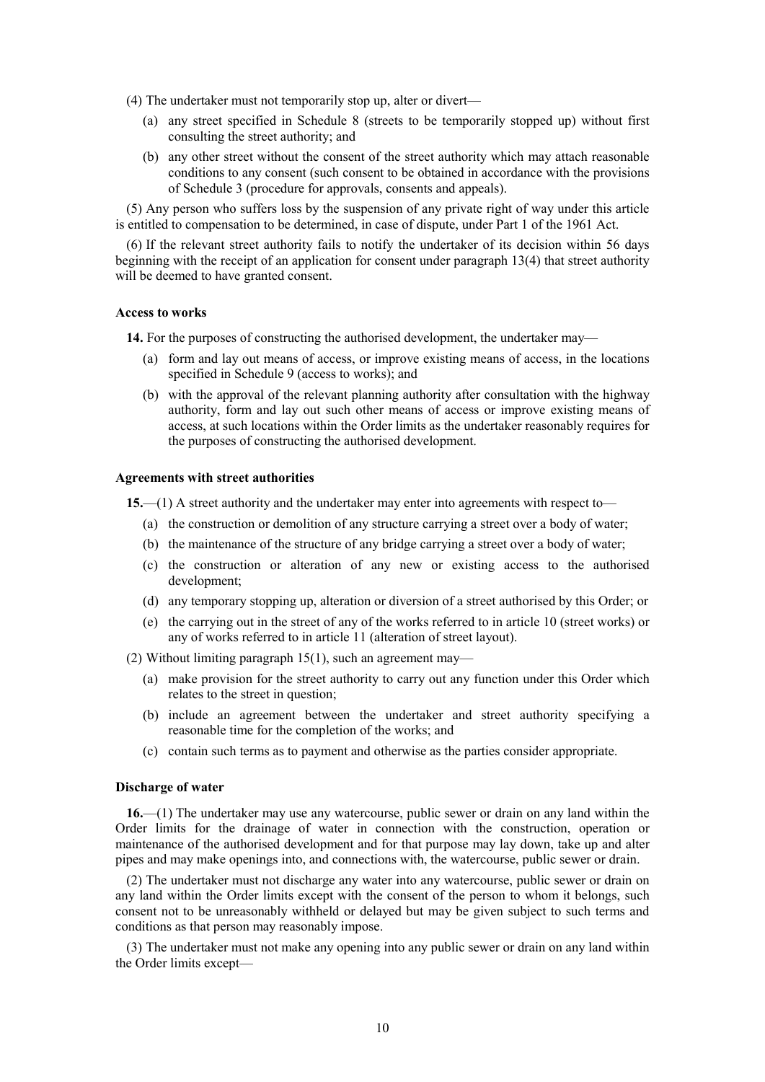- (4) The undertaker must not temporarily stop up, alter or divert—
	- (a) any street specified in Schedule 8 (streets to be temporarily stopped up) without first consulting the street authority; and
	- (b) any other street without the consent of the street authority which may attach reasonable conditions to any consent (such consent to be obtained in accordance with the provisions of Schedule 3 (procedure for approvals, consents and appeals).

(5) Any person who suffers loss by the suspension of any private right of way under this article is entitled to compensation to be determined, in case of dispute, under Part 1 of the 1961 Act.

(6) If the relevant street authority fails to notify the undertaker of its decision within 56 days beginning with the receipt of an application for consent under paragraph 13(4) that street authority will be deemed to have granted consent.

#### <span id="page-9-0"></span>**Access to works**

**14.** For the purposes of constructing the authorised development, the undertaker may—

- (a) form and lay out means of access, or improve existing means of access, in the locations specified in Schedule 9 (access to works); and
- (b) with the approval of the relevant planning authority after consultation with the highway authority, form and lay out such other means of access or improve existing means of access, at such locations within the Order limits as the undertaker reasonably requires for the purposes of constructing the authorised development.

### <span id="page-9-1"></span>**Agreements with street authorities**

**15.**—(1) A street authority and the undertaker may enter into agreements with respect to—

- (a) the construction or demolition of any structure carrying a street over a body of water;
- (b) the maintenance of the structure of any bridge carrying a street over a body of water;
- (c) the construction or alteration of any new or existing access to the authorised development;
- (d) any temporary stopping up, alteration or diversion of a street authorised by this Order; or
- (e) the carrying out in the street of any of the works referred to in article 10 (street works) or any of works referred to in article 11 (alteration of street layout).

(2) Without limiting paragraph 15(1), such an agreement may—

- (a) make provision for the street authority to carry out any function under this Order which relates to the street in question;
- (b) include an agreement between the undertaker and street authority specifying a reasonable time for the completion of the works; and
- (c) contain such terms as to payment and otherwise as the parties consider appropriate.

### <span id="page-9-2"></span>**Discharge of water**

**16.**—(1) The undertaker may use any watercourse, public sewer or drain on any land within the Order limits for the drainage of water in connection with the construction, operation or maintenance of the authorised development and for that purpose may lay down, take up and alter pipes and may make openings into, and connections with, the watercourse, public sewer or drain.

(2) The undertaker must not discharge any water into any watercourse, public sewer or drain on any land within the Order limits except with the consent of the person to whom it belongs, such consent not to be unreasonably withheld or delayed but may be given subject to such terms and conditions as that person may reasonably impose.

(3) The undertaker must not make any opening into any public sewer or drain on any land within the Order limits except—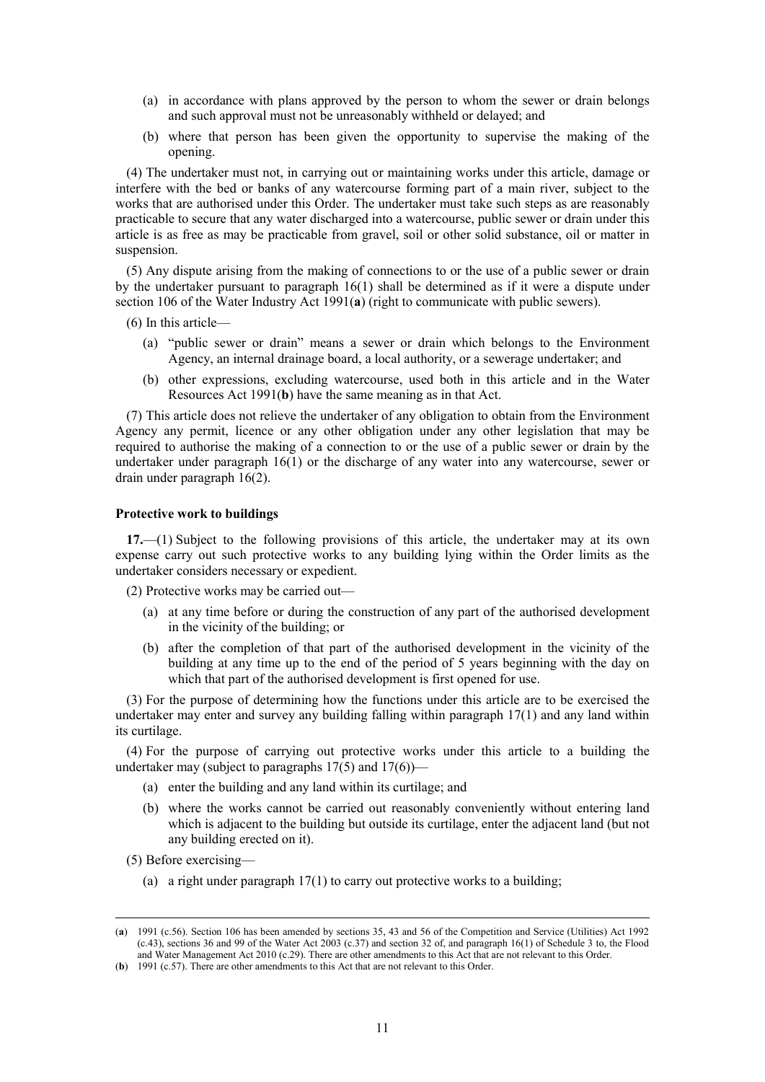- (a) in accordance with plans approved by the person to whom the sewer or drain belongs and such approval must not be unreasonably withheld or delayed; and
- (b) where that person has been given the opportunity to supervise the making of the opening.

(4) The undertaker must not, in carrying out or maintaining works under this article, damage or interfere with the bed or banks of any watercourse forming part of a main river, subject to the works that are authorised under this Order. The undertaker must take such steps as are reasonably practicable to secure that any water discharged into a watercourse, public sewer or drain under this article is as free as may be practicable from gravel, soil or other solid substance, oil or matter in suspension.

(5) Any dispute arising from the making of connections to or the use of a public sewer or drain by the undertaker pursuant to paragraph 16(1) shall be determined as if it were a dispute under section 106 of the Water Industry Act 1991(a) (right to communicate with public sewers).

(6) In this article—

- (a) "public sewer or drain" means a sewer or drain which belongs to the Environment Agency, an internal drainage board, a local authority, or a sewerage undertaker; and
- (b) other expressions, excluding watercourse, used both in this article and in the Water Resources Act 1991(**b**) have the same meaning as in that Act.

(7) This article does not relieve the undertaker of any obligation to obtain from the Environment Agency any permit, licence or any other obligation under any other legislation that may be required to authorise the making of a connection to or the use of a public sewer or drain by the undertaker under paragraph 16(1) or the discharge of any water into any watercourse, sewer or drain under paragraph 16(2).

## <span id="page-10-0"></span>**Protective work to buildings**

**17.**—(1) Subject to the following provisions of this article, the undertaker may at its own expense carry out such protective works to any building lying within the Order limits as the undertaker considers necessary or expedient.

(2) Protective works may be carried out—

- (a) at any time before or during the construction of any part of the authorised development in the vicinity of the building; or
- (b) after the completion of that part of the authorised development in the vicinity of the building at any time up to the end of the period of 5 years beginning with the day on which that part of the authorised development is first opened for use.

(3) For the purpose of determining how the functions under this article are to be exercised the undertaker may enter and survey any building falling within paragraph 17(1) and any land within its curtilage.

(4) For the purpose of carrying out protective works under this article to a building the undertaker may (subject to paragraphs  $17(5)$  and  $17(6)$ )—

- (a) enter the building and any land within its curtilage; and
- (b) where the works cannot be carried out reasonably conveniently without entering land which is adjacent to the building but outside its curtilage, enter the adjacent land (but not any building erected on it).

<span id="page-10-1"></span>(5) Before exercising—

 $\overline{a}$ 

(a) a right under paragraph 17(1) to carry out protective works to a building;

<sup>(</sup>**a**) 1991 (c.56). Section 106 has been amended by sections 35, 43 and 56 of the Competition and Service (Utilities) Act 1992 (c.43), sections 36 and 99 of the Water Act 2003 (c.37) and section 32 of, and paragraph 16(1) of Schedule 3 to, the Flood and Water Management Act 2010 (c.29). There are other amendments to this Act that are not relevant to this Order.

<sup>(</sup>**b**) 1991 (c.57). There are other amendments to this Act that are not relevant to this Order.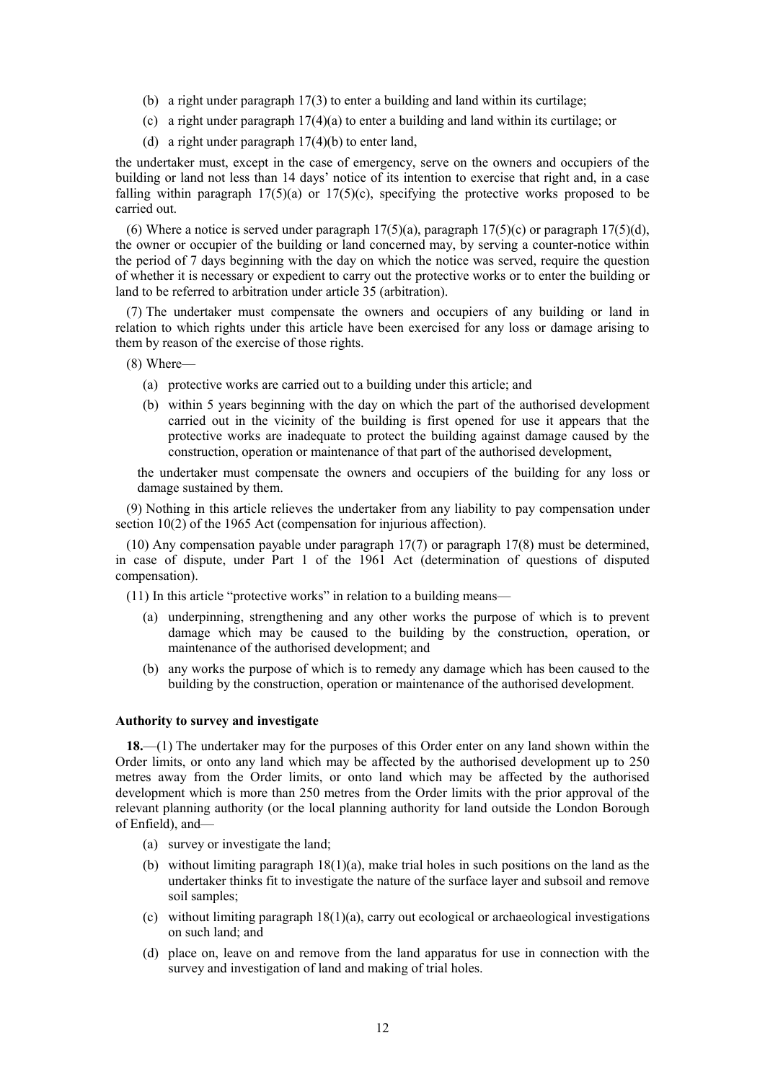- (b) a right under paragraph 17(3) to enter a building and land within its curtilage;
- (c) a right under paragraph 17(4)(a) to enter a building and land within its curtilage; or
- (d) a right under paragraph 17(4)(b) to enter land,

the undertaker must, except in the case of emergency, serve on the owners and occupiers of the building or land not less than 14 days' notice of its intention to exercise that right and, in a case falling within paragraph  $17(5)(a)$  or  $17(5)(c)$ , specifying the protective works proposed to be carried out.

(6) Where a notice is served under paragraph  $17(5)(a)$ , paragraph  $17(5)(c)$  or paragraph  $17(5)(d)$ , the owner or occupier of the building or land concerned may, by serving a counter-notice within the period of 7 days beginning with the day on which the notice was served, require the question of whether it is necessary or expedient to carry out the protective works or to enter the building or land to be referred to arbitration under article 35 (arbitration).

(7) The undertaker must compensate the owners and occupiers of any building or land in relation to which rights under this article have been exercised for any loss or damage arising to them by reason of the exercise of those rights.

(8) Where—

- (a) protective works are carried out to a building under this article; and
- (b) within 5 years beginning with the day on which the part of the authorised development carried out in the vicinity of the building is first opened for use it appears that the protective works are inadequate to protect the building against damage caused by the construction, operation or maintenance of that part of the authorised development,

the undertaker must compensate the owners and occupiers of the building for any loss or damage sustained by them.

(9) Nothing in this article relieves the undertaker from any liability to pay compensation under section 10(2) of the 1965 Act (compensation for injurious affection).

(10) Any compensation payable under paragraph 17(7) or paragraph 17(8) must be determined, in case of dispute, under Part 1 of the 1961 Act (determination of questions of disputed compensation).

(11) In this article "protective works" in relation to a building means—

- (a) underpinning, strengthening and any other works the purpose of which is to prevent damage which may be caused to the building by the construction, operation, or maintenance of the authorised development; and
- (b) any works the purpose of which is to remedy any damage which has been caused to the building by the construction, operation or maintenance of the authorised development.

#### <span id="page-11-0"></span>**Authority to survey and investigate**

<span id="page-11-1"></span>**18.**—(1) The undertaker may for the purposes of this Order enter on any land shown within the Order limits, or onto any land which may be affected by the authorised development up to 250 metres away from the Order limits, or onto land which may be affected by the authorised development which is more than 250 metres from the Order limits with the prior approval of the relevant planning authority (or the local planning authority for land outside the London Borough of Enfield), and—

- (a) survey or investigate the land;
- (b) without limiting paragraph  $18(1)(a)$ , make trial holes in such positions on the land as the undertaker thinks fit to investigate the nature of the surface layer and subsoil and remove soil samples;
- (c) without limiting paragraph  $18(1)(a)$ , carry out ecological or archaeological investigations on such land; and
- (d) place on, leave on and remove from the land apparatus for use in connection with the survey and investigation of land and making of trial holes.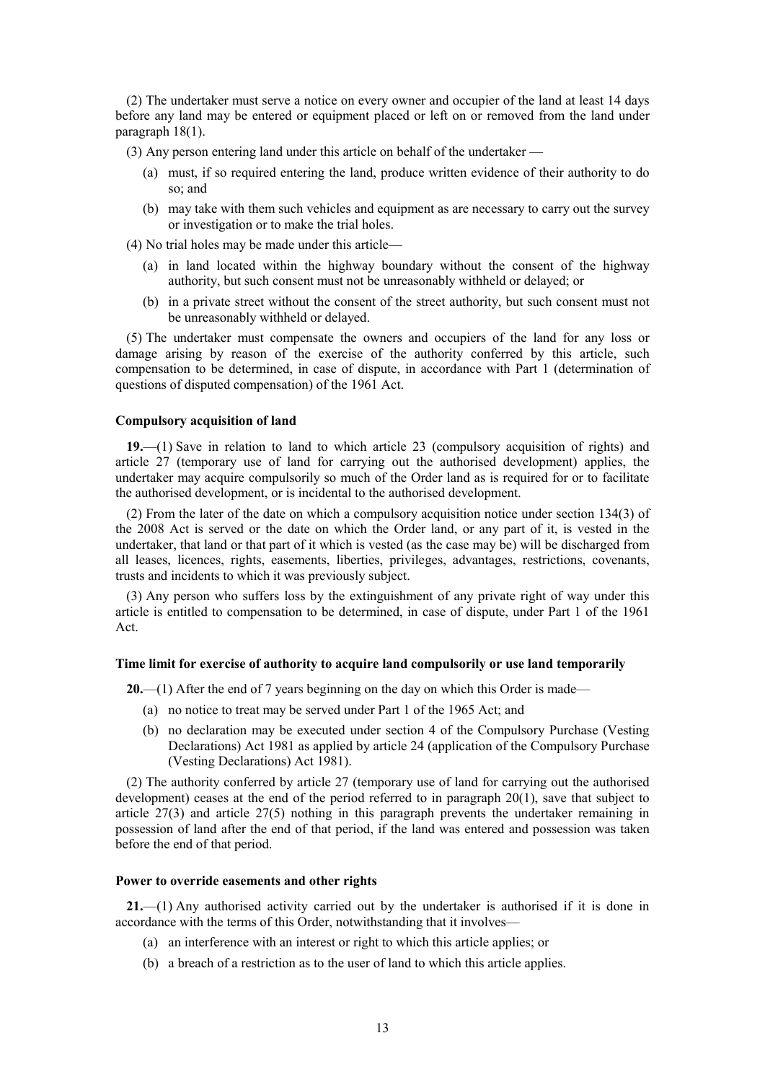(2) The undertaker must serve a notice on every owner and occupier of the land at least 14 days before any land may be entered or equipment placed or left on or removed from the land under paragraph 18(1).

(3) Any person entering land under this article on behalf of the undertaker —

- (a) must, if so required entering the land, produce written evidence of their authority to do so; and
- (b) may take with them such vehicles and equipment as are necessary to carry out the survey or investigation or to make the trial holes.

(4) No trial holes may be made under this article—

- (a) in land located within the highway boundary without the consent of the highway authority, but such consent must not be unreasonably withheld or delayed; or
- (b) in a private street without the consent of the street authority, but such consent must not be unreasonably withheld or delayed.

(5) The undertaker must compensate the owners and occupiers of the land for any loss or damage arising by reason of the exercise of the authority conferred by this article, such compensation to be determined, in case of dispute, in accordance with Part 1 (determination of questions of disputed compensation) of the 1961 Act.

#### <span id="page-12-0"></span>**Compulsory acquisition of land**

**19.**—(1) Save in relation to land to which article [23](#page-13-2) (compulsory acquisition of rights) and article [27](#page-15-3) (temporary use of land for carrying out the authorised development) applies, the undertaker may acquire compulsorily so much of the Order land as is required for or to facilitate the authorised development, or is incidental to the authorised development.

(2) From the later of the date on which a compulsory acquisition notice under section 134(3) of the 2008 Act is served or the date on which the Order land, or any part of it, is vested in the undertaker, that land or that part of it which is vested (as the case may be) will be discharged from all leases, licences, rights, easements, liberties, privileges, advantages, restrictions, covenants, trusts and incidents to which it was previously subject.

(3) Any person who suffers loss by the extinguishment of any private right of way under this article is entitled to compensation to be determined, in case of dispute, under Part 1 of the 1961 Act.

#### <span id="page-12-1"></span>**Time limit for exercise of authority to acquire land compulsorily or use land temporarily**

**20.**—(1) After the end of 7 years beginning on the day on which this Order is made—

- (a) no notice to treat may be served under Part 1 of the 1965 Act; and
- (b) no declaration may be executed under section 4 of the Compulsory Purchase (Vesting Declarations) Act 1981 as applied by article 24 (application of the Compulsory Purchase (Vesting Declarations) Act 1981).

(2) The authority conferred by article 27 (temporary use of land for carrying out the authorised development) ceases at the end of the period referred to in paragraph 20(1), save that subject to article 27(3) and article [27\(5\)](#page-16-1) nothing in this paragraph prevents the undertaker remaining in possession of land after the end of that period, if the land was entered and possession was taken before the end of that period.

### <span id="page-12-2"></span>**Power to override easements and other rights**

<span id="page-12-3"></span>**21.**—(1) Any authorised activity carried out by the undertaker is authorised if it is done in accordance with the terms of this Order, notwithstanding that it involves—

- (a) an interference with an interest or right to which this article applies; or
- (b) a breach of a restriction as to the user of land to which this article applies.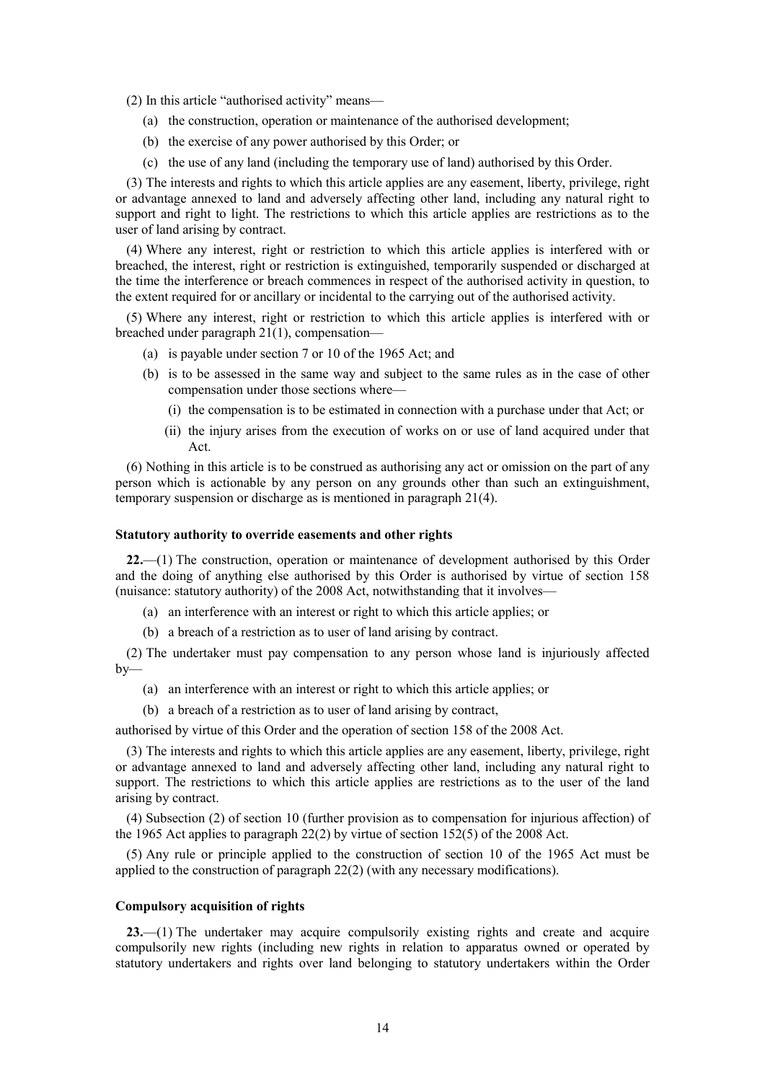(2) In this article "authorised activity" means—

- (a) the construction, operation or maintenance of the authorised development;
- (b) the exercise of any power authorised by this Order; or
- (c) the use of any land (including the temporary use of land) authorised by this Order.

(3) The interests and rights to which this article applies are any easement, liberty, privilege, right or advantage annexed to land and adversely affecting other land, including any natural right to support and right to light. The restrictions to which this article applies are restrictions as to the user of land arising by contract.

(4) Where any interest, right or restriction to which this article applies is interfered with or breached, the interest, right or restriction is extinguished, temporarily suspended or discharged at the time the interference or breach commences in respect of the authorised activity in question, to the extent required for or ancillary or incidental to the carrying out of the authorised activity.

(5) Where any interest, right or restriction to which this article applies is interfered with or breached under paragraph 2[1\(1\),](#page-12-3) compensation—

- (a) is payable under section 7 or 10 of the 1965 Act; and
- (b) is to be assessed in the same way and subject to the same rules as in the case of other compensation under those sections where—
	- (i) the compensation is to be estimated in connection with a purchase under that Act; or
	- (ii) the injury arises from the execution of works on or use of land acquired under that Act.

(6) Nothing in this article is to be construed as authorising any act or omission on the part of any person which is actionable by any person on any grounds other than such an extinguishment, temporary suspension or discharge as is mentioned in paragraph 21(4).

#### <span id="page-13-0"></span>**Statutory authority to override easements and other rights**

**22.**—(1) The construction, operation or maintenance of development authorised by this Order and the doing of anything else authorised by this Order is authorised by virtue of section 158 (nuisance: statutory authority) of the 2008 Act, notwithstanding that it involves—

- (a) an interference with an interest or right to which this article applies; or
- (b) a breach of a restriction as to user of land arising by contract.

(2) The undertaker must pay compensation to any person whose land is injuriously affected  $by-$ 

- (a) an interference with an interest or right to which this article applies; or
- (b) a breach of a restriction as to user of land arising by contract,

authorised by virtue of this Order and the operation of section 158 of the 2008 Act.

(3) The interests and rights to which this article applies are any easement, liberty, privilege, right or advantage annexed to land and adversely affecting other land, including any natural right to support. The restrictions to which this article applies are restrictions as to the user of the land arising by contract.

(4) Subsection (2) of section 10 (further provision as to compensation for injurious affection) of the 1965 Act applies to paragraph 22(2) by virtue of section 152(5) of the 2008 Act.

(5) Any rule or principle applied to the construction of section 10 of the 1965 Act must be applied to the construction of paragraph 22(2) (with any necessary modifications).

#### <span id="page-13-1"></span>**Compulsory acquisition of rights**

<span id="page-13-2"></span>**23.**—(1) The undertaker may acquire compulsorily existing rights and create and acquire compulsorily new rights (including new rights in relation to apparatus owned or operated by statutory undertakers and rights over land belonging to statutory undertakers within the Order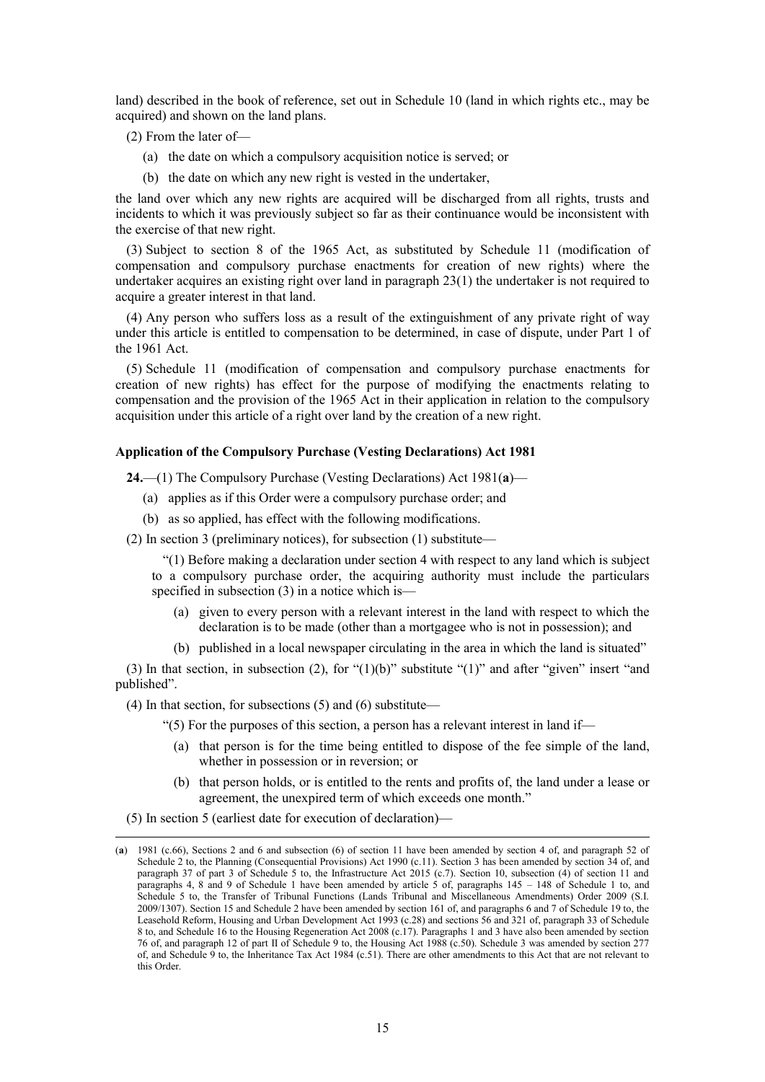land) described in the book of reference, set out in Schedule 10 (land in which rights etc., may be acquired) and shown on the land plans.

(2) From the later of—

- (a) the date on which a compulsory acquisition notice is served; or
- (b) the date on which any new right is vested in the undertaker,

the land over which any new rights are acquired will be discharged from all rights, trusts and incidents to which it was previously subject so far as their continuance would be inconsistent with the exercise of that new right.

(3) Subject to section 8 of the 1965 Act, as substituted by Schedule 11 (modification of compensation and compulsory purchase enactments for creation of new rights) where the undertaker acquires an existing right over land in paragraph 23(1) the undertaker is not required to acquire a greater interest in that land.

(4) Any person who suffers loss as a result of the extinguishment of any private right of way under this article is entitled to compensation to be determined, in case of dispute, under Part 1 of the 1961 Act.

(5) Schedule 11 (modification of compensation and compulsory purchase enactments for creation of new rights) has effect for the purpose of modifying the enactments relating to compensation and the provision of the 1965 Act in their application in relation to the compulsory acquisition under this article of a right over land by the creation of a new right.

#### <span id="page-14-0"></span>**Application of the Compulsory Purchase (Vesting Declarations) Act 1981**

**24.**—(1) The Compulsory Purchase (Vesting Declarations) Act 1981(**a**)—

- (a) applies as if this Order were a compulsory purchase order; and
- (b) as so applied, has effect with the following modifications.

(2) In section 3 (preliminary notices), for subsection (1) substitute—

"(1) Before making a declaration under section 4 with respect to any land which is subject to a compulsory purchase order, the acquiring authority must include the particulars specified in subsection (3) in a notice which is—

- (a) given to every person with a relevant interest in the land with respect to which the declaration is to be made (other than a mortgagee who is not in possession); and
- (b) published in a local newspaper circulating in the area in which the land is situated"

(3) In that section, in subsection (2), for " $(1)(b)$ " substitute " $(1)$ " and after "given" insert "and published".

(4) In that section, for subsections (5) and (6) substitute—

"(5) For the purposes of this section, a person has a relevant interest in land if—

- (a) that person is for the time being entitled to dispose of the fee simple of the land, whether in possession or in reversion; or
- (b) that person holds, or is entitled to the rents and profits of, the land under a lease or agreement, the unexpired term of which exceeds one month."

(5) In section 5 (earliest date for execution of declaration)—

 $\overline{a}$ 

<sup>(</sup>**a**) 1981 (c.66), Sections 2 and 6 and subsection (6) of section 11 have been amended by section 4 of, and paragraph 52 of Schedule 2 to, the Planning (Consequential Provisions) Act 1990 (c.11). Section 3 has been amended by section 34 of, and paragraph 37 of part 3 of Schedule 5 to, the Infrastructure Act 2015 (c.7). Section 10, subsection (4) of section 11 and paragraphs 4, 8 and 9 of Schedule 1 have been amended by article  $\hat{S}$  of, paragraphs 145 – 148 of Schedule 1 to, and Schedule 5 to, the Transfer of Tribunal Functions (Lands Tribunal and Miscellaneous Amendments) Order 2009 (S.I. 2009/1307). Section 15 and Schedule 2 have been amended by section 161 of, and paragraphs 6 and 7 of Schedule 19 to, the Leasehold Reform, Housing and Urban Development Act 1993 (c.28) and sections 56 and 321 of, paragraph 33 of Schedule 8 to, and Schedule 16 to the Housing Regeneration Act 2008 (c.17). Paragraphs 1 and 3 have also been amended by section 76 of, and paragraph 12 of part II of Schedule 9 to, the Housing Act 1988 (c.50). Schedule 3 was amended by section 277 of, and Schedule 9 to, the Inheritance Tax Act 1984 (c.51). There are other amendments to this Act that are not relevant to this Order.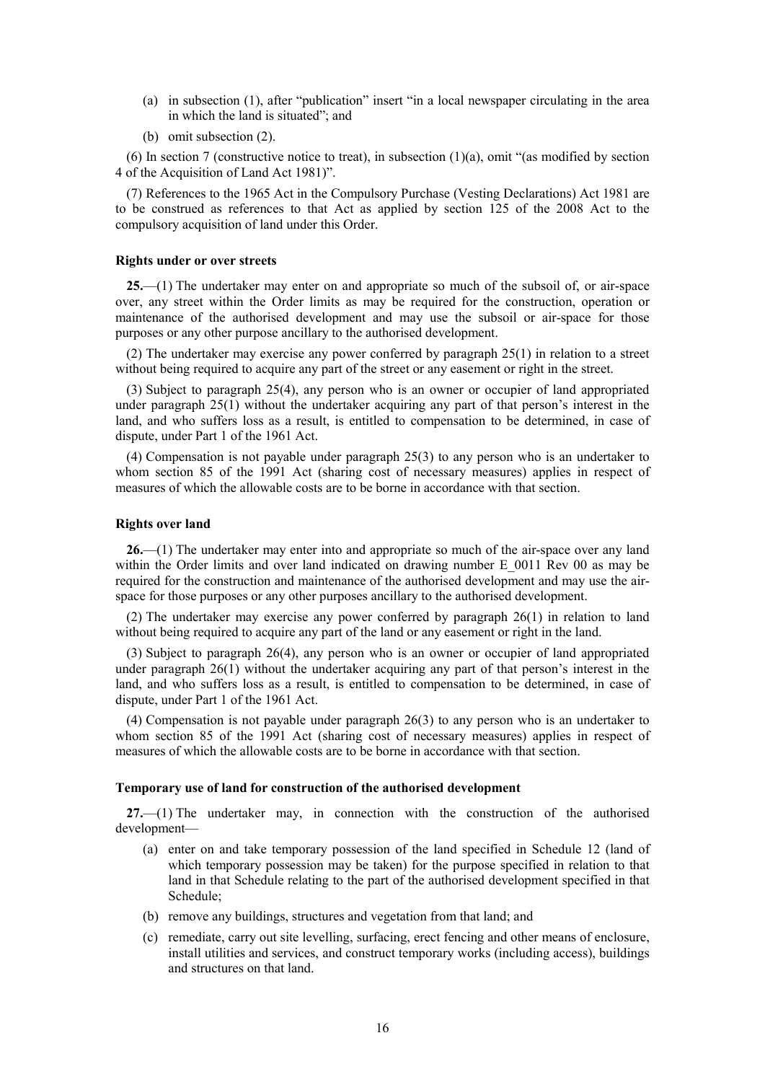- (a) in subsection (1), after "publication" insert "in a local newspaper circulating in the area in which the land is situated"; and
- (b) omit subsection (2).

(6) In section 7 (constructive notice to treat), in subsection  $(1)(a)$ , omit "(as modified by section 4 of the Acquisition of Land Act 1981)".

(7) References to the 1965 Act in the Compulsory Purchase (Vesting Declarations) Act 1981 are to be construed as references to that Act as applied by section 125 of the 2008 Act to the compulsory acquisition of land under this Order.

### <span id="page-15-0"></span>**Rights under or over streets**

**25.**—(1) The undertaker may enter on and appropriate so much of the subsoil of, or air-space over, any street within the Order limits as may be required for the construction, operation or maintenance of the authorised development and may use the subsoil or air-space for those purposes or any other purpose ancillary to the authorised development.

(2) The undertaker may exercise any power conferred by paragraph 25(1) in relation to a street without being required to acquire any part of the street or any easement or right in the street.

(3) Subject to paragraph 25(4), any person who is an owner or occupier of land appropriated under paragraph 25(1) without the undertaker acquiring any part of that person's interest in the land, and who suffers loss as a result, is entitled to compensation to be determined, in case of dispute, under Part 1 of the 1961 Act.

(4) Compensation is not payable under paragraph 25(3) to any person who is an undertaker to whom section 85 of the 1991 Act (sharing cost of necessary measures) applies in respect of measures of which the allowable costs are to be borne in accordance with that section.

#### <span id="page-15-1"></span>**Rights over land**

**26.**—(1) The undertaker may enter into and appropriate so much of the air-space over any land within the Order limits and over land indicated on drawing number E 0011 Rev 00 as may be required for the construction and maintenance of the authorised development and may use the airspace for those purposes or any other purposes ancillary to the authorised development.

(2) The undertaker may exercise any power conferred by paragraph 26(1) in relation to land without being required to acquire any part of the land or any easement or right in the land.

(3) Subject to paragraph 26(4), any person who is an owner or occupier of land appropriated under paragraph 26(1) without the undertaker acquiring any part of that person's interest in the land, and who suffers loss as a result, is entitled to compensation to be determined, in case of dispute, under Part 1 of the 1961 Act.

(4) Compensation is not payable under paragraph 26(3) to any person who is an undertaker to whom section 85 of the 1991 Act (sharing cost of necessary measures) applies in respect of measures of which the allowable costs are to be borne in accordance with that section.

#### <span id="page-15-2"></span>**Temporary use of land for construction of the authorised development**

<span id="page-15-3"></span>**27.**—(1) The undertaker may, in connection with the construction of the authorised development—

- (a) enter on and take temporary possession of the land specified in Schedule 12 (land of which temporary possession may be taken) for the purpose specified in relation to that land in that Schedule relating to the part of the authorised development specified in that Schedule;
- (b) remove any buildings, structures and vegetation from that land; and
- (c) remediate, carry out site levelling, surfacing, erect fencing and other means of enclosure, install utilities and services, and construct temporary works (including access), buildings and structures on that land.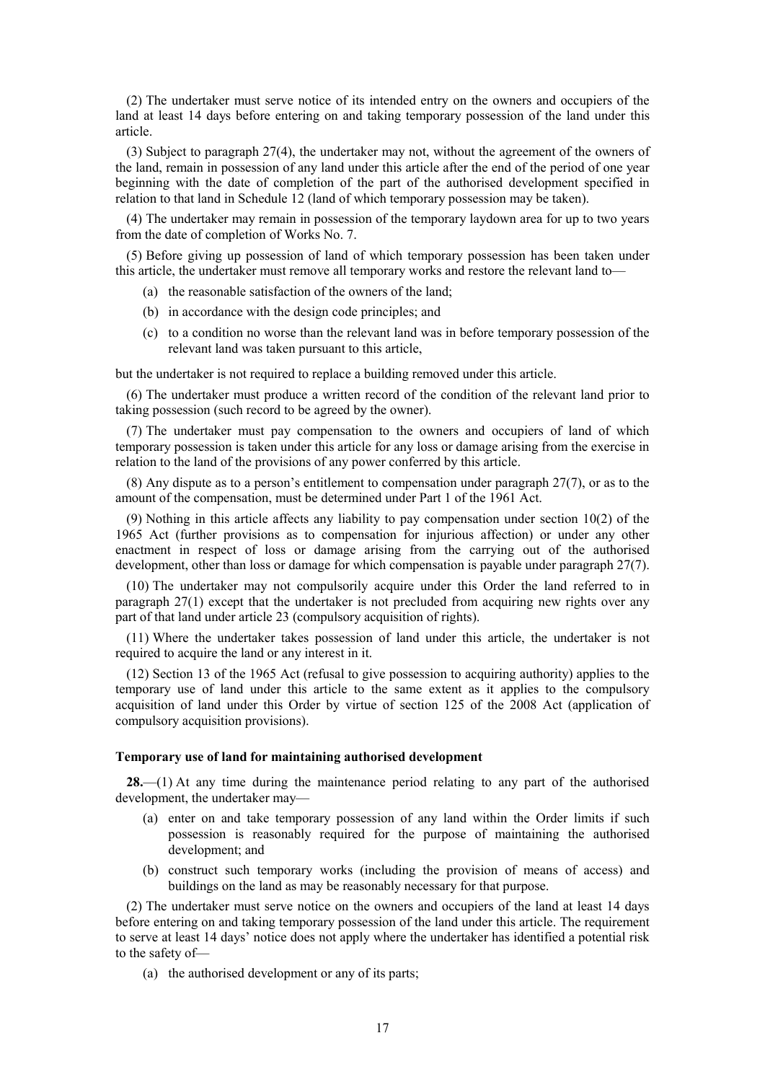(2) The undertaker must serve notice of its intended entry on the owners and occupiers of the land at least 14 days before entering on and taking temporary possession of the land under this article.

(3) Subject to paragraph 27(4), the undertaker may not, without the agreement of the owners of the land, remain in possession of any land under this article after the end of the period of one year beginning with the date of completion of the part of the authorised development specified in relation to that land in Schedule 12 (land of which temporary possession may be taken).

(4) The undertaker may remain in possession of the temporary laydown area for up to two years from the date of completion of Works No. 7.

<span id="page-16-1"></span>(5) Before giving up possession of land of which temporary possession has been taken under this article, the undertaker must remove all temporary works and restore the relevant land to—

- (a) the reasonable satisfaction of the owners of the land;
- (b) in accordance with the design code principles; and
- (c) to a condition no worse than the relevant land was in before temporary possession of the relevant land was taken pursuant to this article,

but the undertaker is not required to replace a building removed under this article.

(6) The undertaker must produce a written record of the condition of the relevant land prior to taking possession (such record to be agreed by the owner).

(7) The undertaker must pay compensation to the owners and occupiers of land of which temporary possession is taken under this article for any loss or damage arising from the exercise in relation to the land of the provisions of any power conferred by this article.

(8) Any dispute as to a person's entitlement to compensation under paragraph 27(7), or as to the amount of the compensation, must be determined under Part 1 of the 1961 Act.

(9) Nothing in this article affects any liability to pay compensation under section 10(2) of the 1965 Act (further provisions as to compensation for injurious affection) or under any other enactment in respect of loss or damage arising from the carrying out of the authorised development, other than loss or damage for which compensation is payable under paragraph 27(7).

(10) The undertaker may not compulsorily acquire under this Order the land referred to in paragraph 27(1) except that the undertaker is not precluded from acquiring new rights over any part of that land under article 23 (compulsory acquisition of rights).

(11) Where the undertaker takes possession of land under this article, the undertaker is not required to acquire the land or any interest in it.

(12) Section 13 of the 1965 Act (refusal to give possession to acquiring authority) applies to the temporary use of land under this article to the same extent as it applies to the compulsory acquisition of land under this Order by virtue of section 125 of the 2008 Act (application of compulsory acquisition provisions).

#### <span id="page-16-0"></span>**Temporary use of land for maintaining authorised development**

**28.**—(1) At any time during the maintenance period relating to any part of the authorised development, the undertaker may—

- (a) enter on and take temporary possession of any land within the Order limits if such possession is reasonably required for the purpose of maintaining the authorised development; and
- (b) construct such temporary works (including the provision of means of access) and buildings on the land as may be reasonably necessary for that purpose.

(2) The undertaker must serve notice on the owners and occupiers of the land at least 14 days before entering on and taking temporary possession of the land under this article. The requirement to serve at least 14 days' notice does not apply where the undertaker has identified a potential risk to the safety of—

(a) the authorised development or any of its parts;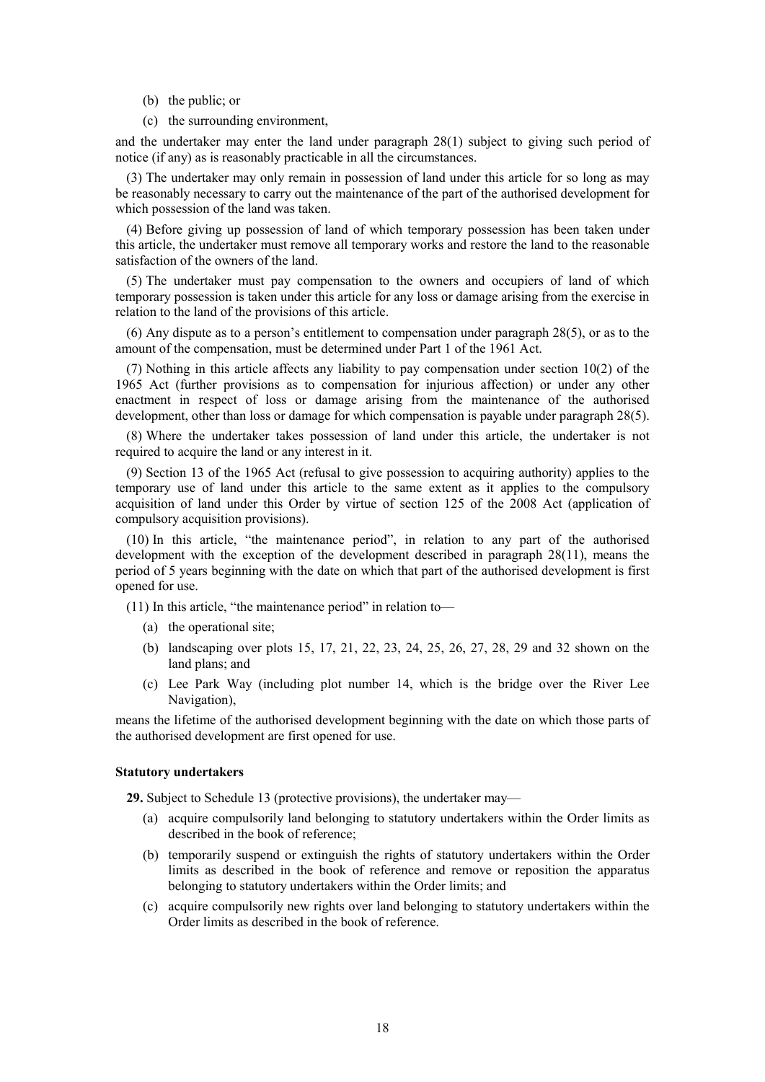- (b) the public; or
- (c) the surrounding environment,

and the undertaker may enter the land under paragraph 28(1) subject to giving such period of notice (if any) as is reasonably practicable in all the circumstances.

(3) The undertaker may only remain in possession of land under this article for so long as may be reasonably necessary to carry out the maintenance of the part of the authorised development for which possession of the land was taken.

(4) Before giving up possession of land of which temporary possession has been taken under this article, the undertaker must remove all temporary works and restore the land to the reasonable satisfaction of the owners of the land.

(5) The undertaker must pay compensation to the owners and occupiers of land of which temporary possession is taken under this article for any loss or damage arising from the exercise in relation to the land of the provisions of this article.

(6) Any dispute as to a person's entitlement to compensation under paragraph 28(5), or as to the amount of the compensation, must be determined under Part 1 of the 1961 Act.

(7) Nothing in this article affects any liability to pay compensation under section 10(2) of the 1965 Act (further provisions as to compensation for injurious affection) or under any other enactment in respect of loss or damage arising from the maintenance of the authorised development, other than loss or damage for which compensation is payable under paragraph 28(5).

(8) Where the undertaker takes possession of land under this article, the undertaker is not required to acquire the land or any interest in it.

(9) Section 13 of the 1965 Act (refusal to give possession to acquiring authority) applies to the temporary use of land under this article to the same extent as it applies to the compulsory acquisition of land under this Order by virtue of section 125 of the 2008 Act (application of compulsory acquisition provisions).

(10) In this article, "the maintenance period", in relation to any part of the authorised development with the exception of the development described in paragraph 28(11), means the period of 5 years beginning with the date on which that part of the authorised development is first opened for use.

(11) In this article, "the maintenance period" in relation to—

- (a) the operational site;
- (b) landscaping over plots 15, 17, 21, 22, 23, 24, 25, 26, 27, 28, 29 and 32 shown on the land plans; and
- (c) Lee Park Way (including plot number 14, which is the bridge over the River Lee Navigation),

means the lifetime of the authorised development beginning with the date on which those parts of the authorised development are first opened for use.

#### <span id="page-17-0"></span>**Statutory undertakers**

**29.** Subject to Schedule 13 (protective provisions), the undertaker may—

- (a) acquire compulsorily land belonging to statutory undertakers within the Order limits as described in the book of reference;
- (b) temporarily suspend or extinguish the rights of statutory undertakers within the Order limits as described in the book of reference and remove or reposition the apparatus belonging to statutory undertakers within the Order limits; and
- (c) acquire compulsorily new rights over land belonging to statutory undertakers within the Order limits as described in the book of reference.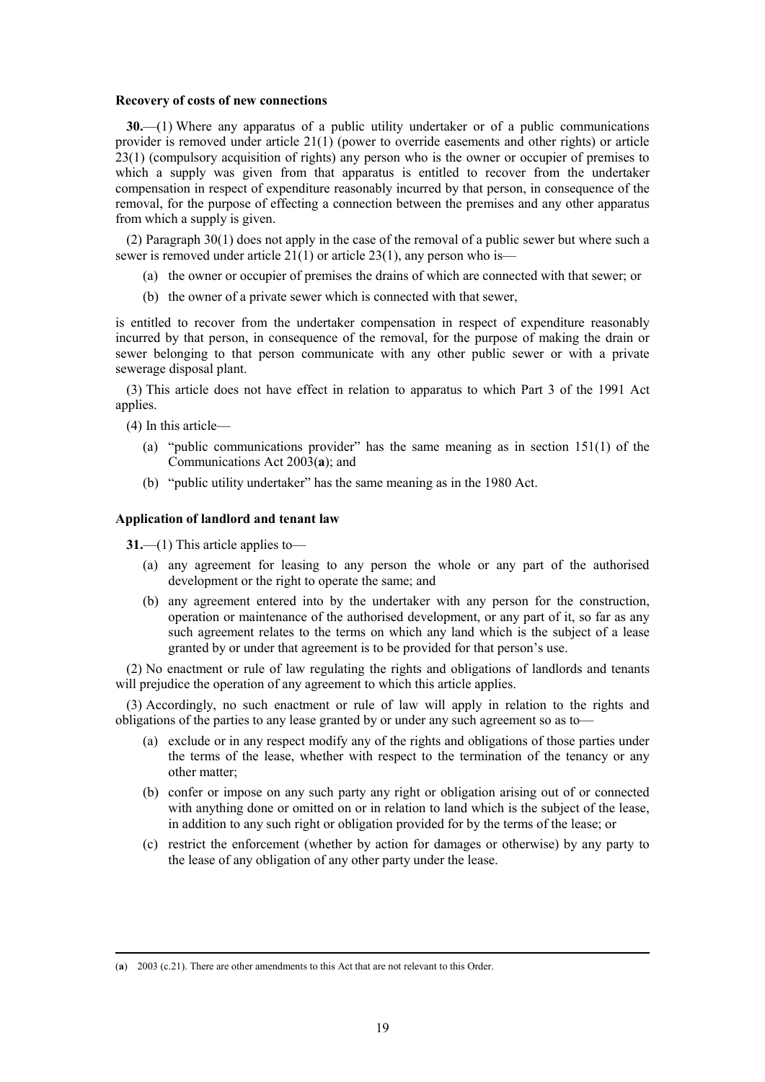#### <span id="page-18-0"></span>**Recovery of costs of new connections**

**30.**—(1) Where any apparatus of a public utility undertaker or of a public communications provider is removed under article 21(1) (power to override easements and other rights) or article 23(1) (compulsory acquisition of rights) any person who is the owner or occupier of premises to which a supply was given from that apparatus is entitled to recover from the undertaker compensation in respect of expenditure reasonably incurred by that person, in consequence of the removal, for the purpose of effecting a connection between the premises and any other apparatus from which a supply is given.

(2) Paragraph  $30(1)$  does not apply in the case of the removal of a public sewer but where such a sewer is removed under article 21(1) or article 23(1), any person who is—

- (a) the owner or occupier of premises the drains of which are connected with that sewer; or
- (b) the owner of a private sewer which is connected with that sewer,

is entitled to recover from the undertaker compensation in respect of expenditure reasonably incurred by that person, in consequence of the removal, for the purpose of making the drain or sewer belonging to that person communicate with any other public sewer or with a private sewerage disposal plant.

(3) This article does not have effect in relation to apparatus to which Part 3 of the 1991 Act applies.

(4) In this article—

 $\overline{a}$ 

- (a) "public communications provider" has the same meaning as in section 151(1) of the Communications Act 2003(**a**); and
- (b) "public utility undertaker" has the same meaning as in the 1980 Act.

#### <span id="page-18-1"></span>**Application of landlord and tenant law**

**31.**—(1) This article applies to—

- (a) any agreement for leasing to any person the whole or any part of the authorised development or the right to operate the same; and
- (b) any agreement entered into by the undertaker with any person for the construction, operation or maintenance of the authorised development, or any part of it, so far as any such agreement relates to the terms on which any land which is the subject of a lease granted by or under that agreement is to be provided for that person's use.

(2) No enactment or rule of law regulating the rights and obligations of landlords and tenants will prejudice the operation of any agreement to which this article applies.

(3) Accordingly, no such enactment or rule of law will apply in relation to the rights and obligations of the parties to any lease granted by or under any such agreement so as to—

- (a) exclude or in any respect modify any of the rights and obligations of those parties under the terms of the lease, whether with respect to the termination of the tenancy or any other matter;
- (b) confer or impose on any such party any right or obligation arising out of or connected with anything done or omitted on or in relation to land which is the subject of the lease, in addition to any such right or obligation provided for by the terms of the lease; or
- (c) restrict the enforcement (whether by action for damages or otherwise) by any party to the lease of any obligation of any other party under the lease.

<sup>(</sup>**a**) 2003 (c.21). There are other amendments to this Act that are not relevant to this Order.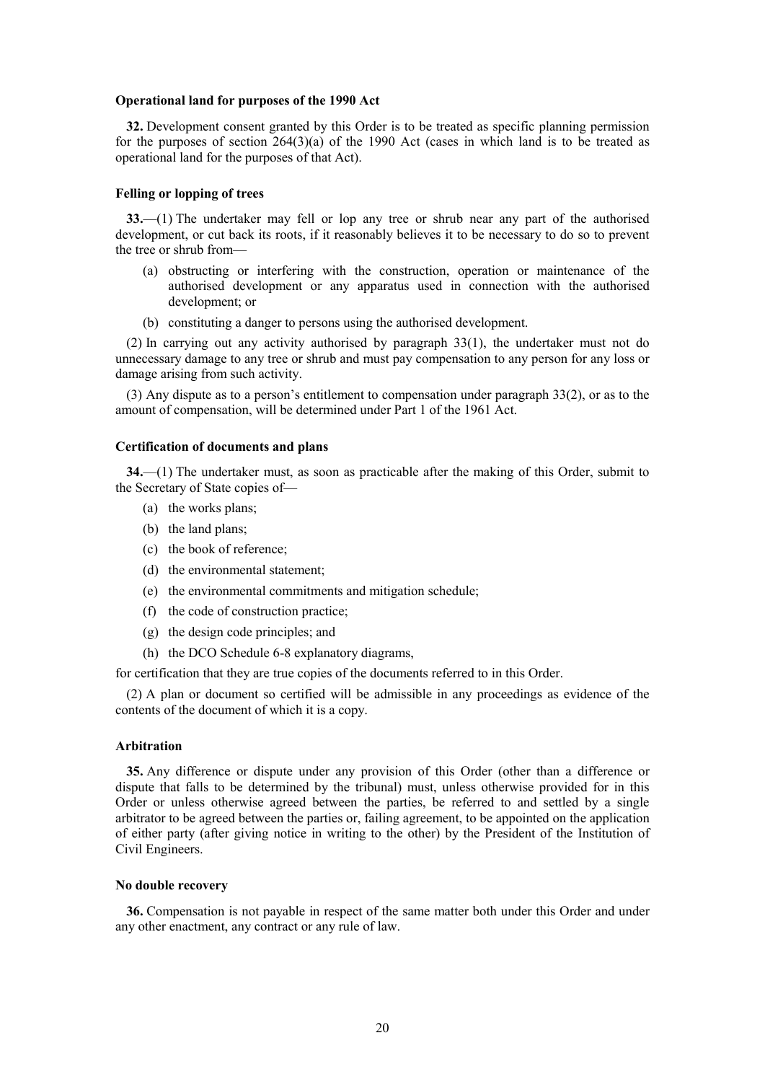#### <span id="page-19-0"></span>**Operational land for purposes of the 1990 Act**

**32.** Development consent granted by this Order is to be treated as specific planning permission for the purposes of section  $264(3)(a)$  of the 1990 Act (cases in which land is to be treated as operational land for the purposes of that Act).

#### <span id="page-19-1"></span>**Felling or lopping of trees**

**33.**—(1) The undertaker may fell or lop any tree or shrub near any part of the authorised development, or cut back its roots, if it reasonably believes it to be necessary to do so to prevent the tree or shrub from—

- (a) obstructing or interfering with the construction, operation or maintenance of the authorised development or any apparatus used in connection with the authorised development; or
- (b) constituting a danger to persons using the authorised development.

(2) In carrying out any activity authorised by paragraph 33(1), the undertaker must not do unnecessary damage to any tree or shrub and must pay compensation to any person for any loss or damage arising from such activity.

(3) Any dispute as to a person's entitlement to compensation under paragraph 33(2), or as to the amount of compensation, will be determined under Part 1 of the 1961 Act.

#### <span id="page-19-2"></span>**Certification of documents and plans**

**34.**—(1) The undertaker must, as soon as practicable after the making of this Order, submit to the Secretary of State copies of—

- (a) the works plans;
- (b) the land plans;
- (c) the book of reference;
- (d) the environmental statement;
- (e) the environmental commitments and mitigation schedule;
- (f) the code of construction practice;
- (g) the design code principles; and
- (h) the DCO Schedule 6-8 explanatory diagrams,

for certification that they are true copies of the documents referred to in this Order.

(2) A plan or document so certified will be admissible in any proceedings as evidence of the contents of the document of which it is a copy.

#### <span id="page-19-3"></span>**Arbitration**

<span id="page-19-5"></span>**35.** Any difference or dispute under any provision of this Order (other than a difference or dispute that falls to be determined by the tribunal) must, unless otherwise provided for in this Order or unless otherwise agreed between the parties, be referred to and settled by a single arbitrator to be agreed between the parties or, failing agreement, to be appointed on the application of either party (after giving notice in writing to the other) by the President of the Institution of Civil Engineers.

#### <span id="page-19-4"></span>**No double recovery**

**36.** Compensation is not payable in respect of the same matter both under this Order and under any other enactment, any contract or any rule of law.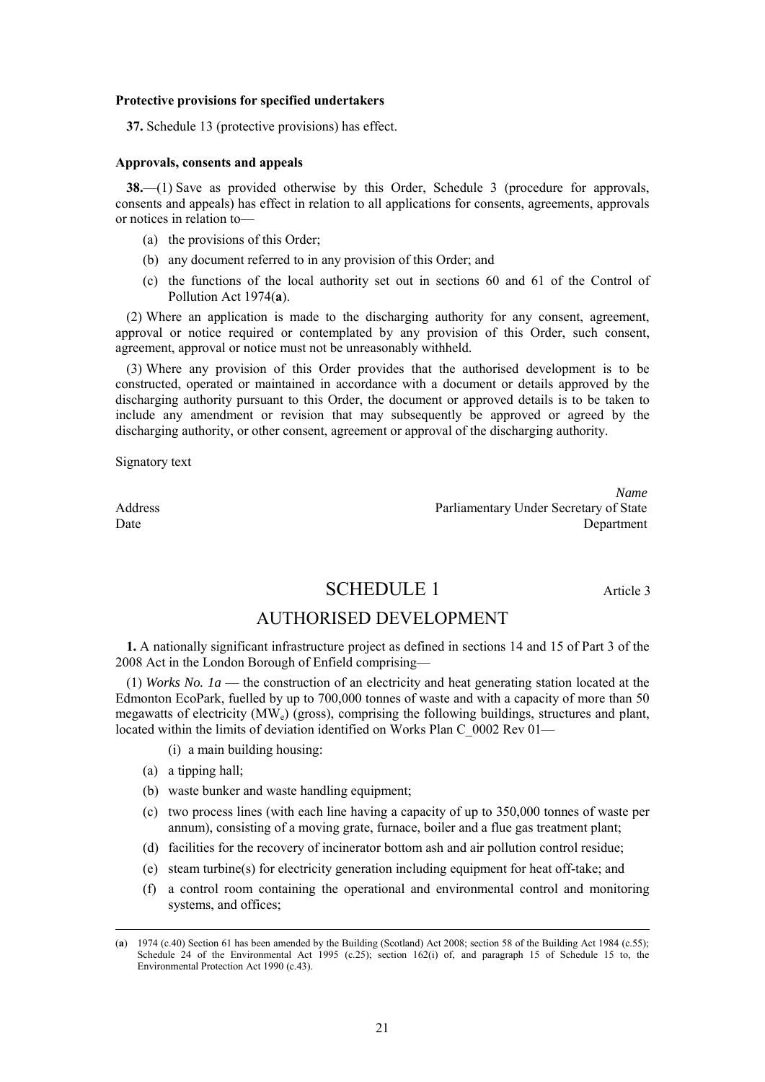#### <span id="page-20-0"></span>**Protective provisions for specified undertakers**

**37.** Schedule 13 (protective provisions) has effect.

#### <span id="page-20-1"></span>**Approvals, consents and appeals**

**38.**—(1) Save as provided otherwise by this Order, Schedule 3 (procedure for approvals, consents and appeals) has effect in relation to all applications for consents, agreements, approvals or notices in relation to—

- (a) the provisions of this Order;
- (b) any document referred to in any provision of this Order; and
- (c) the functions of the local authority set out in sections 60 and 61 of the Control of Pollution Act 1974(**a**).

(2) Where an application is made to the discharging authority for any consent, agreement, approval or notice required or contemplated by any provision of this Order, such consent, agreement, approval or notice must not be unreasonably withheld.

(3) Where any provision of this Order provides that the authorised development is to be constructed, operated or maintained in accordance with a document or details approved by the discharging authority pursuant to this Order, the document or approved details is to be taken to include any amendment or revision that may subsequently be approved or agreed by the discharging authority, or other consent, agreement or approval of the discharging authority.

Signatory text

<span id="page-20-2"></span>

*Name* Address<br>
Parliamentary Under Secretary of State<br>
Department Date Department

# SCHEDULE 1 Article 3

# AUTHORISED DEVELOPMENT

**1.** A nationally significant infrastructure project as defined in sections 14 and 15 of Part 3 of the 2008 Act in the London Borough of Enfield comprising—

(1) *Works No. 1a* — the construction of an electricity and heat generating station located at the Edmonton EcoPark, fuelled by up to 700,000 tonnes of waste and with a capacity of more than 50 megawatts of electricity  $(MW_e)$  (gross), comprising the following buildings, structures and plant, located within the limits of deviation identified on Works Plan C\_0002 Rev 01—

- (i) a main building housing:
- (a) a tipping hall;
- (b) waste bunker and waste handling equipment;
- (c) two process lines (with each line having a capacity of up to 350,000 tonnes of waste per annum), consisting of a moving grate, furnace, boiler and a flue gas treatment plant;
- (d) facilities for the recovery of incinerator bottom ash and air pollution control residue;
- (e) steam turbine(s) for electricity generation including equipment for heat off-take; and
- (f) a control room containing the operational and environmental control and monitoring systems, and offices;

 $\overline{a}$ (**a**) 1974 (c.40) Section 61 has been amended by the Building (Scotland) Act 2008; section 58 of the Building Act 1984 (c.55); Schedule 24 of the Environmental Act 1995 (c.25); section 162(i) of, and paragraph 15 of Schedule 15 to, the Environmental Protection Act 1990 (c.43).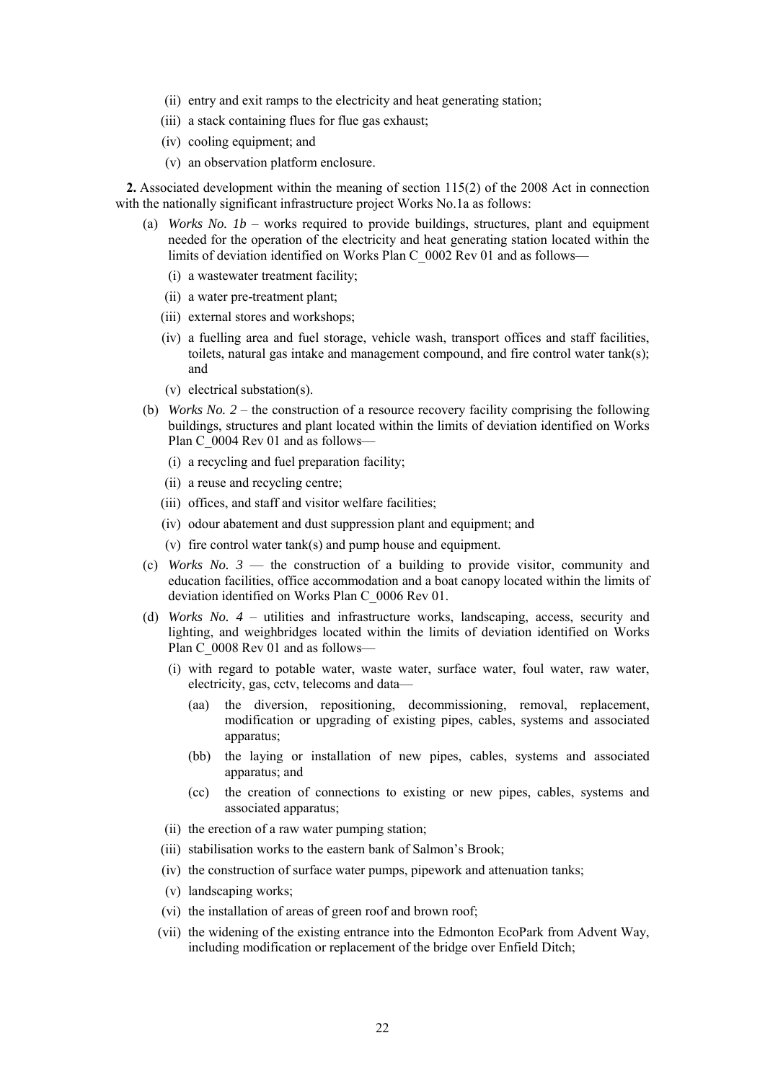- (ii) entry and exit ramps to the electricity and heat generating station;
- (iii) a stack containing flues for flue gas exhaust;
- (iv) cooling equipment; and
- (v) an observation platform enclosure.

**2.** Associated development within the meaning of section 115(2) of the 2008 Act in connection with the nationally significant infrastructure project Works No.1a as follows:

- (a) *Works No. 1b*  works required to provide buildings, structures, plant and equipment needed for the operation of the electricity and heat generating station located within the limits of deviation identified on Works Plan C\_0002 Rev 01 and as follows—
	- (i) a wastewater treatment facility;
	- (ii) a water pre-treatment plant;
	- (iii) external stores and workshops;
	- (iv) a fuelling area and fuel storage, vehicle wash, transport offices and staff facilities, toilets, natural gas intake and management compound, and fire control water tank(s); and
	- (v) electrical substation(s).
- (b) *Works No. 2* the construction of a resource recovery facility comprising the following buildings, structures and plant located within the limits of deviation identified on Works Plan C 0004 Rev 01 and as follows—
	- (i) a recycling and fuel preparation facility;
	- (ii) a reuse and recycling centre;
	- (iii) offices, and staff and visitor welfare facilities;
	- (iv) odour abatement and dust suppression plant and equipment; and
	- (v) fire control water tank(s) and pump house and equipment.
- (c) *Works No. 3* the construction of a building to provide visitor, community and education facilities, office accommodation and a boat canopy located within the limits of deviation identified on Works Plan C\_0006 Rev 01.
- (d) *Works No. 4* utilities and infrastructure works, landscaping, access, security and lighting, and weighbridges located within the limits of deviation identified on Works Plan C 0008 Rev 01 and as follows—
	- (i) with regard to potable water, waste water, surface water, foul water, raw water, electricity, gas, cctv, telecoms and data—
		- (aa) the diversion, repositioning, decommissioning, removal, replacement, modification or upgrading of existing pipes, cables, systems and associated apparatus;
		- (bb) the laying or installation of new pipes, cables, systems and associated apparatus; and
		- (cc) the creation of connections to existing or new pipes, cables, systems and associated apparatus;
	- (ii) the erection of a raw water pumping station;
	- (iii) stabilisation works to the eastern bank of Salmon's Brook;
	- (iv) the construction of surface water pumps, pipework and attenuation tanks;
	- (v) landscaping works;
	- (vi) the installation of areas of green roof and brown roof;
	- (vii) the widening of the existing entrance into the Edmonton EcoPark from Advent Way, including modification or replacement of the bridge over Enfield Ditch;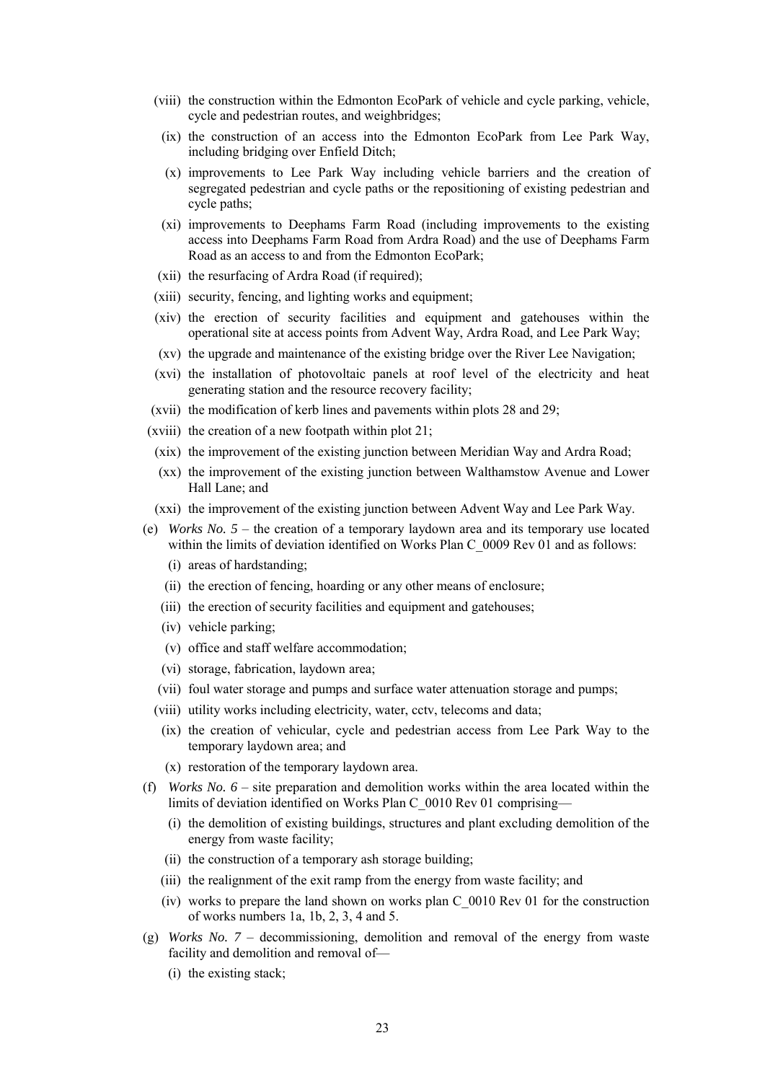- (viii) the construction within the Edmonton EcoPark of vehicle and cycle parking, vehicle, cycle and pedestrian routes, and weighbridges;
	- (ix) the construction of an access into the Edmonton EcoPark from Lee Park Way, including bridging over Enfield Ditch;
	- (x) improvements to Lee Park Way including vehicle barriers and the creation of segregated pedestrian and cycle paths or the repositioning of existing pedestrian and cycle paths;
	- (xi) improvements to Deephams Farm Road (including improvements to the existing access into Deephams Farm Road from Ardra Road) and the use of Deephams Farm Road as an access to and from the Edmonton EcoPark;
- (xii) the resurfacing of Ardra Road (if required);
- (xiii) security, fencing, and lighting works and equipment;
- (xiv) the erection of security facilities and equipment and gatehouses within the operational site at access points from Advent Way, Ardra Road, and Lee Park Way;
- (xv) the upgrade and maintenance of the existing bridge over the River Lee Navigation;
- (xvi) the installation of photovoltaic panels at roof level of the electricity and heat generating station and the resource recovery facility;
- (xvii) the modification of kerb lines and pavements within plots 28 and 29;
- (xviii) the creation of a new footpath within plot 21;
- (xix) the improvement of the existing junction between Meridian Way and Ardra Road;
- (xx) the improvement of the existing junction between Walthamstow Avenue and Lower Hall Lane; and
- (xxi) the improvement of the existing junction between Advent Way and Lee Park Way.
- (e) *Works No. 5* the creation of a temporary laydown area and its temporary use located within the limits of deviation identified on Works Plan C\_0009 Rev 01 and as follows:
	- (i) areas of hardstanding;
	- (ii) the erection of fencing, hoarding or any other means of enclosure;
	- (iii) the erection of security facilities and equipment and gatehouses;
	- (iv) vehicle parking;
	- (v) office and staff welfare accommodation;
	- (vi) storage, fabrication, laydown area;
	- (vii) foul water storage and pumps and surface water attenuation storage and pumps;
	- (viii) utility works including electricity, water, cctv, telecoms and data;
	- (ix) the creation of vehicular, cycle and pedestrian access from Lee Park Way to the temporary laydown area; and
	- (x) restoration of the temporary laydown area.
- (f) *Works No. 6* site preparation and demolition works within the area located within the limits of deviation identified on Works Plan C\_0010 Rev 01 comprising—
	- (i) the demolition of existing buildings, structures and plant excluding demolition of the energy from waste facility;
	- (ii) the construction of a temporary ash storage building;
	- (iii) the realignment of the exit ramp from the energy from waste facility; and
	- (iv) works to prepare the land shown on works plan C\_0010 Rev 01 for the construction of works numbers 1a, 1b, 2, 3, 4 and 5.
- (g) *Works No. 7* decommissioning, demolition and removal of the energy from waste facility and demolition and removal of—
	- (i) the existing stack;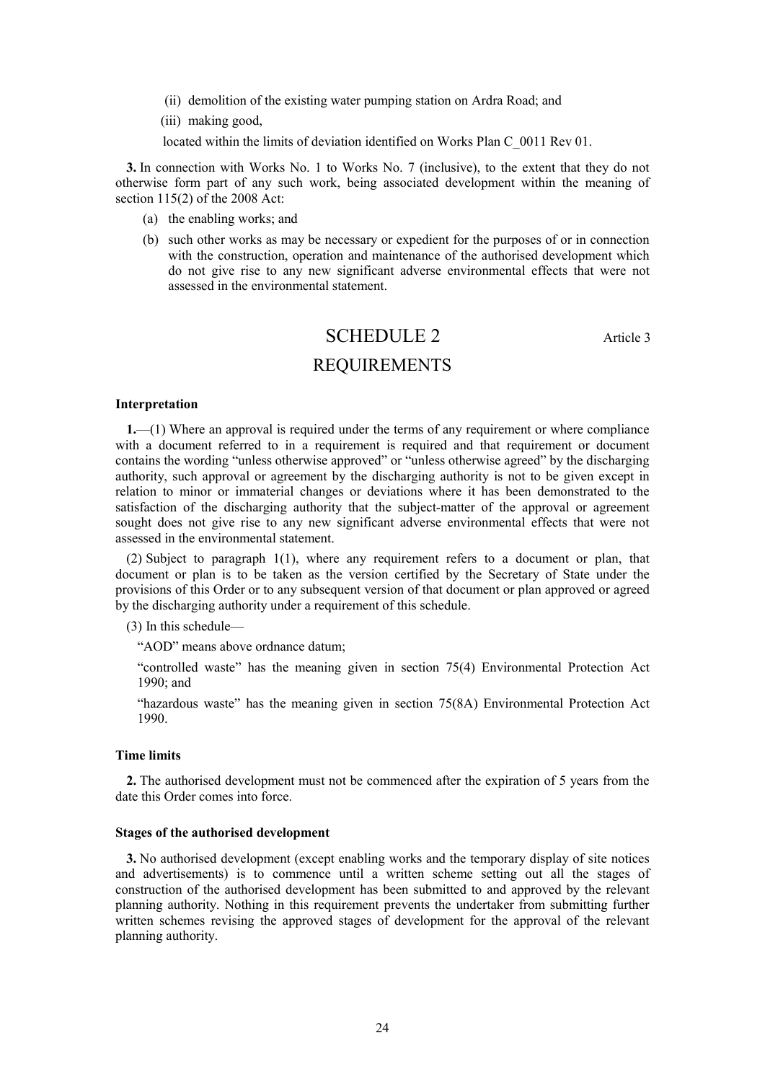- (ii) demolition of the existing water pumping station on Ardra Road; and
- (iii) making good,

located within the limits of deviation identified on Works Plan C\_0011 Rev 01.

**3.** In connection with Works No. 1 to Works No. 7 (inclusive), to the extent that they do not otherwise form part of any such work, being associated development within the meaning of section 115(2) of the 2008 Act:

- (a) the enabling works; and
- <span id="page-23-0"></span>(b) such other works as may be necessary or expedient for the purposes of or in connection with the construction, operation and maintenance of the authorised development which do not give rise to any new significant adverse environmental effects that were not assessed in the environmental statement.

# SCHEDULE 2 Article 3 REQUIREMENTS

#### **Interpretation**

**1.**—(1) Where an approval is required under the terms of any requirement or where compliance with a document referred to in a requirement is required and that requirement or document contains the wording "unless otherwise approved" or "unless otherwise agreed" by the discharging authority, such approval or agreement by the discharging authority is not to be given except in relation to minor or immaterial changes or deviations where it has been demonstrated to the satisfaction of the discharging authority that the subject-matter of the approval or agreement sought does not give rise to any new significant adverse environmental effects that were not assessed in the environmental statement.

(2) Subject to paragraph 1(1), where any requirement refers to a document or plan, that document or plan is to be taken as the version certified by the Secretary of State under the provisions of this Order or to any subsequent version of that document or plan approved or agreed by the discharging authority under a requirement of this schedule.

(3) In this schedule—

"AOD" means above ordnance datum;

"controlled waste" has the meaning given in section 75(4) Environmental Protection Act 1990; and

"hazardous waste" has the meaning given in section 75(8A) Environmental Protection Act 1990.

### **Time limits**

**2.** The authorised development must not be commenced after the expiration of 5 years from the date this Order comes into force.

#### **Stages of the authorised development**

**3.** No authorised development (except enabling works and the temporary display of site notices and advertisements) is to commence until a written scheme setting out all the stages of construction of the authorised development has been submitted to and approved by the relevant planning authority. Nothing in this requirement prevents the undertaker from submitting further written schemes revising the approved stages of development for the approval of the relevant planning authority.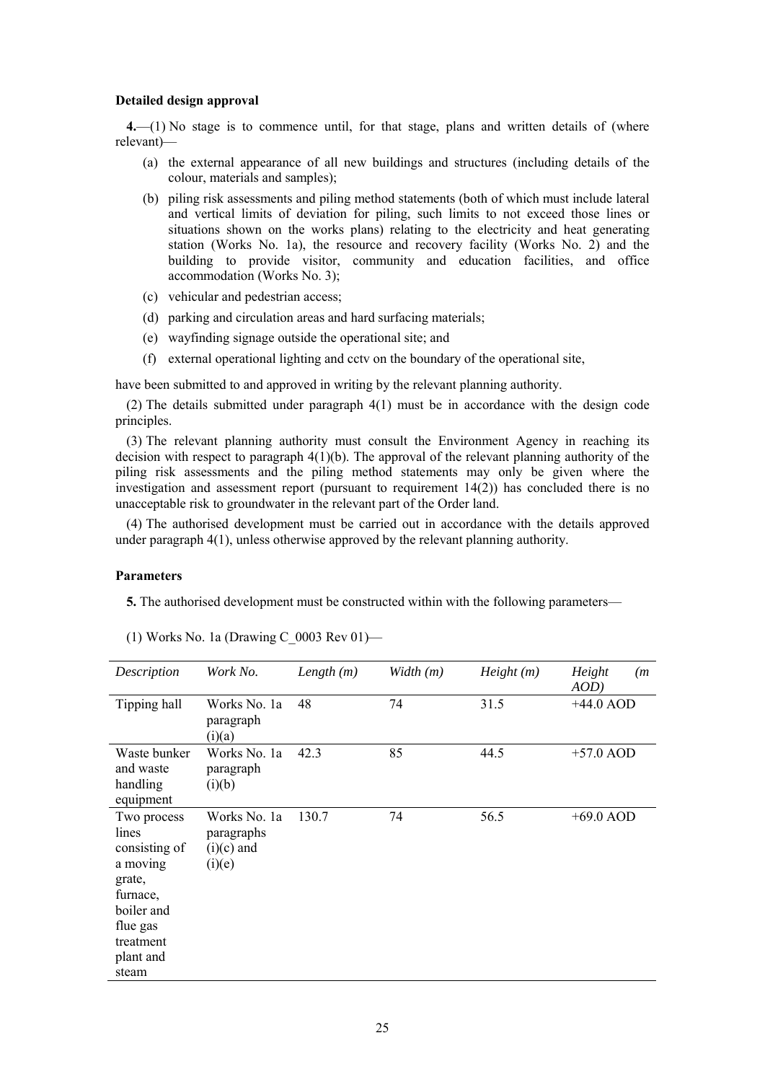#### **Detailed design approval**

**4.**—(1) No stage is to commence until, for that stage, plans and written details of (where relevant)—

- (a) the external appearance of all new buildings and structures (including details of the colour, materials and samples);
- (b) piling risk assessments and piling method statements (both of which must include lateral and vertical limits of deviation for piling, such limits to not exceed those lines or situations shown on the works plans) relating to the electricity and heat generating station (Works No. 1a), the resource and recovery facility (Works No. 2) and the building to provide visitor, community and education facilities, and office accommodation (Works No. 3);
- (c) vehicular and pedestrian access;
- (d) parking and circulation areas and hard surfacing materials;
- (e) wayfinding signage outside the operational site; and
- (f) external operational lighting and cctv on the boundary of the operational site,

have been submitted to and approved in writing by the relevant planning authority.

(2) The details submitted under paragraph 4(1) must be in accordance with the design code principles.

(3) The relevant planning authority must consult the Environment Agency in reaching its decision with respect to paragraph 4(1)(b). The approval of the relevant planning authority of the piling risk assessments and the piling method statements may only be given where the investigation and assessment report (pursuant to requirement  $14(2)$ ) has concluded there is no unacceptable risk to groundwater in the relevant part of the Order land.

(4) The authorised development must be carried out in accordance with the details approved under paragraph 4(1), unless otherwise approved by the relevant planning authority.

#### **Parameters**

**5.** The authorised development must be constructed within with the following parameters—

| Description                                                                                                                          | Work No.                                             | Length $(m)$ | Width (m) | Height(m) | Height<br>(m <sub>1</sub> )<br>$AOD$ ) |
|--------------------------------------------------------------------------------------------------------------------------------------|------------------------------------------------------|--------------|-----------|-----------|----------------------------------------|
| Tipping hall                                                                                                                         | Works No. 1a<br>paragraph<br>(i)(a)                  | 48           | 74        | 31.5      | $+44.0$ AOD                            |
| Waste bunker<br>and waste<br>handling<br>equipment                                                                                   | Works No. 1a<br>paragraph<br>(i)(b)                  | 42.3         | 85        | 44.5      | $+57.0$ AOD                            |
| Two process<br>lines<br>consisting of<br>a moving<br>grate,<br>furnace,<br>boiler and<br>flue gas<br>treatment<br>plant and<br>steam | Works No. 1a<br>paragraphs<br>$(i)(c)$ and<br>(i)(e) | 130.7        | 74        | 56.5      | $+69.0$ AOD                            |

(1) Works No. 1a (Drawing C\_0003 Rev 01)—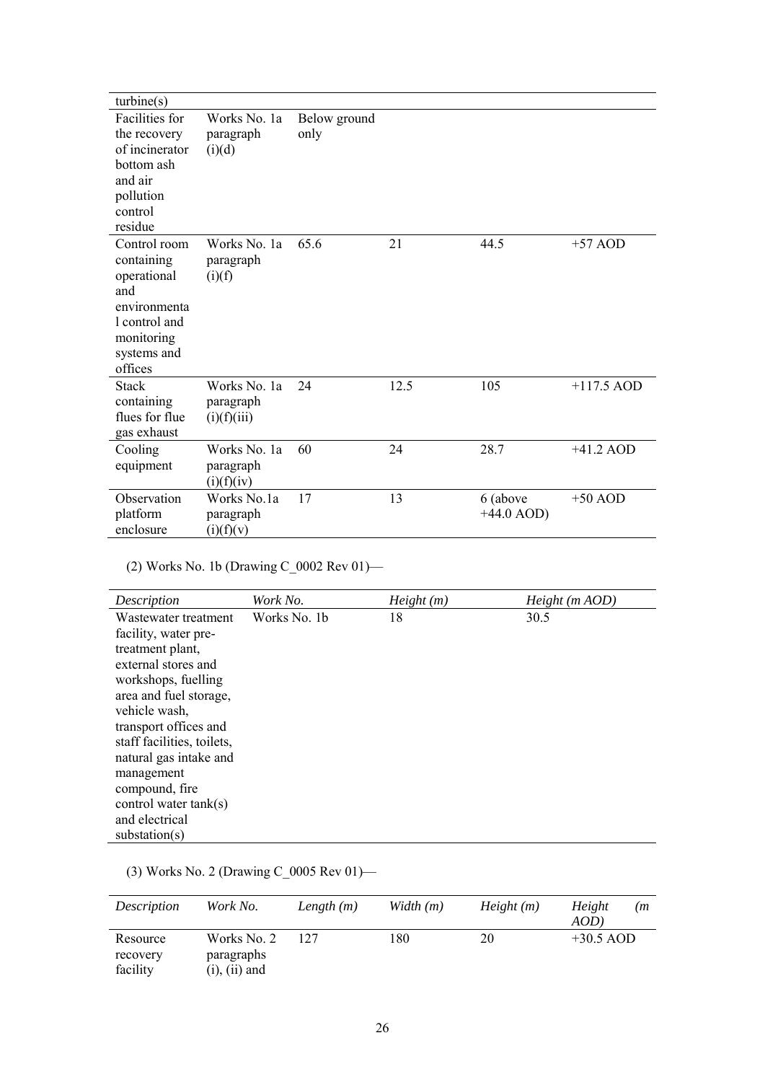| turbine(s)                                                                                                                |                                          |                      |      |                          |              |
|---------------------------------------------------------------------------------------------------------------------------|------------------------------------------|----------------------|------|--------------------------|--------------|
| <b>Facilities</b> for<br>the recovery<br>of incinerator<br>bottom ash<br>and air<br>pollution<br>control<br>residue       | Works No. 1a<br>paragraph<br>(i)(d)      | Below ground<br>only |      |                          |              |
| Control room<br>containing<br>operational<br>and<br>environmenta<br>l control and<br>monitoring<br>systems and<br>offices | Works No. 1a<br>paragraph<br>(i)(f)      | 65.6                 | 21   | 44.5                     | $+57$ AOD    |
| <b>Stack</b><br>containing<br>flues for flue<br>gas exhaust                                                               | Works No. 1a<br>paragraph<br>(i)(f)(iii) | 24                   | 12.5 | 105                      | $+117.5$ AOD |
| Cooling<br>equipment                                                                                                      | Works No. 1a<br>paragraph<br>(i)(f)(iv)  | 60                   | 24   | 28.7                     | $+41.2$ AOD  |
| Observation<br>platform<br>enclosure                                                                                      | Works No.1a<br>paragraph<br>(i)(f)(v)    | 17                   | 13   | 6 (above<br>$+44.0$ AOD) | $+50$ AOD    |

(2) Works No. 1b (Drawing C\_0002 Rev 01)—

| Description                | Work No.     | Height(m) | Height(m AOD) |
|----------------------------|--------------|-----------|---------------|
| Wastewater treatment       | Works No. 1b | 18        | 30.5          |
| facility, water pre-       |              |           |               |
| treatment plant,           |              |           |               |
| external stores and        |              |           |               |
| workshops, fuelling        |              |           |               |
| area and fuel storage,     |              |           |               |
| vehicle wash,              |              |           |               |
| transport offices and      |              |           |               |
| staff facilities, toilets, |              |           |               |
| natural gas intake and     |              |           |               |
| management                 |              |           |               |
| compound, fire             |              |           |               |
| control water $tank(s)$    |              |           |               |
| and electrical             |              |           |               |
| substation(s)              |              |           |               |

# (3) Works No. 2 (Drawing C\_0005 Rev 01)—

| <i>Description</i>               | Work No.                                        | Length $(m)$ | Width $(m)$ | Height(m) | Height<br>(m<br>AOD) |
|----------------------------------|-------------------------------------------------|--------------|-------------|-----------|----------------------|
| Resource<br>recovery<br>facility | Works No. 2<br>paragraphs<br>$(i)$ , $(ii)$ and | 127          | 180         | 20        | $+30.5$ AOD          |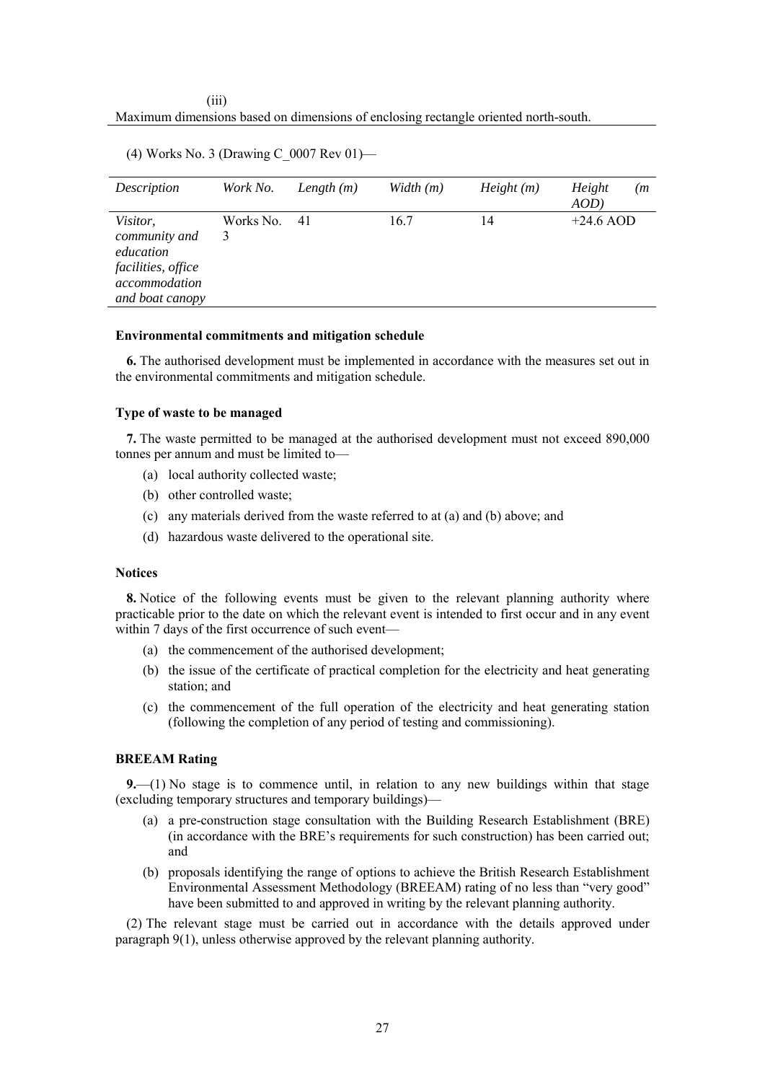### (iii) Maximum dimensions based on dimensions of enclosing rectangle oriented north-south.

| Description                                                                                             | Work No.       | Length $(m)$ | Width (m) | Height(m) | Height<br>(m <sub>1</sub> )<br>AOD |
|---------------------------------------------------------------------------------------------------------|----------------|--------------|-----------|-----------|------------------------------------|
| <i>Visitor,</i><br>community and<br>education<br>facilities, office<br>accommodation<br>and boat canopy | Works No.<br>3 | 41           | 16.7      | 14        | $+24.6$ AOD                        |

(4) Works No. 3 (Drawing C\_0007 Rev 01)—

### **Environmental commitments and mitigation schedule**

**6.** The authorised development must be implemented in accordance with the measures set out in the environmental commitments and mitigation schedule.

### **Type of waste to be managed**

**7.** The waste permitted to be managed at the authorised development must not exceed 890,000 tonnes per annum and must be limited to—

- (a) local authority collected waste;
- (b) other controlled waste;
- (c) any materials derived from the waste referred to at (a) and (b) above; and
- (d) hazardous waste delivered to the operational site.

## **Notices**

**8.** Notice of the following events must be given to the relevant planning authority where practicable prior to the date on which the relevant event is intended to first occur and in any event within 7 days of the first occurrence of such event—

- (a) the commencement of the authorised development;
- (b) the issue of the certificate of practical completion for the electricity and heat generating station; and
- (c) the commencement of the full operation of the electricity and heat generating station (following the completion of any period of testing and commissioning).

## **BREEAM Rating**

**9.**—(1) No stage is to commence until, in relation to any new buildings within that stage (excluding temporary structures and temporary buildings)—

- (a) a pre-construction stage consultation with the Building Research Establishment (BRE) (in accordance with the BRE's requirements for such construction) has been carried out; and
- (b) proposals identifying the range of options to achieve the British Research Establishment Environmental Assessment Methodology (BREEAM) rating of no less than "very good" have been submitted to and approved in writing by the relevant planning authority.

(2) The relevant stage must be carried out in accordance with the details approved under paragraph 9(1), unless otherwise approved by the relevant planning authority.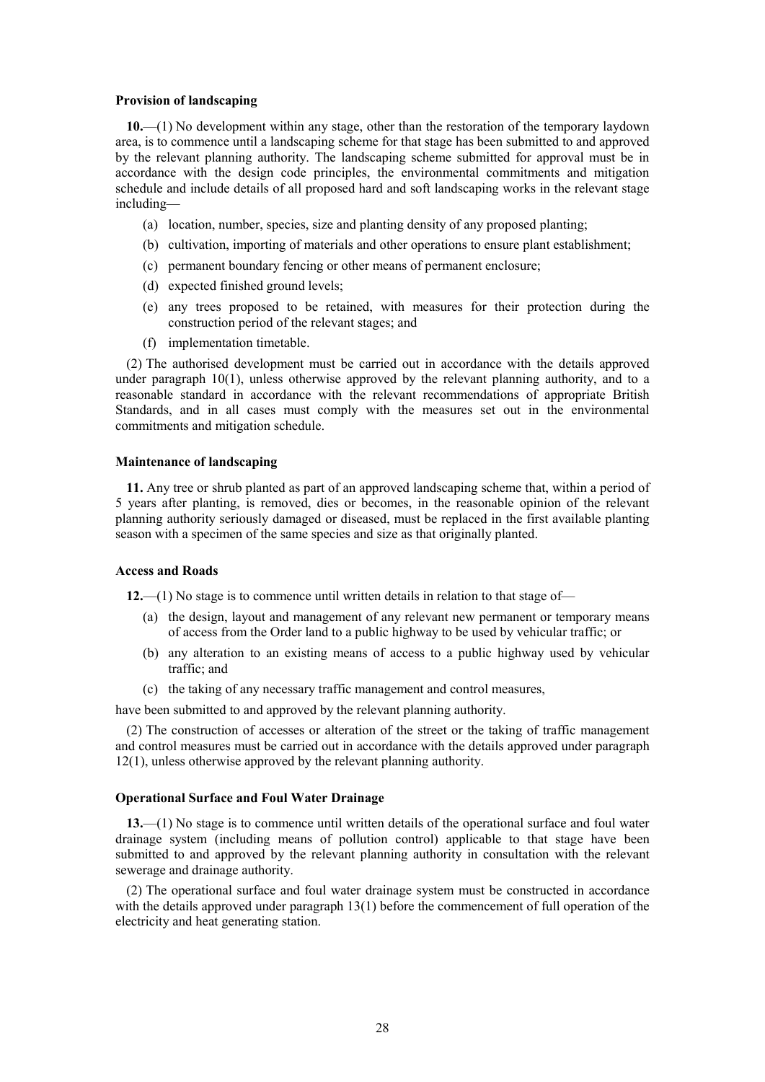#### **Provision of landscaping**

**10.**—(1) No development within any stage, other than the restoration of the temporary laydown area, is to commence until a landscaping scheme for that stage has been submitted to and approved by the relevant planning authority. The landscaping scheme submitted for approval must be in accordance with the design code principles, the environmental commitments and mitigation schedule and include details of all proposed hard and soft landscaping works in the relevant stage including—

- (a) location, number, species, size and planting density of any proposed planting;
- (b) cultivation, importing of materials and other operations to ensure plant establishment;
- (c) permanent boundary fencing or other means of permanent enclosure;
- (d) expected finished ground levels;
- (e) any trees proposed to be retained, with measures for their protection during the construction period of the relevant stages; and
- (f) implementation timetable.

(2) The authorised development must be carried out in accordance with the details approved under paragraph 10(1), unless otherwise approved by the relevant planning authority, and to a reasonable standard in accordance with the relevant recommendations of appropriate British Standards, and in all cases must comply with the measures set out in the environmental commitments and mitigation schedule.

### **Maintenance of landscaping**

**11.** Any tree or shrub planted as part of an approved landscaping scheme that, within a period of 5 years after planting, is removed, dies or becomes, in the reasonable opinion of the relevant planning authority seriously damaged or diseased, must be replaced in the first available planting season with a specimen of the same species and size as that originally planted.

#### **Access and Roads**

**12.**—(1) No stage is to commence until written details in relation to that stage of—

- (a) the design, layout and management of any relevant new permanent or temporary means of access from the Order land to a public highway to be used by vehicular traffic; or
- (b) any alteration to an existing means of access to a public highway used by vehicular traffic; and
- (c) the taking of any necessary traffic management and control measures,

have been submitted to and approved by the relevant planning authority.

(2) The construction of accesses or alteration of the street or the taking of traffic management and control measures must be carried out in accordance with the details approved under paragraph 12(1), unless otherwise approved by the relevant planning authority.

## **Operational Surface and Foul Water Drainage**

**13.**—(1) No stage is to commence until written details of the operational surface and foul water drainage system (including means of pollution control) applicable to that stage have been submitted to and approved by the relevant planning authority in consultation with the relevant sewerage and drainage authority.

(2) The operational surface and foul water drainage system must be constructed in accordance with the details approved under paragraph 13(1) before the commencement of full operation of the electricity and heat generating station.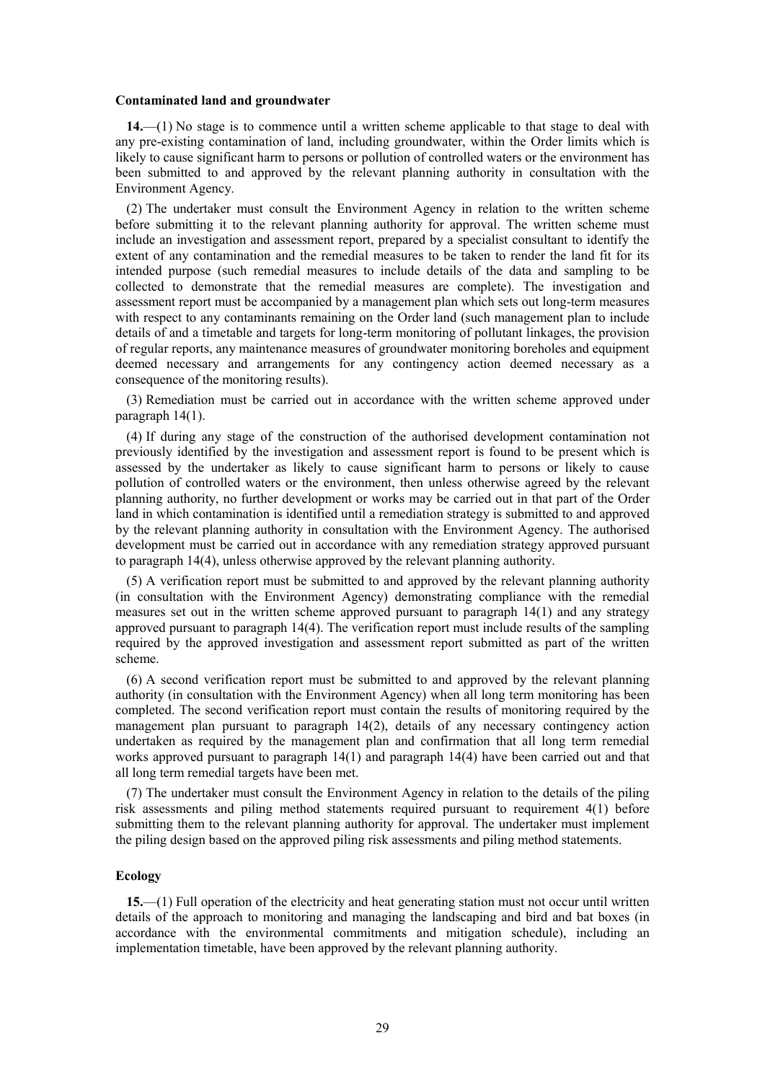#### **Contaminated land and groundwater**

**14.**—(1) No stage is to commence until a written scheme applicable to that stage to deal with any pre-existing contamination of land, including groundwater, within the Order limits which is likely to cause significant harm to persons or pollution of controlled waters or the environment has been submitted to and approved by the relevant planning authority in consultation with the Environment Agency.

(2) The undertaker must consult the Environment Agency in relation to the written scheme before submitting it to the relevant planning authority for approval. The written scheme must include an investigation and assessment report, prepared by a specialist consultant to identify the extent of any contamination and the remedial measures to be taken to render the land fit for its intended purpose (such remedial measures to include details of the data and sampling to be collected to demonstrate that the remedial measures are complete). The investigation and assessment report must be accompanied by a management plan which sets out long-term measures with respect to any contaminants remaining on the Order land (such management plan to include details of and a timetable and targets for long-term monitoring of pollutant linkages, the provision of regular reports, any maintenance measures of groundwater monitoring boreholes and equipment deemed necessary and arrangements for any contingency action deemed necessary as a consequence of the monitoring results).

(3) Remediation must be carried out in accordance with the written scheme approved under paragraph 14(1).

(4) If during any stage of the construction of the authorised development contamination not previously identified by the investigation and assessment report is found to be present which is assessed by the undertaker as likely to cause significant harm to persons or likely to cause pollution of controlled waters or the environment, then unless otherwise agreed by the relevant planning authority, no further development or works may be carried out in that part of the Order land in which contamination is identified until a remediation strategy is submitted to and approved by the relevant planning authority in consultation with the Environment Agency. The authorised development must be carried out in accordance with any remediation strategy approved pursuant to paragraph 14(4), unless otherwise approved by the relevant planning authority.

(5) A verification report must be submitted to and approved by the relevant planning authority (in consultation with the Environment Agency) demonstrating compliance with the remedial measures set out in the written scheme approved pursuant to paragraph 14(1) and any strategy approved pursuant to paragraph 14(4). The verification report must include results of the sampling required by the approved investigation and assessment report submitted as part of the written scheme.

(6) A second verification report must be submitted to and approved by the relevant planning authority (in consultation with the Environment Agency) when all long term monitoring has been completed. The second verification report must contain the results of monitoring required by the management plan pursuant to paragraph 14(2), details of any necessary contingency action undertaken as required by the management plan and confirmation that all long term remedial works approved pursuant to paragraph 14(1) and paragraph 14(4) have been carried out and that all long term remedial targets have been met.

(7) The undertaker must consult the Environment Agency in relation to the details of the piling risk assessments and piling method statements required pursuant to requirement 4(1) before submitting them to the relevant planning authority for approval. The undertaker must implement the piling design based on the approved piling risk assessments and piling method statements.

#### **Ecology**

**15.**—(1) Full operation of the electricity and heat generating station must not occur until written details of the approach to monitoring and managing the landscaping and bird and bat boxes (in accordance with the environmental commitments and mitigation schedule), including an implementation timetable, have been approved by the relevant planning authority.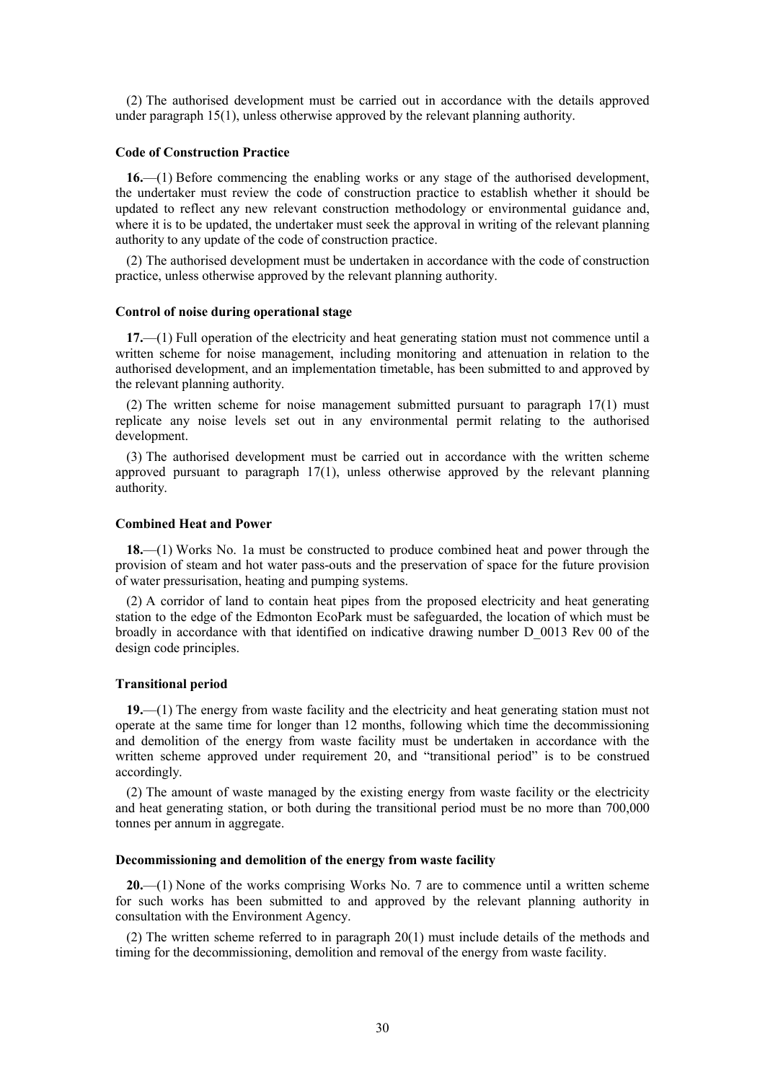(2) The authorised development must be carried out in accordance with the details approved under paragraph 15(1), unless otherwise approved by the relevant planning authority.

#### **Code of Construction Practice**

**16.**—(1) Before commencing the enabling works or any stage of the authorised development, the undertaker must review the code of construction practice to establish whether it should be updated to reflect any new relevant construction methodology or environmental guidance and, where it is to be updated, the undertaker must seek the approval in writing of the relevant planning authority to any update of the code of construction practice.

(2) The authorised development must be undertaken in accordance with the code of construction practice, unless otherwise approved by the relevant planning authority.

#### **Control of noise during operational stage**

**17.**—(1) Full operation of the electricity and heat generating station must not commence until a written scheme for noise management, including monitoring and attenuation in relation to the authorised development, and an implementation timetable, has been submitted to and approved by the relevant planning authority.

(2) The written scheme for noise management submitted pursuant to paragraph 17(1) must replicate any noise levels set out in any environmental permit relating to the authorised development.

(3) The authorised development must be carried out in accordance with the written scheme approved pursuant to paragraph 17(1), unless otherwise approved by the relevant planning authority.

#### **Combined Heat and Power**

**18.**—(1) Works No. 1a must be constructed to produce combined heat and power through the provision of steam and hot water pass-outs and the preservation of space for the future provision of water pressurisation, heating and pumping systems.

(2) A corridor of land to contain heat pipes from the proposed electricity and heat generating station to the edge of the Edmonton EcoPark must be safeguarded, the location of which must be broadly in accordance with that identified on indicative drawing number D\_0013 Rev 00 of the design code principles.

#### **Transitional period**

**19.**—(1) The energy from waste facility and the electricity and heat generating station must not operate at the same time for longer than 12 months, following which time the decommissioning and demolition of the energy from waste facility must be undertaken in accordance with the written scheme approved under requirement 20, and "transitional period" is to be construed accordingly.

(2) The amount of waste managed by the existing energy from waste facility or the electricity and heat generating station, or both during the transitional period must be no more than 700,000 tonnes per annum in aggregate.

#### **Decommissioning and demolition of the energy from waste facility**

**20.**—(1) None of the works comprising Works No. 7 are to commence until a written scheme for such works has been submitted to and approved by the relevant planning authority in consultation with the Environment Agency.

(2) The written scheme referred to in paragraph 20(1) must include details of the methods and timing for the decommissioning, demolition and removal of the energy from waste facility.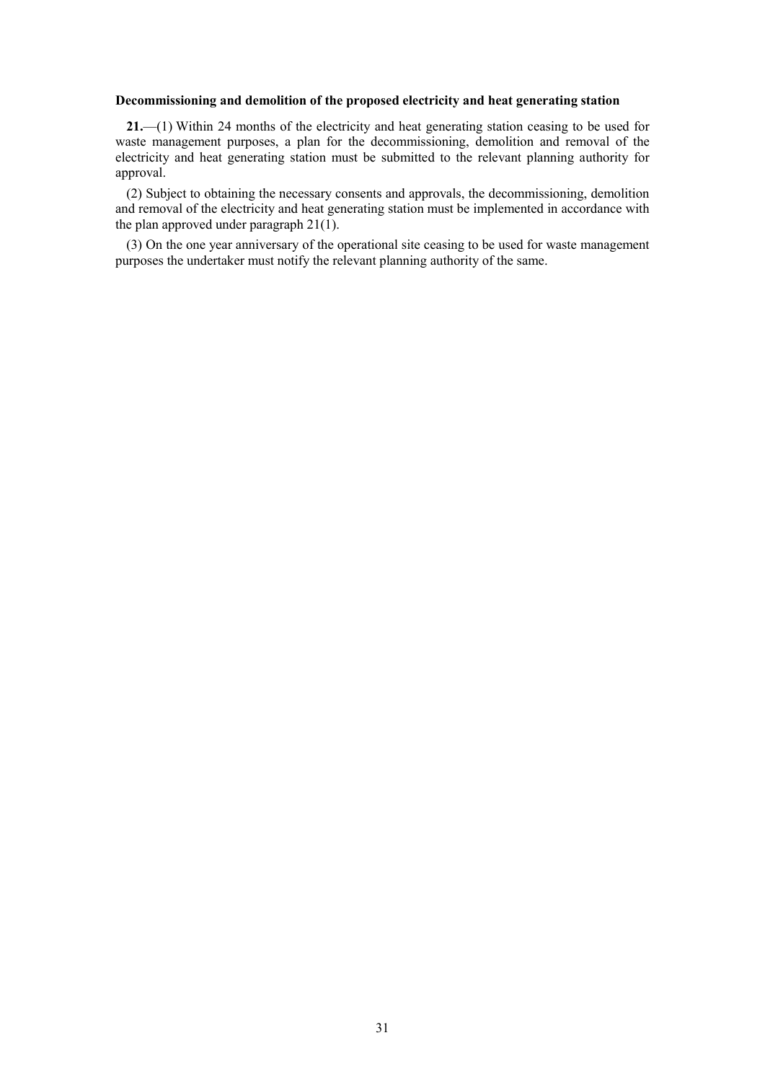#### **Decommissioning and demolition of the proposed electricity and heat generating station**

**21.**—(1) Within 24 months of the electricity and heat generating station ceasing to be used for waste management purposes, a plan for the decommissioning, demolition and removal of the electricity and heat generating station must be submitted to the relevant planning authority for approval.

(2) Subject to obtaining the necessary consents and approvals, the decommissioning, demolition and removal of the electricity and heat generating station must be implemented in accordance with the plan approved under paragraph 21(1).

(3) On the one year anniversary of the operational site ceasing to be used for waste management purposes the undertaker must notify the relevant planning authority of the same.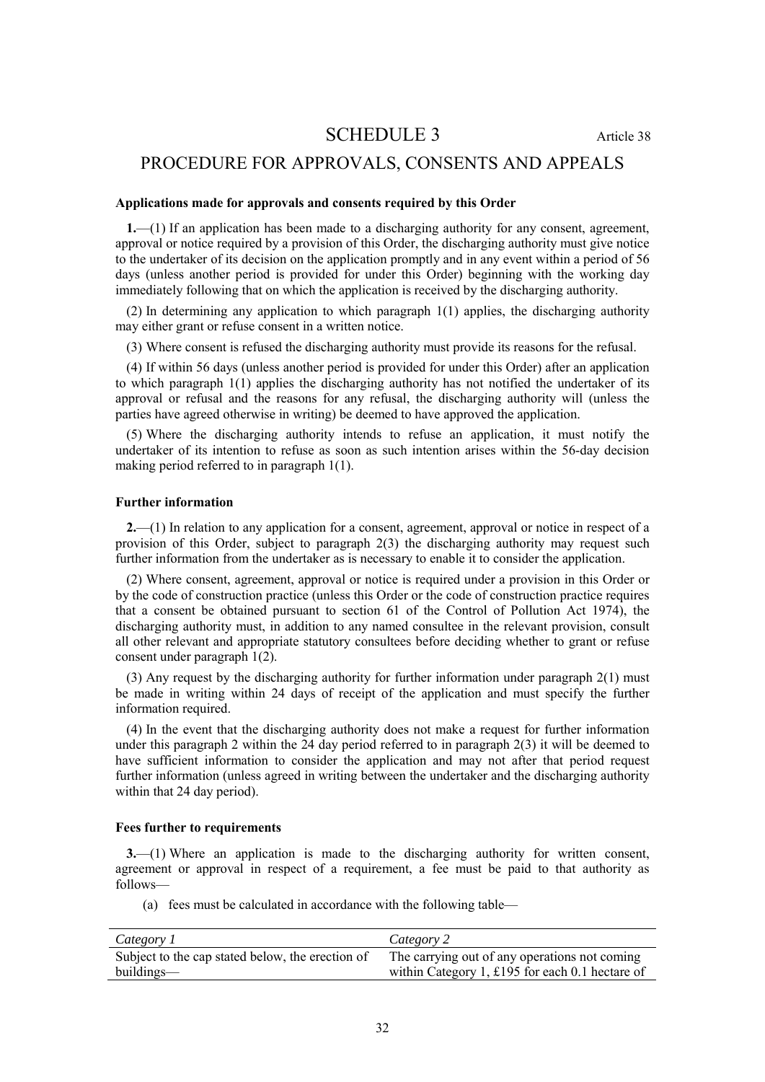# SCHEDULE 3 Article 38

# <span id="page-31-0"></span>PROCEDURE FOR APPROVALS, CONSENTS AND APPEALS

#### **Applications made for approvals and consents required by this Order**

**1.**—(1) If an application has been made to a discharging authority for any consent, agreement, approval or notice required by a provision of this Order, the discharging authority must give notice to the undertaker of its decision on the application promptly and in any event within a period of 56 days (unless another period is provided for under this Order) beginning with the working day immediately following that on which the application is received by the discharging authority.

(2) In determining any application to which paragraph 1(1) applies, the discharging authority may either grant or refuse consent in a written notice.

(3) Where consent is refused the discharging authority must provide its reasons for the refusal.

(4) If within 56 days (unless another period is provided for under this Order) after an application to which paragraph 1(1) applies the discharging authority has not notified the undertaker of its approval or refusal and the reasons for any refusal, the discharging authority will (unless the parties have agreed otherwise in writing) be deemed to have approved the application.

(5) Where the discharging authority intends to refuse an application, it must notify the undertaker of its intention to refuse as soon as such intention arises within the 56-day decision making period referred to in paragraph 1(1).

## **Further information**

**2.**—(1) In relation to any application for a consent, agreement, approval or notice in respect of a provision of this Order, subject to paragraph 2(3) the discharging authority may request such further information from the undertaker as is necessary to enable it to consider the application.

(2) Where consent, agreement, approval or notice is required under a provision in this Order or by the code of construction practice (unless this Order or the code of construction practice requires that a consent be obtained pursuant to section 61 of the Control of Pollution Act 1974), the discharging authority must, in addition to any named consultee in the relevant provision, consult all other relevant and appropriate statutory consultees before deciding whether to grant or refuse consent under paragraph 1(2).

(3) Any request by the discharging authority for further information under paragraph 2(1) must be made in writing within 24 days of receipt of the application and must specify the further information required.

(4) In the event that the discharging authority does not make a request for further information under this paragraph 2 within the 24 day period referred to in paragraph 2(3) it will be deemed to have sufficient information to consider the application and may not after that period request further information (unless agreed in writing between the undertaker and the discharging authority within that 24 day period).

#### **Fees further to requirements**

**3.**—(1) Where an application is made to the discharging authority for written consent, agreement or approval in respect of a requirement, a fee must be paid to that authority as follows—

(a) fees must be calculated in accordance with the following table—

| Category 1                                       | Category 2                                      |
|--------------------------------------------------|-------------------------------------------------|
| Subject to the cap stated below, the erection of | The carrying out of any operations not coming   |
| buildings—                                       | within Category 1, £195 for each 0.1 hectare of |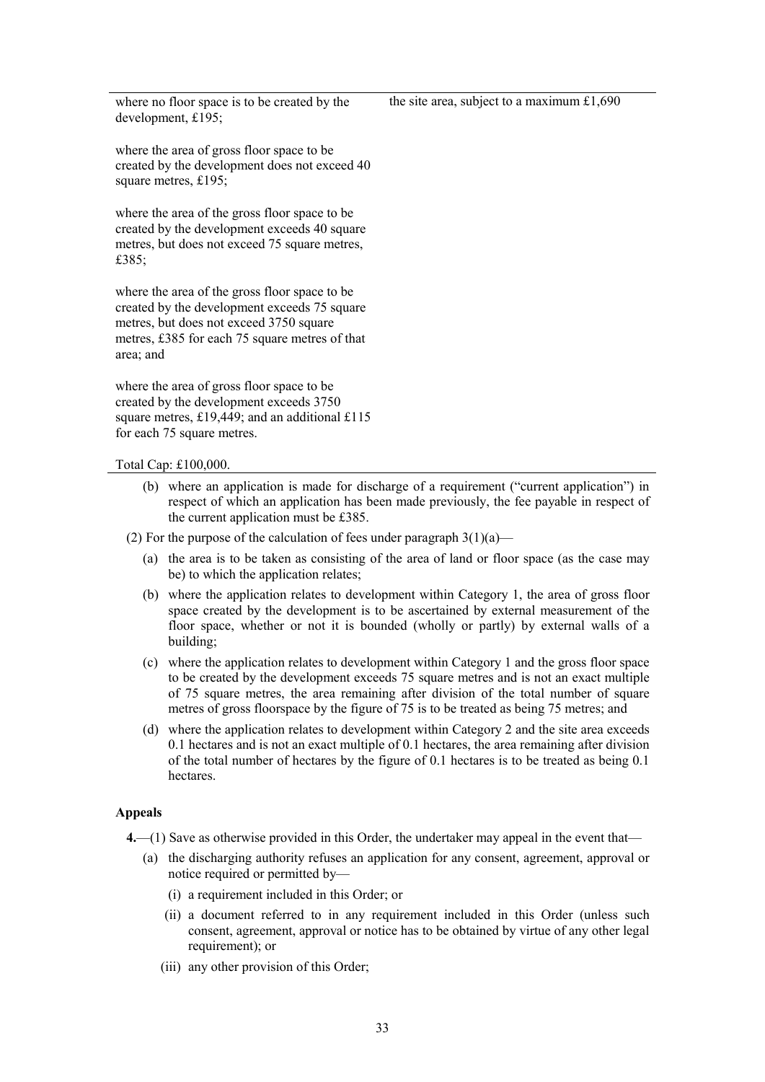where no floor space is to be created by the development, £195;

where the area of gross floor space to be created by the development does not exceed 40 square metres, £195;

where the area of the gross floor space to be created by the development exceeds 40 square metres, but does not exceed 75 square metres, £385;

where the area of the gross floor space to be created by the development exceeds 75 square metres, but does not exceed 3750 square metres, £385 for each 75 square metres of that area; and

where the area of gross floor space to be created by the development exceeds 3750 square metres, £19,449; and an additional £115 for each 75 square metres.

Total Cap: £100,000.

- (b) where an application is made for discharge of a requirement ("current application") in respect of which an application has been made previously, the fee payable in respect of the current application must be £385.
- (2) For the purpose of the calculation of fees under paragraph  $3(1)(a)$ 
	- (a) the area is to be taken as consisting of the area of land or floor space (as the case may be) to which the application relates;
	- (b) where the application relates to development within Category 1, the area of gross floor space created by the development is to be ascertained by external measurement of the floor space, whether or not it is bounded (wholly or partly) by external walls of a building;
	- (c) where the application relates to development within Category 1 and the gross floor space to be created by the development exceeds 75 square metres and is not an exact multiple of 75 square metres, the area remaining after division of the total number of square metres of gross floorspace by the figure of 75 is to be treated as being 75 metres; and
	- (d) where the application relates to development within Category 2 and the site area exceeds 0.1 hectares and is not an exact multiple of 0.1 hectares, the area remaining after division of the total number of hectares by the figure of 0.1 hectares is to be treated as being 0.1 hectares.

### **Appeals**

- **4.**—(1) Save as otherwise provided in this Order, the undertaker may appeal in the event that—
	- (a) the discharging authority refuses an application for any consent, agreement, approval or notice required or permitted by—
		- (i) a requirement included in this Order; or
		- (ii) a document referred to in any requirement included in this Order (unless such consent, agreement, approval or notice has to be obtained by virtue of any other legal requirement); or
		- (iii) any other provision of this Order;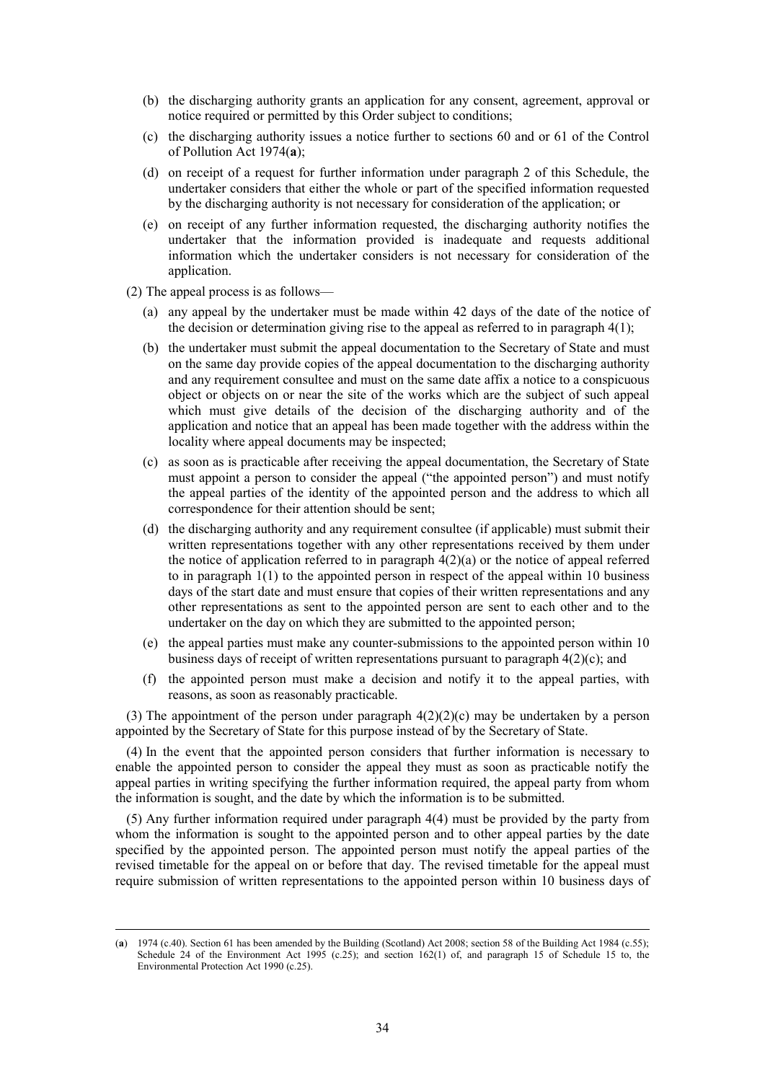- (b) the discharging authority grants an application for any consent, agreement, approval or notice required or permitted by this Order subject to conditions;
- (c) the discharging authority issues a notice further to sections 60 and or 61 of the Control of Pollution Act 1974(**a**);
- (d) on receipt of a request for further information under paragraph 2 of this Schedule, the undertaker considers that either the whole or part of the specified information requested by the discharging authority is not necessary for consideration of the application; or
- (e) on receipt of any further information requested, the discharging authority notifies the undertaker that the information provided is inadequate and requests additional information which the undertaker considers is not necessary for consideration of the application.
- (2) The appeal process is as follows—

 $\overline{a}$ 

- (a) any appeal by the undertaker must be made within 42 days of the date of the notice of the decision or determination giving rise to the appeal as referred to in paragraph  $4(1)$ ;
- (b) the undertaker must submit the appeal documentation to the Secretary of State and must on the same day provide copies of the appeal documentation to the discharging authority and any requirement consultee and must on the same date affix a notice to a conspicuous object or objects on or near the site of the works which are the subject of such appeal which must give details of the decision of the discharging authority and of the application and notice that an appeal has been made together with the address within the locality where appeal documents may be inspected;
- (c) as soon as is practicable after receiving the appeal documentation, the Secretary of State must appoint a person to consider the appeal ("the appointed person") and must notify the appeal parties of the identity of the appointed person and the address to which all correspondence for their attention should be sent;
- (d) the discharging authority and any requirement consultee (if applicable) must submit their written representations together with any other representations received by them under the notice of application referred to in paragraph  $4(2)(a)$  or the notice of appeal referred to in paragraph  $1(1)$  to the appointed person in respect of the appeal within 10 business days of the start date and must ensure that copies of their written representations and any other representations as sent to the appointed person are sent to each other and to the undertaker on the day on which they are submitted to the appointed person;
- (e) the appeal parties must make any counter-submissions to the appointed person within 10 business days of receipt of written representations pursuant to paragraph 4(2)(c); and
- (f) the appointed person must make a decision and notify it to the appeal parties, with reasons, as soon as reasonably practicable.

(3) The appointment of the person under paragraph  $4(2)(2)(c)$  may be undertaken by a person appointed by the Secretary of State for this purpose instead of by the Secretary of State.

(4) In the event that the appointed person considers that further information is necessary to enable the appointed person to consider the appeal they must as soon as practicable notify the appeal parties in writing specifying the further information required, the appeal party from whom the information is sought, and the date by which the information is to be submitted.

(5) Any further information required under paragraph 4(4) must be provided by the party from whom the information is sought to the appointed person and to other appeal parties by the date specified by the appointed person. The appointed person must notify the appeal parties of the revised timetable for the appeal on or before that day. The revised timetable for the appeal must require submission of written representations to the appointed person within 10 business days of

<sup>(</sup>**a**) 1974 (c.40). Section 61 has been amended by the Building (Scotland) Act 2008; section 58 of the Building Act 1984 (c.55); Schedule 24 of the Environment Act 1995 (c.25); and section 162(1) of, and paragraph 15 of Schedule 15 to, the Environmental Protection Act 1990 (c.25).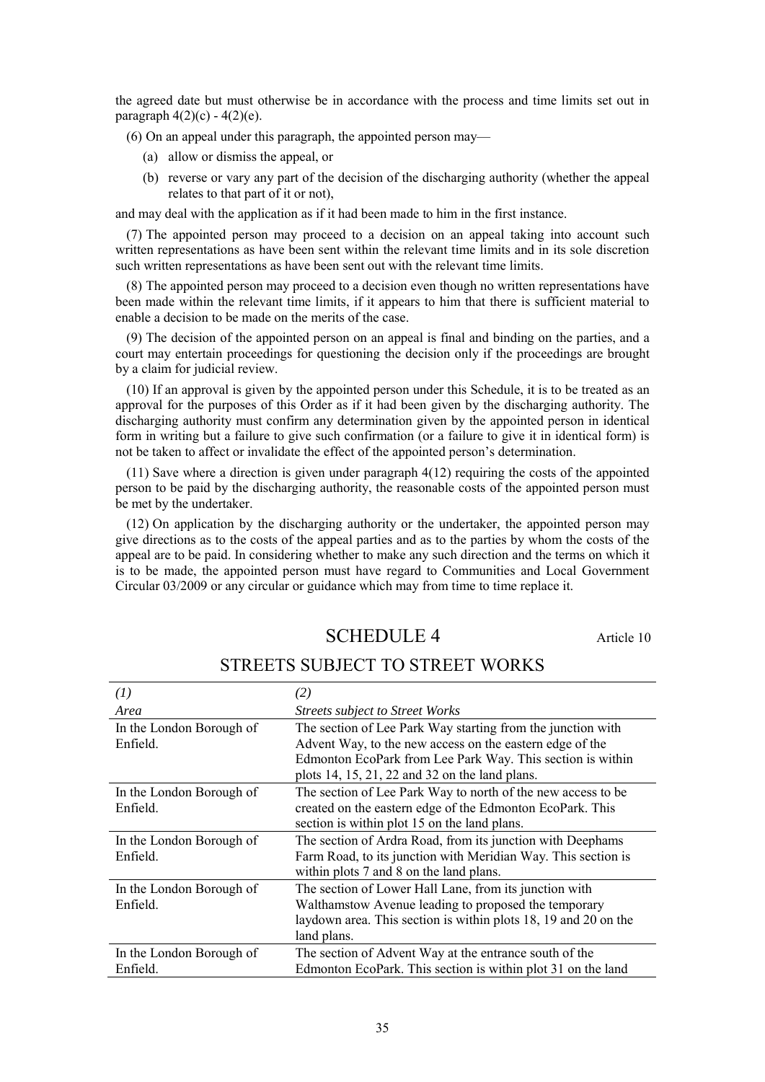the agreed date but must otherwise be in accordance with the process and time limits set out in paragraph  $4(2)(c) - 4(2)(e)$ .

(6) On an appeal under this paragraph, the appointed person may—

- (a) allow or dismiss the appeal, or
- (b) reverse or vary any part of the decision of the discharging authority (whether the appeal relates to that part of it or not),

and may deal with the application as if it had been made to him in the first instance.

(7) The appointed person may proceed to a decision on an appeal taking into account such written representations as have been sent within the relevant time limits and in its sole discretion such written representations as have been sent out with the relevant time limits.

(8) The appointed person may proceed to a decision even though no written representations have been made within the relevant time limits, if it appears to him that there is sufficient material to enable a decision to be made on the merits of the case.

(9) The decision of the appointed person on an appeal is final and binding on the parties, and a court may entertain proceedings for questioning the decision only if the proceedings are brought by a claim for judicial review.

(10) If an approval is given by the appointed person under this Schedule, it is to be treated as an approval for the purposes of this Order as if it had been given by the discharging authority. The discharging authority must confirm any determination given by the appointed person in identical form in writing but a failure to give such confirmation (or a failure to give it in identical form) is not be taken to affect or invalidate the effect of the appointed person's determination.

(11) Save where a direction is given under paragraph 4(12) requiring the costs of the appointed person to be paid by the discharging authority, the reasonable costs of the appointed person must be met by the undertaker.

<span id="page-34-0"></span>(12) On application by the discharging authority or the undertaker, the appointed person may give directions as to the costs of the appeal parties and as to the parties by whom the costs of the appeal are to be paid. In considering whether to make any such direction and the terms on which it is to be made, the appointed person must have regard to Communities and Local Government Circular 03/2009 or any circular or guidance which may from time to time replace it.

# SCHEDULE 4 Article 10

| (I)                                  | (2)                                                                                                                                                                                                                                     |
|--------------------------------------|-----------------------------------------------------------------------------------------------------------------------------------------------------------------------------------------------------------------------------------------|
| Area                                 | <b>Streets subject to Street Works</b>                                                                                                                                                                                                  |
| In the London Borough of<br>Enfield. | The section of Lee Park Way starting from the junction with<br>Advent Way, to the new access on the eastern edge of the<br>Edmonton EcoPark from Lee Park Way. This section is within<br>plots 14, 15, 21, 22 and 32 on the land plans. |
| In the London Borough of<br>Enfield. | The section of Lee Park Way to north of the new access to be<br>created on the eastern edge of the Edmonton EcoPark. This<br>section is within plot 15 on the land plans.                                                               |
| In the London Borough of<br>Enfield. | The section of Ardra Road, from its junction with Deephams<br>Farm Road, to its junction with Meridian Way. This section is<br>within plots 7 and 8 on the land plans.                                                                  |
| In the London Borough of<br>Enfield. | The section of Lower Hall Lane, from its junction with<br>Walthamstow Avenue leading to proposed the temporary<br>laydown area. This section is within plots 18, 19 and 20 on the<br>land plans.                                        |
| In the London Borough of             | The section of Advent Way at the entrance south of the                                                                                                                                                                                  |

## STREETS SUBJECT TO STREET WORKS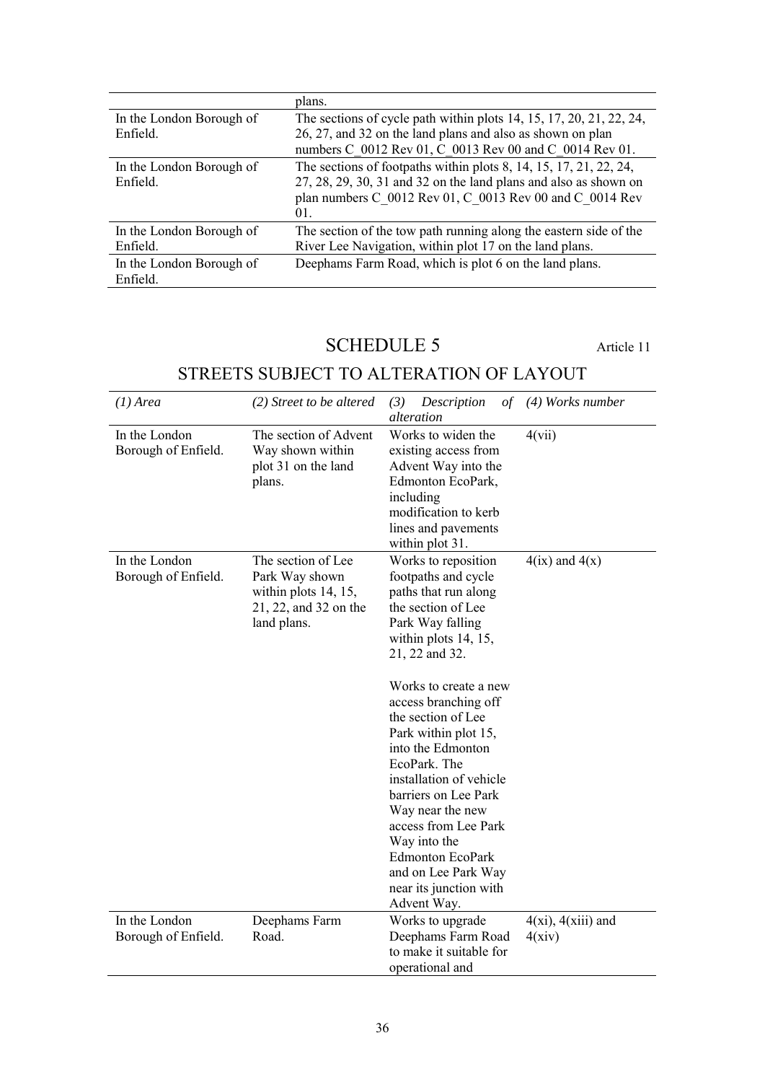|                          | plans.                                                              |
|--------------------------|---------------------------------------------------------------------|
| In the London Borough of | The sections of cycle path within plots 14, 15, 17, 20, 21, 22, 24, |
| Enfield.                 | 26, 27, and 32 on the land plans and also as shown on plan          |
|                          | numbers C 0012 Rev 01, C 0013 Rev 00 and C 0014 Rev 01.             |
| In the London Borough of | The sections of footpaths within plots 8, 14, 15, 17, 21, 22, 24,   |
| Enfield.                 | 27, 28, 29, 30, 31 and 32 on the land plans and also as shown on    |
|                          | plan numbers C 0012 Rev 01, C 0013 Rev 00 and C 0014 Rev            |
|                          | 01.                                                                 |
| In the London Borough of | The section of the tow path running along the eastern side of the   |
| Enfield.                 | River Lee Navigation, within plot 17 on the land plans.             |
| In the London Borough of | Deephams Farm Road, which is plot 6 on the land plans.              |
| Enfield.                 |                                                                     |

# SCHEDULE 5 Article 11

# <span id="page-35-0"></span>STREETS SUBJECT TO ALTERATION OF LAYOUT

| $(1)$ Area                           | (2) Street to be altered                                                                             | Description<br>(3)<br>οf<br>alteration                                                                                                                                                                                                                                                                                                                                                                                                                                                                  | $(4)$ Works number      |
|--------------------------------------|------------------------------------------------------------------------------------------------------|---------------------------------------------------------------------------------------------------------------------------------------------------------------------------------------------------------------------------------------------------------------------------------------------------------------------------------------------------------------------------------------------------------------------------------------------------------------------------------------------------------|-------------------------|
| In the London<br>Borough of Enfield. | The section of Advent<br>Way shown within<br>plot 31 on the land<br>plans.                           | Works to widen the<br>existing access from<br>Advent Way into the<br>Edmonton EcoPark,<br>including<br>modification to kerb<br>lines and pavements<br>within plot 31.                                                                                                                                                                                                                                                                                                                                   | 4(vii)                  |
| In the London<br>Borough of Enfield. | The section of Lee<br>Park Way shown<br>within plots 14, 15,<br>21, 22, and 32 on the<br>land plans. | Works to reposition<br>footpaths and cycle<br>paths that run along<br>the section of Lee<br>Park Way falling<br>within plots $14, 15$ ,<br>21, 22 and 32.<br>Works to create a new<br>access branching off<br>the section of Lee<br>Park within plot 15,<br>into the Edmonton<br>EcoPark. The<br>installation of vehicle<br>barriers on Lee Park<br>Way near the new<br>access from Lee Park<br>Way into the<br><b>Edmonton EcoPark</b><br>and on Lee Park Way<br>near its junction with<br>Advent Way. | $4(ix)$ and $4(x)$      |
| In the London                        | Deephams Farm                                                                                        | Works to upgrade                                                                                                                                                                                                                                                                                                                                                                                                                                                                                        | $4(xi)$ , $4(xiii)$ and |
| Borough of Enfield.                  | Road.                                                                                                | Deephams Farm Road<br>to make it suitable for<br>operational and                                                                                                                                                                                                                                                                                                                                                                                                                                        | 4(xiv)                  |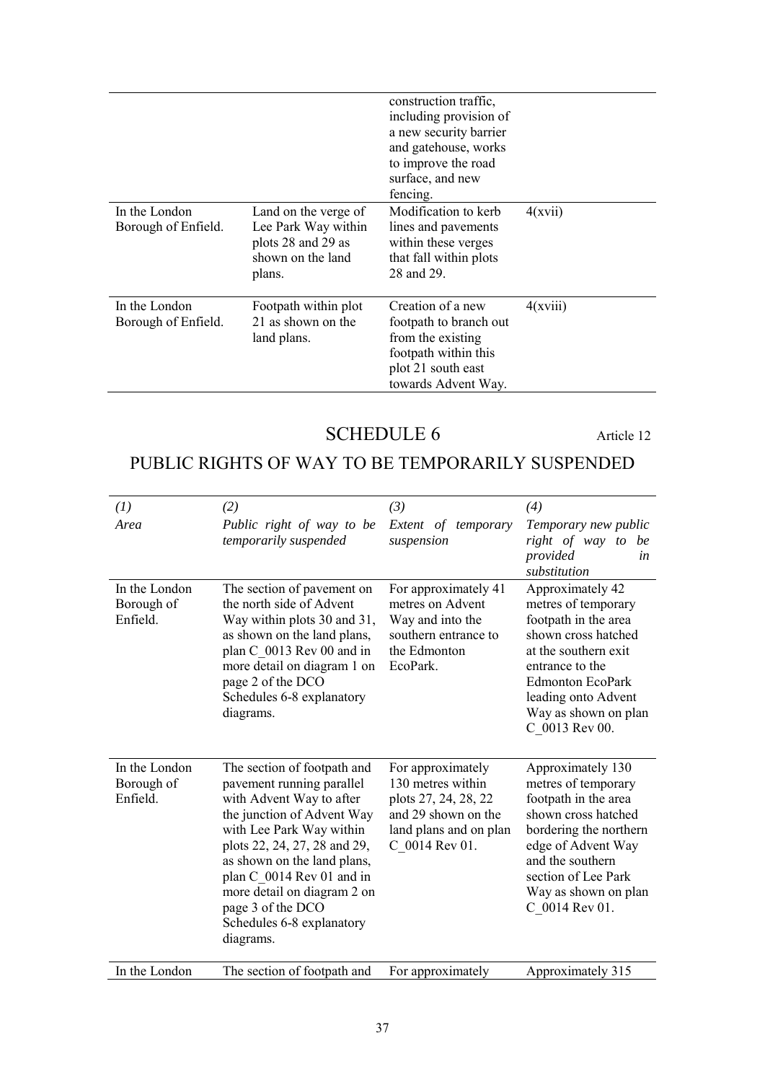|                                      |                                                                                                  | construction traffic,<br>including provision of<br>a new security barrier<br>and gatehouse, works<br>to improve the road<br>surface, and new<br>fencing. |          |
|--------------------------------------|--------------------------------------------------------------------------------------------------|----------------------------------------------------------------------------------------------------------------------------------------------------------|----------|
| In the London<br>Borough of Enfield. | Land on the verge of<br>Lee Park Way within<br>plots 28 and 29 as<br>shown on the land<br>plans. | Modification to kerb<br>lines and pavements<br>within these verges<br>that fall within plots<br>28 and 29.                                               | 4(xvii)  |
| In the London<br>Borough of Enfield. | Footpath within plot<br>21 as shown on the<br>land plans.                                        | Creation of a new<br>footpath to branch out<br>from the existing<br>footpath within this<br>plot 21 south east<br>towards Advent Way.                    | 4(xviii) |

# SCHEDULE 6 Article 12

# <span id="page-36-0"></span>PUBLIC RIGHTS OF WAY TO BE TEMPORARILY SUSPENDED

| (1)                                     | (2)                                                                                                                                                                                                                                                                                                                                      | (3)                                                                                                                               | (4)                                                                                                                                                                                                                           |
|-----------------------------------------|------------------------------------------------------------------------------------------------------------------------------------------------------------------------------------------------------------------------------------------------------------------------------------------------------------------------------------------|-----------------------------------------------------------------------------------------------------------------------------------|-------------------------------------------------------------------------------------------------------------------------------------------------------------------------------------------------------------------------------|
| Area                                    | Public right of way to be<br>temporarily suspended                                                                                                                                                                                                                                                                                       | Extent of temporary<br>suspension                                                                                                 | Temporary new public<br>right of way to be<br>provided<br>in<br>substitution                                                                                                                                                  |
| In the London<br>Borough of<br>Enfield. | The section of pavement on<br>the north side of Advent<br>Way within plots 30 and 31,<br>as shown on the land plans,<br>plan C_0013 Rev 00 and in<br>more detail on diagram 1 on<br>page 2 of the DCO<br>Schedules 6-8 explanatory<br>diagrams.                                                                                          | For approximately 41<br>metres on Advent<br>Way and into the<br>southern entrance to<br>the Edmonton<br>EcoPark.                  | Approximately 42<br>metres of temporary<br>footpath in the area<br>shown cross hatched<br>at the southern exit<br>entrance to the<br><b>Edmonton EcoPark</b><br>leading onto Advent<br>Way as shown on plan<br>C_0013 Rev 00. |
| In the London<br>Borough of<br>Enfield. | The section of footpath and<br>pavement running parallel<br>with Advent Way to after<br>the junction of Advent Way<br>with Lee Park Way within<br>plots 22, 24, 27, 28 and 29,<br>as shown on the land plans,<br>plan C_0014 Rev 01 and in<br>more detail on diagram 2 on<br>page 3 of the DCO<br>Schedules 6-8 explanatory<br>diagrams. | For approximately<br>130 metres within<br>plots 27, 24, 28, 22<br>and 29 shown on the<br>land plans and on plan<br>C_0014 Rev 01. | Approximately 130<br>metres of temporary<br>footpath in the area<br>shown cross hatched<br>bordering the northern<br>edge of Advent Way<br>and the southern<br>section of Lee Park<br>Way as shown on plan<br>C_0014 Rev 01.  |
| In the London                           | The section of footpath and                                                                                                                                                                                                                                                                                                              | For approximately                                                                                                                 | Approximately 315                                                                                                                                                                                                             |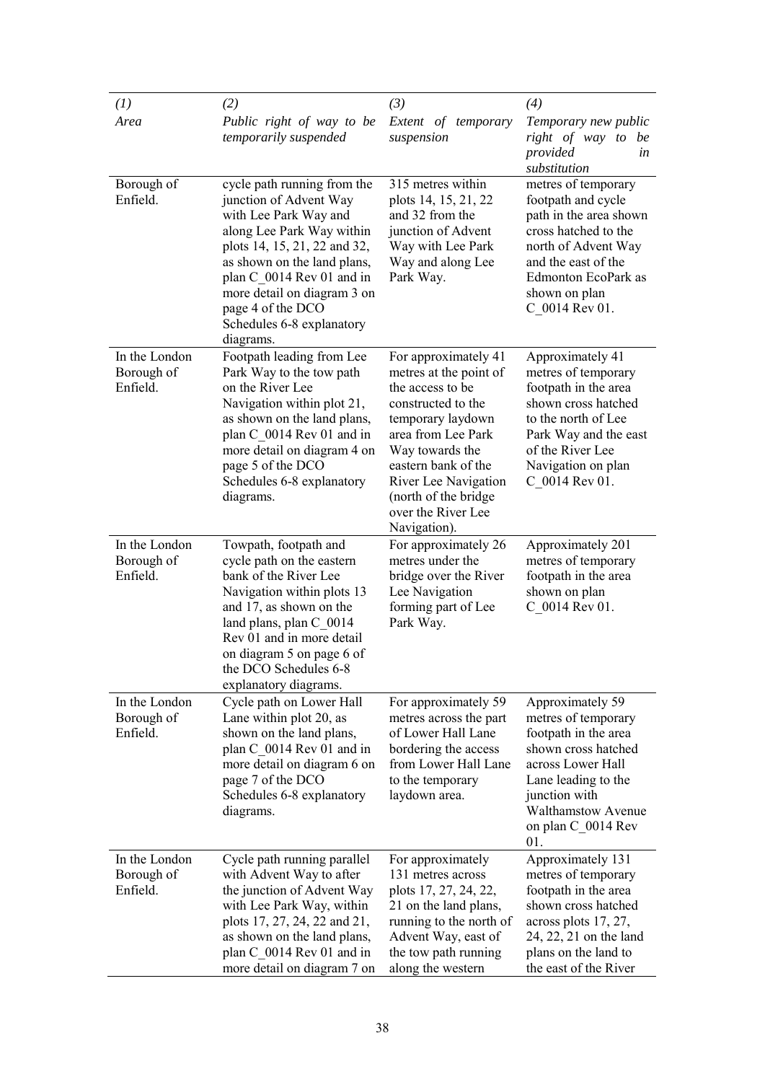| (1)                                     | (2)                                                                                                                                                                                                                                                                                                   | (3)                                                                                                                                                                                                                                                                 | (4)                                                                                                                                                                                                           |
|-----------------------------------------|-------------------------------------------------------------------------------------------------------------------------------------------------------------------------------------------------------------------------------------------------------------------------------------------------------|---------------------------------------------------------------------------------------------------------------------------------------------------------------------------------------------------------------------------------------------------------------------|---------------------------------------------------------------------------------------------------------------------------------------------------------------------------------------------------------------|
| Area                                    | Public right of way to be<br>temporarily suspended                                                                                                                                                                                                                                                    | Extent of temporary<br>suspension                                                                                                                                                                                                                                   | Temporary new public<br>right of way to be<br>provided<br>in<br>substitution                                                                                                                                  |
| Borough of<br>Enfield.                  | cycle path running from the<br>junction of Advent Way<br>with Lee Park Way and<br>along Lee Park Way within<br>plots 14, 15, 21, 22 and 32,<br>as shown on the land plans,<br>plan C 0014 Rev 01 and in<br>more detail on diagram 3 on<br>page 4 of the DCO<br>Schedules 6-8 explanatory<br>diagrams. | 315 metres within<br>plots 14, 15, 21, 22<br>and 32 from the<br>junction of Advent<br>Way with Lee Park<br>Way and along Lee<br>Park Way.                                                                                                                           | metres of temporary<br>footpath and cycle<br>path in the area shown<br>cross hatched to the<br>north of Advent Way<br>and the east of the<br>Edmonton EcoPark as<br>shown on plan<br>C 0014 Rev 01.           |
| In the London<br>Borough of<br>Enfield. | Footpath leading from Lee<br>Park Way to the tow path<br>on the River Lee<br>Navigation within plot 21,<br>as shown on the land plans,<br>plan C 0014 Rev 01 and in<br>more detail on diagram 4 on<br>page 5 of the DCO<br>Schedules 6-8 explanatory<br>diagrams.                                     | For approximately 41<br>metres at the point of<br>the access to be<br>constructed to the<br>temporary laydown<br>area from Lee Park<br>Way towards the<br>eastern bank of the<br>River Lee Navigation<br>(north of the bridge<br>over the River Lee<br>Navigation). | Approximately 41<br>metres of temporary<br>footpath in the area<br>shown cross hatched<br>to the north of Lee<br>Park Way and the east<br>of the River Lee<br>Navigation on plan<br>C_0014 Rev 01.            |
| In the London<br>Borough of<br>Enfield. | Towpath, footpath and<br>cycle path on the eastern<br>bank of the River Lee<br>Navigation within plots 13<br>and 17, as shown on the<br>land plans, plan C_0014<br>Rev 01 and in more detail<br>on diagram 5 on page 6 of<br>the DCO Schedules 6-8<br>explanatory diagrams.                           | For approximately 26<br>metres under the<br>bridge over the River<br>Lee Navigation<br>forming part of Lee<br>Park Way.                                                                                                                                             | Approximately 201<br>metres of temporary<br>footpath in the area<br>shown on plan<br>C 0014 Rev 01.                                                                                                           |
| In the London<br>Borough of<br>Enfield. | Cycle path on Lower Hall<br>Lane within plot 20, as<br>shown on the land plans,<br>plan C_0014 Rev 01 and in<br>more detail on diagram 6 on<br>page 7 of the DCO<br>Schedules 6-8 explanatory<br>diagrams.                                                                                            | For approximately 59<br>metres across the part<br>of Lower Hall Lane<br>bordering the access<br>from Lower Hall Lane<br>to the temporary<br>laydown area.                                                                                                           | Approximately 59<br>metres of temporary<br>footpath in the area<br>shown cross hatched<br>across Lower Hall<br>Lane leading to the<br>junction with<br><b>Walthamstow Avenue</b><br>on plan C_0014 Rev<br>01. |
| In the London<br>Borough of<br>Enfield. | Cycle path running parallel<br>with Advent Way to after<br>the junction of Advent Way<br>with Lee Park Way, within<br>plots 17, 27, 24, 22 and 21,<br>as shown on the land plans,<br>plan C_0014 Rev 01 and in<br>more detail on diagram 7 on                                                         | For approximately<br>131 metres across<br>plots 17, 27, 24, 22,<br>21 on the land plans,<br>running to the north of<br>Advent Way, east of<br>the tow path running<br>along the western                                                                             | Approximately 131<br>metres of temporary<br>footpath in the area<br>shown cross hatched<br>across plots 17, 27,<br>24, 22, 21 on the land<br>plans on the land to<br>the east of the River                    |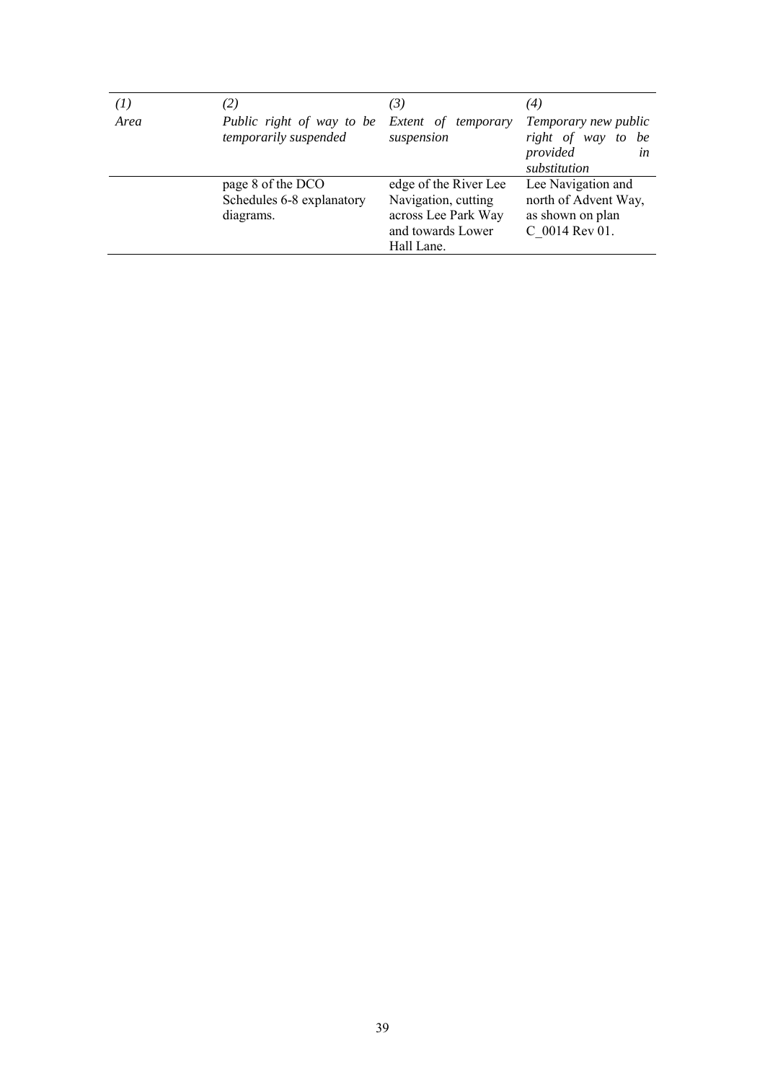| $^{(1)}$ | $\left( 2\right)$                                           | $\mathcal{F}(\mathcal{S})$                                                                             | $\left( 4\right)$                                                                  |
|----------|-------------------------------------------------------------|--------------------------------------------------------------------------------------------------------|------------------------------------------------------------------------------------|
| Area     | Public right of way to be<br>temporarily suspended          | Extent of temporary<br>suspension                                                                      | Temporary new public<br>right of way<br>be<br>to<br>provided<br>in<br>substitution |
|          | page 8 of the DCO<br>Schedules 6-8 explanatory<br>diagrams. | edge of the River Lee<br>Navigation, cutting<br>across Lee Park Way<br>and towards Lower<br>Hall Lane. | Lee Navigation and<br>north of Advent Way,<br>as shown on plan<br>C 0014 Rev 01.   |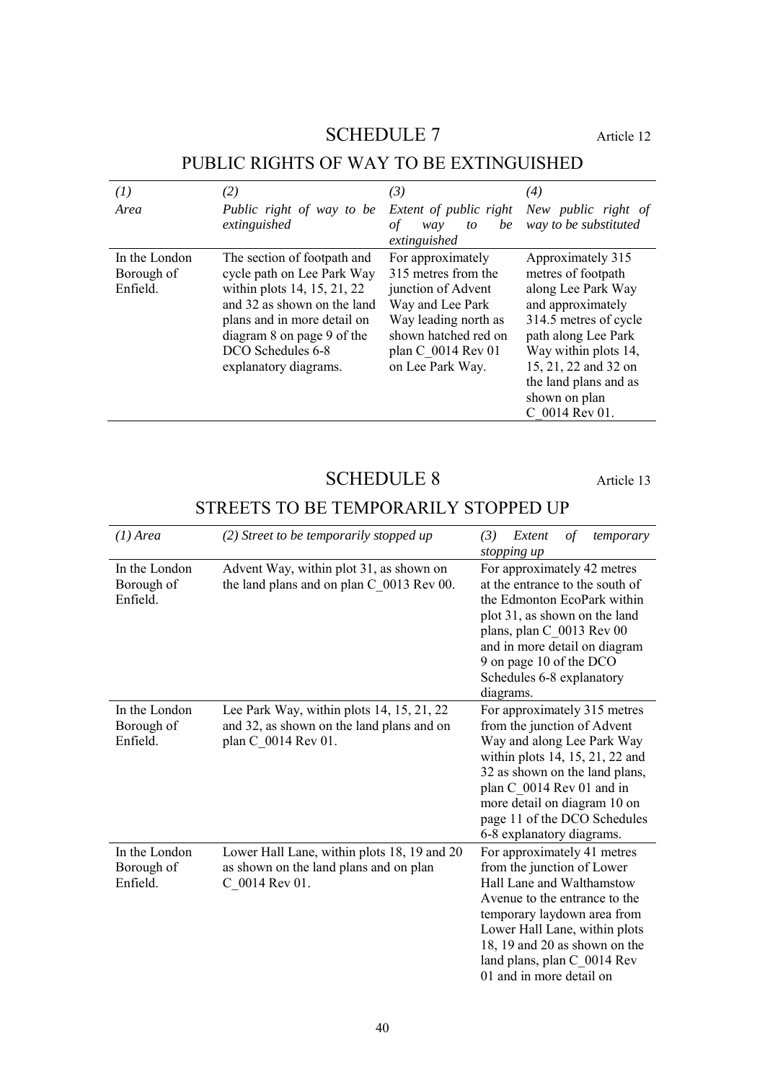# SCHEDULE 7 Article 12

<span id="page-39-0"></span>

| (1)<br>Area                             | (2)<br>Public right of way to be                                                                                                                                                                                                   | (3)                                                                                                                                                                          | $\left( 4\right)$<br>New public right of                                                                                                                                                                                                       |
|-----------------------------------------|------------------------------------------------------------------------------------------------------------------------------------------------------------------------------------------------------------------------------------|------------------------------------------------------------------------------------------------------------------------------------------------------------------------------|------------------------------------------------------------------------------------------------------------------------------------------------------------------------------------------------------------------------------------------------|
|                                         | extinguished                                                                                                                                                                                                                       | Extent of public right<br>be<br>to<br>οf<br>way<br>extinguished                                                                                                              | way to be substituted                                                                                                                                                                                                                          |
| In the London<br>Borough of<br>Enfield. | The section of footpath and<br>cycle path on Lee Park Way<br>within plots 14, 15, 21, 22<br>and 32 as shown on the land<br>plans and in more detail on<br>diagram 8 on page 9 of the<br>DCO Schedules 6-8<br>explanatory diagrams. | For approximately<br>315 metres from the<br>junction of Advent<br>Way and Lee Park<br>Way leading north as<br>shown hatched red on<br>plan C 0014 Rev 01<br>on Lee Park Way. | Approximately 315<br>metres of footpath<br>along Lee Park Way<br>and approximately<br>314.5 metres of cycle<br>path along Lee Park<br>Way within plots 14,<br>15, 21, 22 and 32 on<br>the land plans and as<br>shown on plan<br>C 0014 Rev 01. |

# PUBLIC RIGHTS OF WAY TO BE EXTINGUISHED

# SCHEDULE 8 Article 13

# STREETS TO BE TEMPORARILY STOPPED UP

<span id="page-39-1"></span>

| $(1)$ Area                              | (2) Street to be temporarily stopped up                                                                       | (3)<br>Extent<br>temporary<br>οf<br>stopping up                                                                                                                                                                                                                                          |
|-----------------------------------------|---------------------------------------------------------------------------------------------------------------|------------------------------------------------------------------------------------------------------------------------------------------------------------------------------------------------------------------------------------------------------------------------------------------|
| In the London<br>Borough of<br>Enfield. | Advent Way, within plot 31, as shown on<br>the land plans and on plan C_0013 Rev 00.                          | For approximately 42 metres<br>at the entrance to the south of<br>the Edmonton EcoPark within<br>plot 31, as shown on the land<br>plans, plan C 0013 Rev 00<br>and in more detail on diagram<br>9 on page 10 of the DCO<br>Schedules 6-8 explanatory<br>diagrams.                        |
| In the London<br>Borough of<br>Enfield. | Lee Park Way, within plots 14, 15, 21, 22<br>and 32, as shown on the land plans and on<br>plan C_0014 Rev 01. | For approximately 315 metres<br>from the junction of Advent<br>Way and along Lee Park Way<br>within plots 14, 15, 21, 22 and<br>32 as shown on the land plans,<br>plan C 0014 Rev 01 and in<br>more detail on diagram 10 on<br>page 11 of the DCO Schedules<br>6-8 explanatory diagrams. |
| In the London<br>Borough of<br>Enfield. | Lower Hall Lane, within plots 18, 19 and 20<br>as shown on the land plans and on plan<br>C_0014 Rev 01.       | For approximately 41 metres<br>from the junction of Lower<br>Hall Lane and Walthamstow<br>Avenue to the entrance to the<br>temporary laydown area from<br>Lower Hall Lane, within plots<br>18, 19 and 20 as shown on the<br>land plans, plan C_0014 Rev<br>01 and in more detail on      |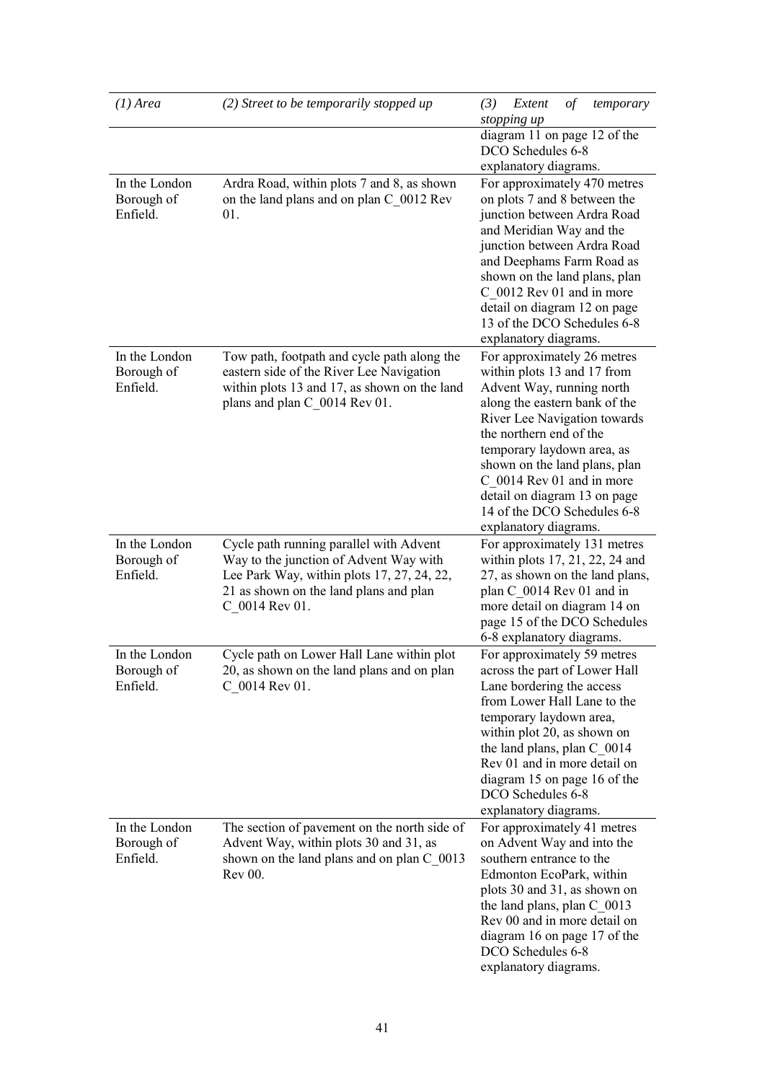| $(1)$ Area                  | (2) Street to be temporarily stopped up                                                 | (3)<br>Extent<br>οf<br>temporary<br>stopping up             |
|-----------------------------|-----------------------------------------------------------------------------------------|-------------------------------------------------------------|
|                             |                                                                                         | diagram 11 on page 12 of the<br>DCO Schedules 6-8           |
|                             |                                                                                         | explanatory diagrams.                                       |
| In the London               | Ardra Road, within plots 7 and 8, as shown                                              | For approximately 470 metres                                |
| Borough of                  | on the land plans and on plan C_0012 Rev                                                | on plots 7 and 8 between the                                |
| Enfield.                    | 01.                                                                                     | junction between Ardra Road                                 |
|                             |                                                                                         | and Meridian Way and the                                    |
|                             |                                                                                         | junction between Ardra Road                                 |
|                             |                                                                                         | and Deephams Farm Road as                                   |
|                             |                                                                                         | shown on the land plans, plan                               |
|                             |                                                                                         | C_0012 Rev 01 and in more                                   |
|                             |                                                                                         | detail on diagram 12 on page<br>13 of the DCO Schedules 6-8 |
|                             |                                                                                         |                                                             |
|                             |                                                                                         | explanatory diagrams.                                       |
| In the London<br>Borough of | Tow path, footpath and cycle path along the<br>eastern side of the River Lee Navigation | For approximately 26 metres<br>within plots 13 and 17 from  |
| Enfield.                    | within plots 13 and 17, as shown on the land                                            | Advent Way, running north                                   |
|                             | plans and plan C_0014 Rev 01.                                                           | along the eastern bank of the                               |
|                             |                                                                                         | River Lee Navigation towards                                |
|                             |                                                                                         | the northern end of the                                     |
|                             |                                                                                         | temporary laydown area, as                                  |
|                             |                                                                                         | shown on the land plans, plan                               |
|                             |                                                                                         | C 0014 Rev 01 and in more                                   |
|                             |                                                                                         | detail on diagram 13 on page<br>14 of the DCO Schedules 6-8 |
|                             |                                                                                         | explanatory diagrams.                                       |
| In the London               | Cycle path running parallel with Advent                                                 | For approximately 131 metres                                |
| Borough of                  | Way to the junction of Advent Way with                                                  | within plots 17, 21, 22, 24 and                             |
| Enfield.                    | Lee Park Way, within plots 17, 27, 24, 22,                                              | 27, as shown on the land plans,                             |
|                             | 21 as shown on the land plans and plan                                                  | plan C_0014 Rev 01 and in                                   |
|                             | C_0014 Rev 01.                                                                          | more detail on diagram 14 on                                |
|                             |                                                                                         | page 15 of the DCO Schedules                                |
|                             |                                                                                         | 6-8 explanatory diagrams.                                   |
| In the London               | Cycle path on Lower Hall Lane within plot                                               | For approximately 59 metres                                 |
| Borough of<br>Enfield.      | 20, as shown on the land plans and on plan                                              | across the part of Lower Hall                               |
|                             | C 0014 Rev 01.                                                                          | Lane bordering the access<br>from Lower Hall Lane to the    |
|                             |                                                                                         | temporary laydown area,                                     |
|                             |                                                                                         | within plot 20, as shown on                                 |
|                             |                                                                                         | the land plans, plan C_0014                                 |
|                             |                                                                                         | Rev 01 and in more detail on                                |
|                             |                                                                                         | diagram 15 on page 16 of the                                |
|                             |                                                                                         | DCO Schedules 6-8                                           |
|                             |                                                                                         | explanatory diagrams.                                       |
| In the London               | The section of pavement on the north side of                                            | For approximately 41 metres                                 |
| Borough of<br>Enfield.      | Advent Way, within plots 30 and 31, as<br>shown on the land plans and on plan C_0013    | on Advent Way and into the<br>southern entrance to the      |
|                             | Rev 00.                                                                                 | Edmonton EcoPark, within                                    |
|                             |                                                                                         | plots 30 and 31, as shown on                                |
|                             |                                                                                         | the land plans, plan $C_{0013}$                             |
|                             |                                                                                         | Rev 00 and in more detail on                                |
|                             |                                                                                         | diagram 16 on page 17 of the                                |
|                             |                                                                                         | DCO Schedules 6-8                                           |
|                             |                                                                                         | explanatory diagrams.                                       |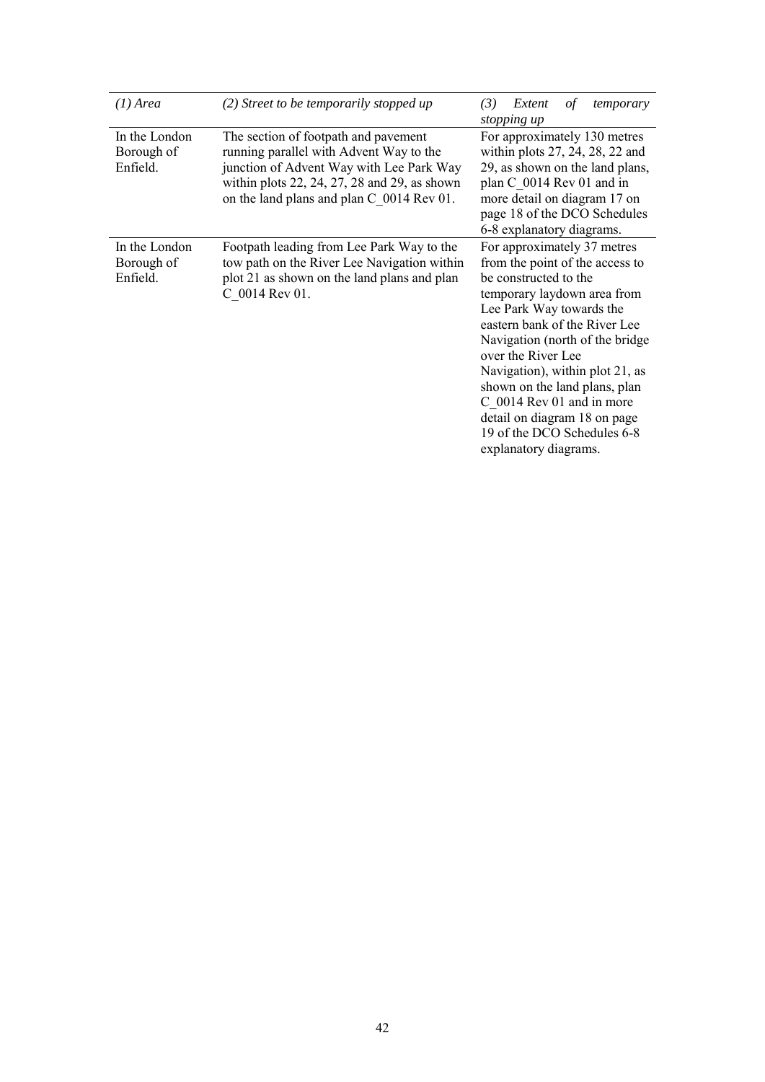| $(1)$ Area                              | (2) Street to be temporarily stopped up                                                                                                                                                                                                | (3)<br>Extent<br>of<br>temporary<br>stopping up                                                                                                                                                                                                                                                                                                                                                                                       |
|-----------------------------------------|----------------------------------------------------------------------------------------------------------------------------------------------------------------------------------------------------------------------------------------|---------------------------------------------------------------------------------------------------------------------------------------------------------------------------------------------------------------------------------------------------------------------------------------------------------------------------------------------------------------------------------------------------------------------------------------|
| In the London<br>Borough of<br>Enfield. | The section of footpath and pavement<br>running parallel with Advent Way to the<br>junction of Advent Way with Lee Park Way<br>within plots $22$ , $24$ , $27$ , $28$ and $29$ , as shown<br>on the land plans and plan C 0014 Rev 01. | For approximately 130 metres<br>within plots 27, 24, 28, 22 and<br>29, as shown on the land plans,<br>plan C 0014 Rev 01 and in<br>more detail on diagram 17 on<br>page 18 of the DCO Schedules<br>6-8 explanatory diagrams.                                                                                                                                                                                                          |
| In the London<br>Borough of<br>Enfield. | Footpath leading from Lee Park Way to the<br>tow path on the River Lee Navigation within<br>plot 21 as shown on the land plans and plan<br>C 0014 Rev 01.                                                                              | For approximately 37 metres<br>from the point of the access to<br>be constructed to the<br>temporary laydown area from<br>Lee Park Way towards the<br>eastern bank of the River Lee<br>Navigation (north of the bridge<br>over the River Lee<br>Navigation), within plot 21, as<br>shown on the land plans, plan<br>C 0014 Rev 01 and in more<br>detail on diagram 18 on page<br>19 of the DCO Schedules 6-8<br>explanatory diagrams. |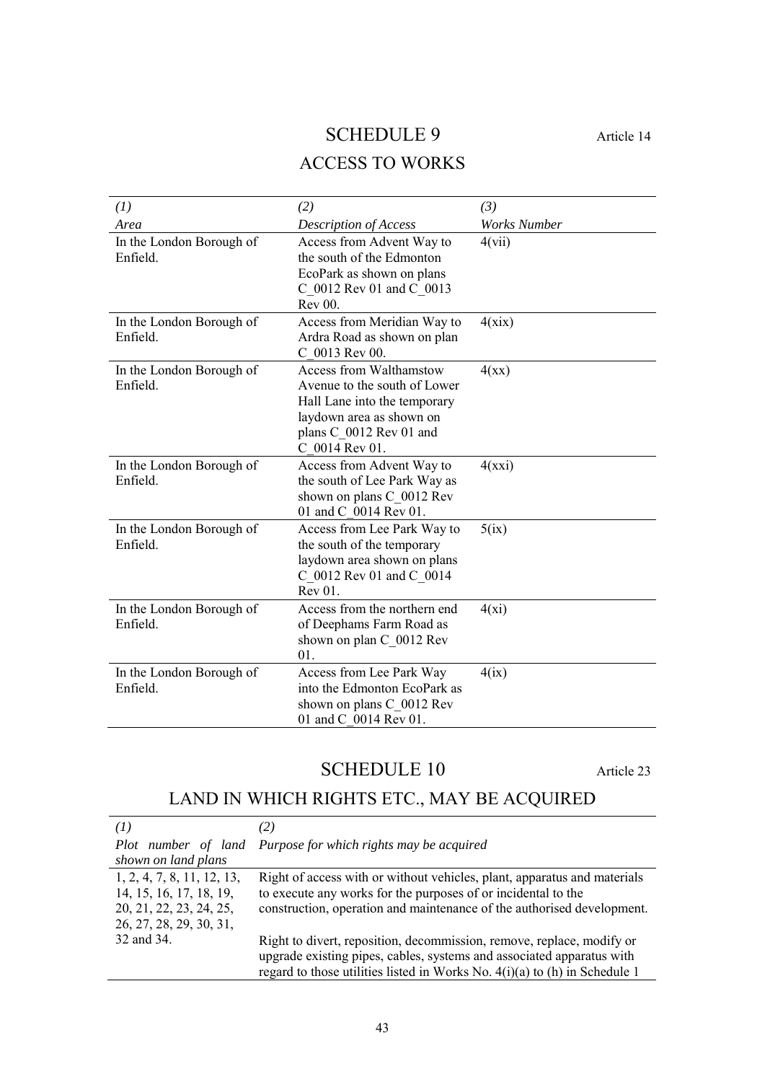# SCHEDULE 9 Article 14

# ACCESS TO WORKS

<span id="page-42-0"></span>

| (1)                                  | (2)                                                                                                                                                                     | (3)                 |
|--------------------------------------|-------------------------------------------------------------------------------------------------------------------------------------------------------------------------|---------------------|
| Area                                 | <b>Description of Access</b>                                                                                                                                            | <b>Works Number</b> |
| In the London Borough of<br>Enfield. | Access from Advent Way to<br>the south of the Edmonton<br>EcoPark as shown on plans<br>C_0012 Rev 01 and C_0013<br><b>Rev 00.</b>                                       | 4(vii)              |
| In the London Borough of<br>Enfield. | Access from Meridian Way to<br>Ardra Road as shown on plan<br>C 0013 Rev 00.                                                                                            | 4(xix)              |
| In the London Borough of<br>Enfield. | <b>Access from Walthamstow</b><br>Avenue to the south of Lower<br>Hall Lane into the temporary<br>laydown area as shown on<br>plans C 0012 Rev 01 and<br>C 0014 Rev 01. | 4(xx)               |
| In the London Borough of<br>Enfield. | Access from Advent Way to<br>the south of Lee Park Way as<br>shown on plans C_0012 Rev<br>01 and C 0014 Rev 01.                                                         | 4(xxi)              |
| In the London Borough of<br>Enfield. | Access from Lee Park Way to<br>the south of the temporary<br>laydown area shown on plans<br>C 0012 Rev 01 and C 0014<br>Rev 01.                                         | 5(ix)               |
| In the London Borough of<br>Enfield. | Access from the northern end<br>of Deephams Farm Road as<br>shown on plan C_0012 Rev<br>01                                                                              | 4(xi)               |
| In the London Borough of<br>Enfield. | Access from Lee Park Way<br>into the Edmonton EcoPark as<br>shown on plans C 0012 Rev<br>01 and C 0014 Rev 01.                                                          | 4(ix)               |

# SCHEDULE 10 Article 23

# <span id="page-42-1"></span>LAND IN WHICH RIGHTS ETC., MAY BE ACQUIRED

| (1)                                                                                                         |                                                                                                                                                                                                                                |
|-------------------------------------------------------------------------------------------------------------|--------------------------------------------------------------------------------------------------------------------------------------------------------------------------------------------------------------------------------|
| shown on land plans                                                                                         | Plot number of land Purpose for which rights may be acquired                                                                                                                                                                   |
| 1, 2, 4, 7, 8, 11, 12, 13,<br>14, 15, 16, 17, 18, 19,<br>20, 21, 22, 23, 24, 25,<br>26, 27, 28, 29, 30, 31, | Right of access with or without vehicles, plant, apparatus and materials<br>to execute any works for the purposes of or incidental to the<br>construction, operation and maintenance of the authorised development.            |
| 32 and 34.                                                                                                  | Right to divert, reposition, decommission, remove, replace, modify or<br>upgrade existing pipes, cables, systems and associated apparatus with<br>regard to those utilities listed in Works No. $4(i)(a)$ to (h) in Schedule 1 |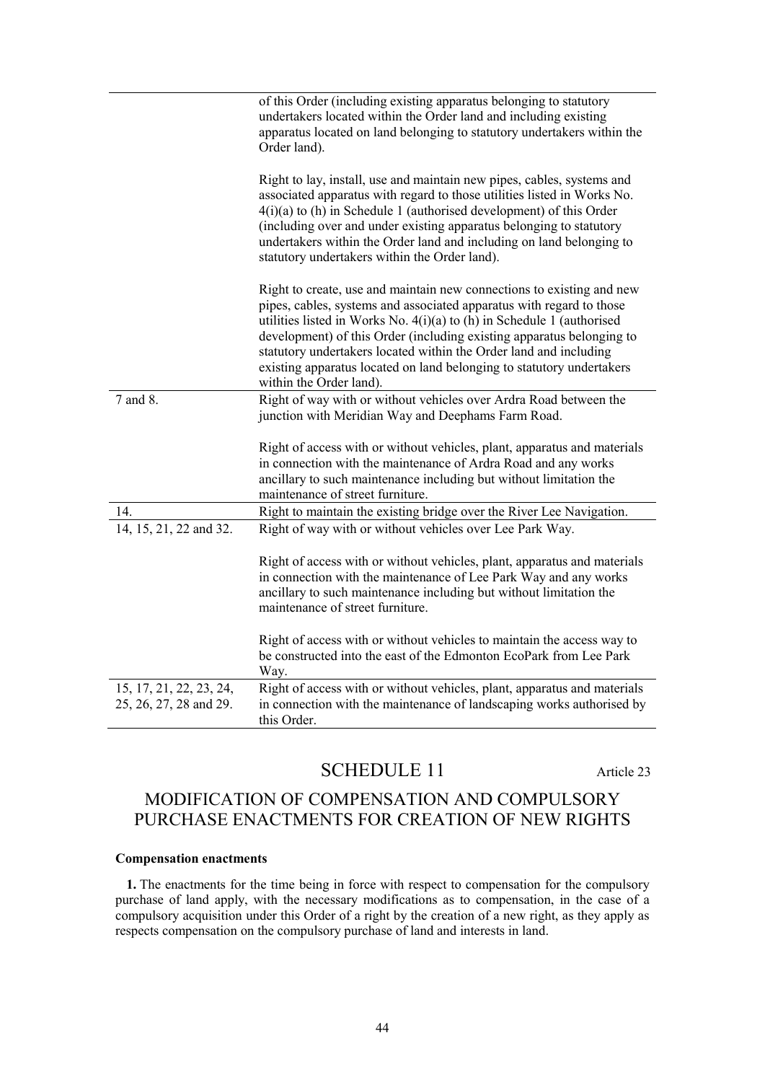|                                                   | of this Order (including existing apparatus belonging to statutory<br>undertakers located within the Order land and including existing<br>apparatus located on land belonging to statutory undertakers within the<br>Order land).                                                                                                                                                                                                                                           |
|---------------------------------------------------|-----------------------------------------------------------------------------------------------------------------------------------------------------------------------------------------------------------------------------------------------------------------------------------------------------------------------------------------------------------------------------------------------------------------------------------------------------------------------------|
|                                                   | Right to lay, install, use and maintain new pipes, cables, systems and<br>associated apparatus with regard to those utilities listed in Works No.<br>$4(i)(a)$ to (h) in Schedule 1 (authorised development) of this Order<br>(including over and under existing apparatus belonging to statutory<br>undertakers within the Order land and including on land belonging to<br>statutory undertakers within the Order land).                                                  |
|                                                   | Right to create, use and maintain new connections to existing and new<br>pipes, cables, systems and associated apparatus with regard to those<br>utilities listed in Works No. $4(i)(a)$ to (h) in Schedule 1 (authorised<br>development) of this Order (including existing apparatus belonging to<br>statutory undertakers located within the Order land and including<br>existing apparatus located on land belonging to statutory undertakers<br>within the Order land). |
| 7 and 8.                                          | Right of way with or without vehicles over Ardra Road between the<br>junction with Meridian Way and Deephams Farm Road.                                                                                                                                                                                                                                                                                                                                                     |
|                                                   | Right of access with or without vehicles, plant, apparatus and materials<br>in connection with the maintenance of Ardra Road and any works<br>ancillary to such maintenance including but without limitation the<br>maintenance of street furniture.                                                                                                                                                                                                                        |
| 14.                                               | Right to maintain the existing bridge over the River Lee Navigation.                                                                                                                                                                                                                                                                                                                                                                                                        |
| 14, 15, 21, 22 and 32.                            | Right of way with or without vehicles over Lee Park Way.                                                                                                                                                                                                                                                                                                                                                                                                                    |
|                                                   | Right of access with or without vehicles, plant, apparatus and materials<br>in connection with the maintenance of Lee Park Way and any works<br>ancillary to such maintenance including but without limitation the<br>maintenance of street furniture.                                                                                                                                                                                                                      |
|                                                   | Right of access with or without vehicles to maintain the access way to<br>be constructed into the east of the Edmonton EcoPark from Lee Park<br>Way.                                                                                                                                                                                                                                                                                                                        |
| 15, 17, 21, 22, 23, 24,<br>25, 26, 27, 28 and 29. | Right of access with or without vehicles, plant, apparatus and materials<br>in connection with the maintenance of landscaping works authorised by<br>this Order.                                                                                                                                                                                                                                                                                                            |

# SCHEDULE 11 Article 23

# <span id="page-43-0"></span>MODIFICATION OF COMPENSATION AND COMPULSORY PURCHASE ENACTMENTS FOR CREATION OF NEW RIGHTS

### **Compensation enactments**

**1.** The enactments for the time being in force with respect to compensation for the compulsory purchase of land apply, with the necessary modifications as to compensation, in the case of a compulsory acquisition under this Order of a right by the creation of a new right, as they apply as respects compensation on the compulsory purchase of land and interests in land.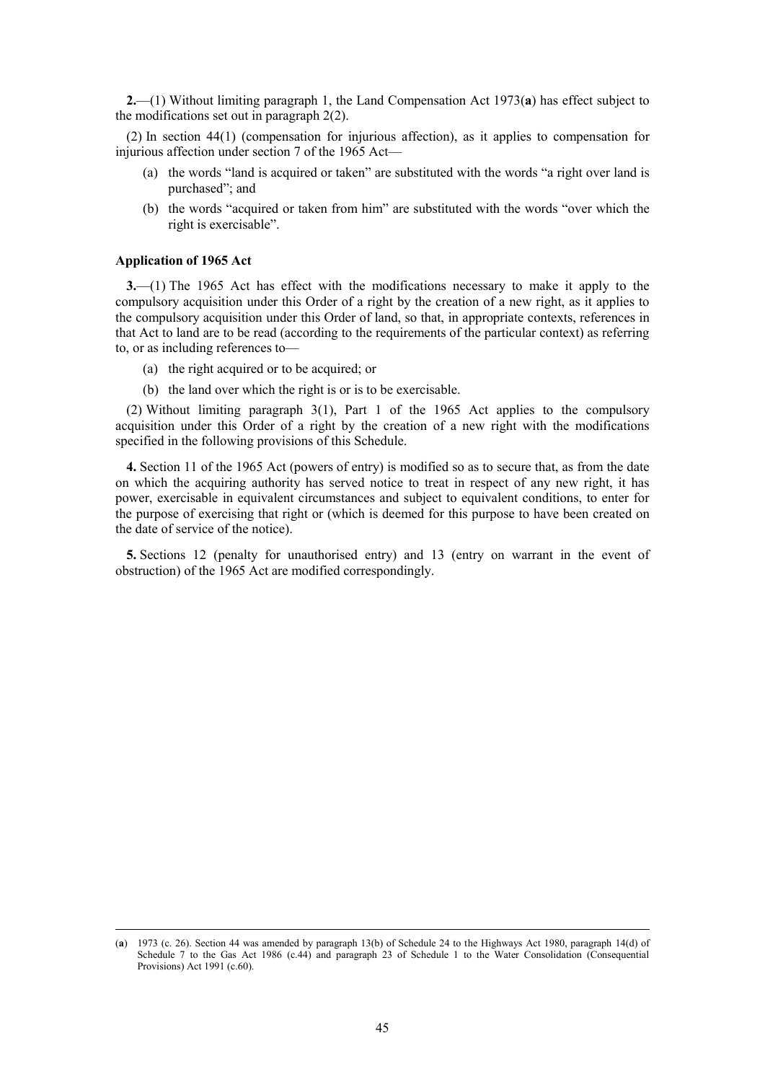**2.**—(1) Without limiting paragraph 1, the Land Compensation Act 1973(**a**) has effect subject to the modifications set out in paragraph 2(2).

(2) In section 44(1) (compensation for injurious affection), as it applies to compensation for injurious affection under section 7 of the 1965 Act—

- (a) the words "land is acquired or taken" are substituted with the words "a right over land is purchased"; and
- (b) the words "acquired or taken from him" are substituted with the words "over which the right is exercisable".

## **Application of 1965 Act**

 $\overline{a}$ 

**3.**—(1) The 1965 Act has effect with the modifications necessary to make it apply to the compulsory acquisition under this Order of a right by the creation of a new right, as it applies to the compulsory acquisition under this Order of land, so that, in appropriate contexts, references in that Act to land are to be read (according to the requirements of the particular context) as referring to, or as including references to—

- (a) the right acquired or to be acquired; or
- (b) the land over which the right is or is to be exercisable.

(2) Without limiting paragraph 3(1), Part 1 of the 1965 Act applies to the compulsory acquisition under this Order of a right by the creation of a new right with the modifications specified in the following provisions of this Schedule.

**4.** Section 11 of the 1965 Act (powers of entry) is modified so as to secure that, as from the date on which the acquiring authority has served notice to treat in respect of any new right, it has power, exercisable in equivalent circumstances and subject to equivalent conditions, to enter for the purpose of exercising that right or (which is deemed for this purpose to have been created on the date of service of the notice).

**5.** Sections 12 (penalty for unauthorised entry) and 13 (entry on warrant in the event of obstruction) of the 1965 Act are modified correspondingly.

<sup>(</sup>**a**) 1973 (c. 26). Section 44 was amended by paragraph 13(b) of Schedule 24 to the Highways Act 1980, paragraph 14(d) of Schedule 7 to the Gas Act 1986 (c.44) and paragraph 23 of Schedule 1 to the Water Consolidation (Consequential Provisions) Act 1991 (c.60).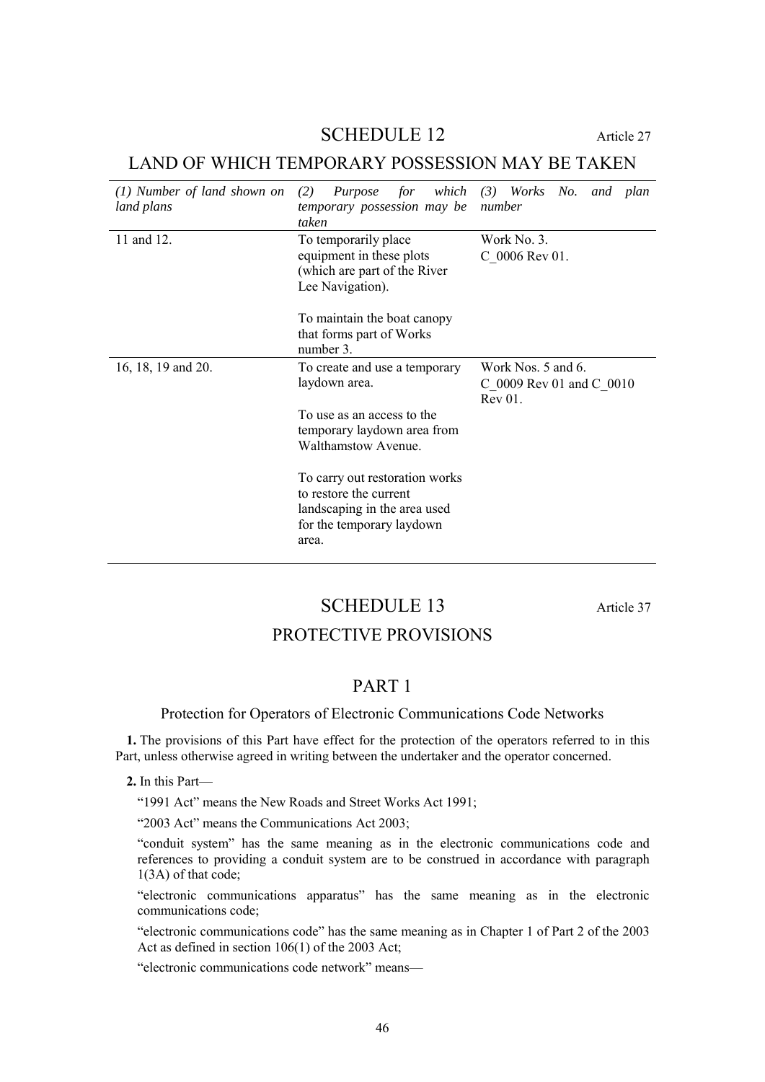## SCHEDULE 12 Article 27

# <span id="page-45-0"></span>LAND OF WHICH TEMPORARY POSSESSION MAY BE TAKEN

| (1) Number of land shown on<br>land plans | (2)<br>which<br>Purpose<br>for<br>temporary possession may be<br>taken                                                         | (3) Works No. and plan<br>number                          |
|-------------------------------------------|--------------------------------------------------------------------------------------------------------------------------------|-----------------------------------------------------------|
| 11 and 12.                                | To temporarily place<br>equipment in these plots<br>(which are part of the River)<br>Lee Navigation).                          | Work No. 3.<br>C 0006 Rev 01.                             |
|                                           | To maintain the boat canopy<br>that forms part of Works<br>number 3.                                                           |                                                           |
| 16, 18, 19 and 20.                        | To create and use a temporary<br>laydown area.                                                                                 | Work Nos. 5 and 6.<br>C 0009 Rev 01 and C 0010<br>Rev 01. |
|                                           | To use as an access to the<br>temporary laydown area from<br><b>Walthamstow Avenue.</b>                                        |                                                           |
|                                           | To carry out restoration works<br>to restore the current<br>landscaping in the area used<br>for the temporary laydown<br>area. |                                                           |

# SCHEDULE 13 Article 37

# PROTECTIVE PROVISIONS

# PART 1

## <span id="page-45-2"></span><span id="page-45-1"></span>Protection for Operators of Electronic Communications Code Networks

**1.** The provisions of this Part have effect for the protection of the operators referred to in this Part, unless otherwise agreed in writing between the undertaker and the operator concerned.

**2.** In this Part—

"1991 Act" means the New Roads and Street Works Act 1991;

"2003 Act" means the Communications Act 2003;

"conduit system" has the same meaning as in the electronic communications code and references to providing a conduit system are to be construed in accordance with paragraph 1(3A) of that code;

"electronic communications apparatus" has the same meaning as in the electronic communications code;

"electronic communications code" has the same meaning as in Chapter 1 of Part 2 of the 2003 Act as defined in section 106(1) of the 2003 Act;

"electronic communications code network" means—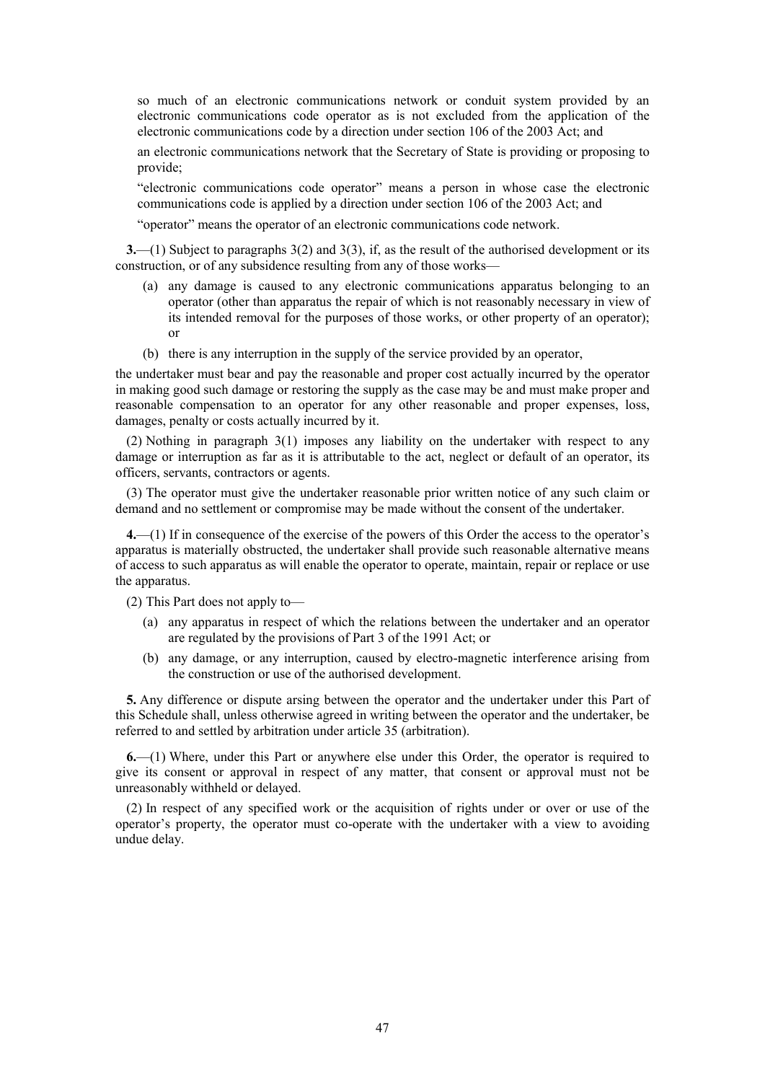so much of an electronic communications network or conduit system provided by an electronic communications code operator as is not excluded from the application of the electronic communications code by a direction under section 106 of the 2003 Act; and

an electronic communications network that the Secretary of State is providing or proposing to provide;

"electronic communications code operator" means a person in whose case the electronic communications code is applied by a direction under section 106 of the 2003 Act; and

"operator" means the operator of an electronic communications code network.

**3.**—(1) Subject to paragraphs 3(2) and 3(3), if, as the result of the authorised development or its construction, or of any subsidence resulting from any of those works—

- (a) any damage is caused to any electronic communications apparatus belonging to an operator (other than apparatus the repair of which is not reasonably necessary in view of its intended removal for the purposes of those works, or other property of an operator); or
- (b) there is any interruption in the supply of the service provided by an operator,

the undertaker must bear and pay the reasonable and proper cost actually incurred by the operator in making good such damage or restoring the supply as the case may be and must make proper and reasonable compensation to an operator for any other reasonable and proper expenses, loss, damages, penalty or costs actually incurred by it.

(2) Nothing in paragraph 3(1) imposes any liability on the undertaker with respect to any damage or interruption as far as it is attributable to the act, neglect or default of an operator, its officers, servants, contractors or agents.

(3) The operator must give the undertaker reasonable prior written notice of any such claim or demand and no settlement or compromise may be made without the consent of the undertaker.

**4.**—(1) If in consequence of the exercise of the powers of this Order the access to the operator's apparatus is materially obstructed, the undertaker shall provide such reasonable alternative means of access to such apparatus as will enable the operator to operate, maintain, repair or replace or use the apparatus.

(2) This Part does not apply to—

- (a) any apparatus in respect of which the relations between the undertaker and an operator are regulated by the provisions of Part 3 of the 1991 Act; or
- (b) any damage, or any interruption, caused by electro-magnetic interference arising from the construction or use of the authorised development.

**5.** Any difference or dispute arsing between the operator and the undertaker under this Part of this Schedule shall, unless otherwise agreed in writing between the operator and the undertaker, be referred to and settled by arbitration under article [35](#page-19-5) (arbitration).

**6.**—(1) Where, under this Part or anywhere else under this Order, the operator is required to give its consent or approval in respect of any matter, that consent or approval must not be unreasonably withheld or delayed.

(2) In respect of any specified work or the acquisition of rights under or over or use of the operator's property, the operator must co-operate with the undertaker with a view to avoiding undue delay.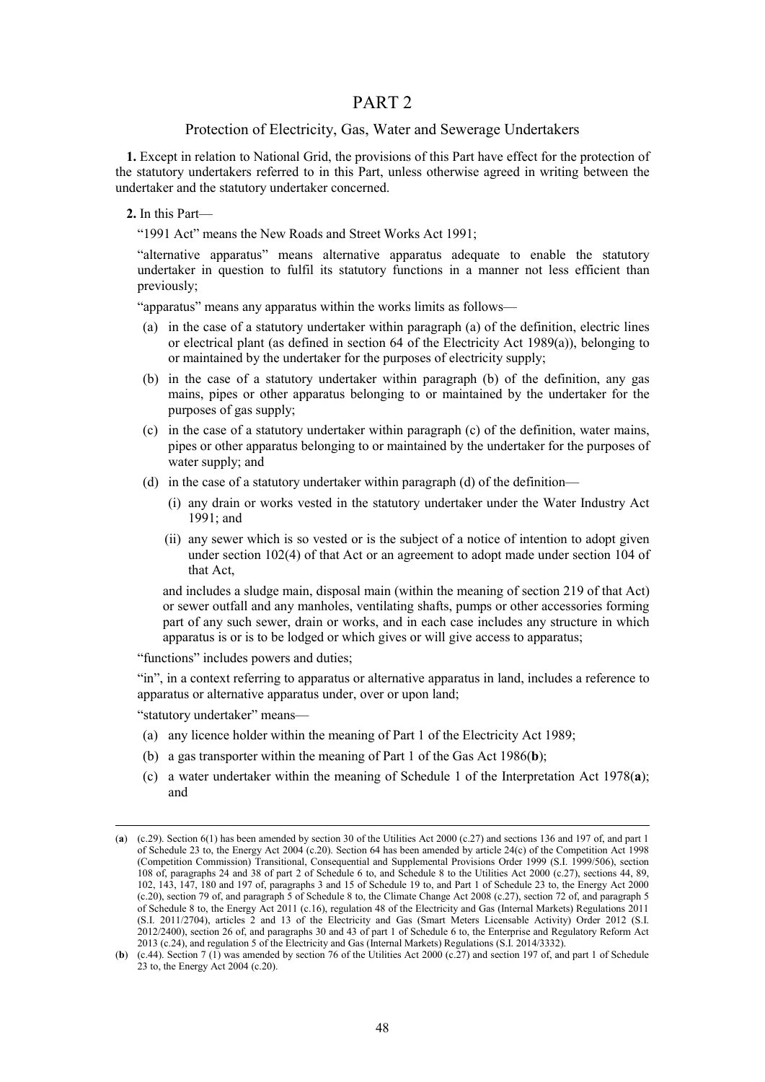## PART 2

## Protection of Electricity, Gas, Water and Sewerage Undertakers

<span id="page-47-0"></span>**1.** Except in relation to National Grid, the provisions of this Part have effect for the protection of the statutory undertakers referred to in this Part, unless otherwise agreed in writing between the undertaker and the statutory undertaker concerned.

**2.** In this Part—

"1991 Act" means the New Roads and Street Works Act 1991;

"alternative apparatus" means alternative apparatus adequate to enable the statutory undertaker in question to fulfil its statutory functions in a manner not less efficient than previously;

"apparatus" means any apparatus within the works limits as follows—

- (a) in the case of a statutory undertaker within paragraph (a) of the definition, electric lines or electrical plant (as defined in section 64 of the Electricity Act 1989(a)), belonging to or maintained by the undertaker for the purposes of electricity supply;
- (b) in the case of a statutory undertaker within paragraph (b) of the definition, any gas mains, pipes or other apparatus belonging to or maintained by the undertaker for the purposes of gas supply;
- (c) in the case of a statutory undertaker within paragraph (c) of the definition, water mains, pipes or other apparatus belonging to or maintained by the undertaker for the purposes of water supply; and
- (d) in the case of a statutory undertaker within paragraph (d) of the definition—
	- (i) any drain or works vested in the statutory undertaker under the Water Industry Act 1991; and
	- (ii) any sewer which is so vested or is the subject of a notice of intention to adopt given under section 102(4) of that Act or an agreement to adopt made under section 104 of that Act,

and includes a sludge main, disposal main (within the meaning of section 219 of that Act) or sewer outfall and any manholes, ventilating shafts, pumps or other accessories forming part of any such sewer, drain or works, and in each case includes any structure in which apparatus is or is to be lodged or which gives or will give access to apparatus;

"functions" includes powers and duties;

"in", in a context referring to apparatus or alternative apparatus in land, includes a reference to apparatus or alternative apparatus under, over or upon land;

"statutory undertaker" means—

 $\overline{a}$ 

- (a) any licence holder within the meaning of Part 1 of the Electricity Act 1989;
- (b) a gas transporter within the meaning of Part 1 of the Gas Act 1986(**b**);
- (c) a water undertaker within the meaning of Schedule 1 of the Interpretation Act 1978(**a**); and

<sup>(</sup>**a**) (c.29). Section 6(1) has been amended by section 30 of the Utilities Act 2000 (c.27) and sections 136 and 197 of, and part 1 of Schedule 23 to, the Energy Act 2004 (c.20). Section 64 has been amended by article 24(c) of the Competition Act 1998 (Competition Commission) Transitional, Consequential and Supplemental Provisions Order 1999 (S.I. 1999/506), section 108 of, paragraphs 24 and 38 of part 2 of Schedule 6 to, and Schedule 8 to the Utilities Act 2000 (c.27), sections 44, 89, 102, 143, 147, 180 and 197 of, paragraphs 3 and 15 of Schedule 19 to, and Part 1 of Schedule 23 to, the Energy Act 2000 (c.20), section 79 of, and paragraph 5 of Schedule 8 to, the Climate Change Act 2008 (c.27), section 72 of, and paragraph 5 of Schedule 8 to, the Energy Act 2011 (c.16), regulation 48 of the Electricity and Gas (Internal Markets) Regulations 2011 (S.I. 2011/2704), articles 2 and 13 of the Electricity and Gas (Smart Meters Licensable Activity) Order 2012 (S.I. 2012/2400), section 26 of, and paragraphs 30 and 43 of part 1 of Schedule 6 to, the Enterprise and Regulatory Reform Act 2013 (c.24), and regulation 5 of the Electricity and Gas (Internal Markets) Regulations (S.I. 2014/3332).

<sup>(</sup>**b**) (c.44). Section 7 (1) was amended by section 76 of the Utilities Act 2000 (c.27) and section 197 of, and part 1 of Schedule 23 to, the Energy Act 2004 (c.20).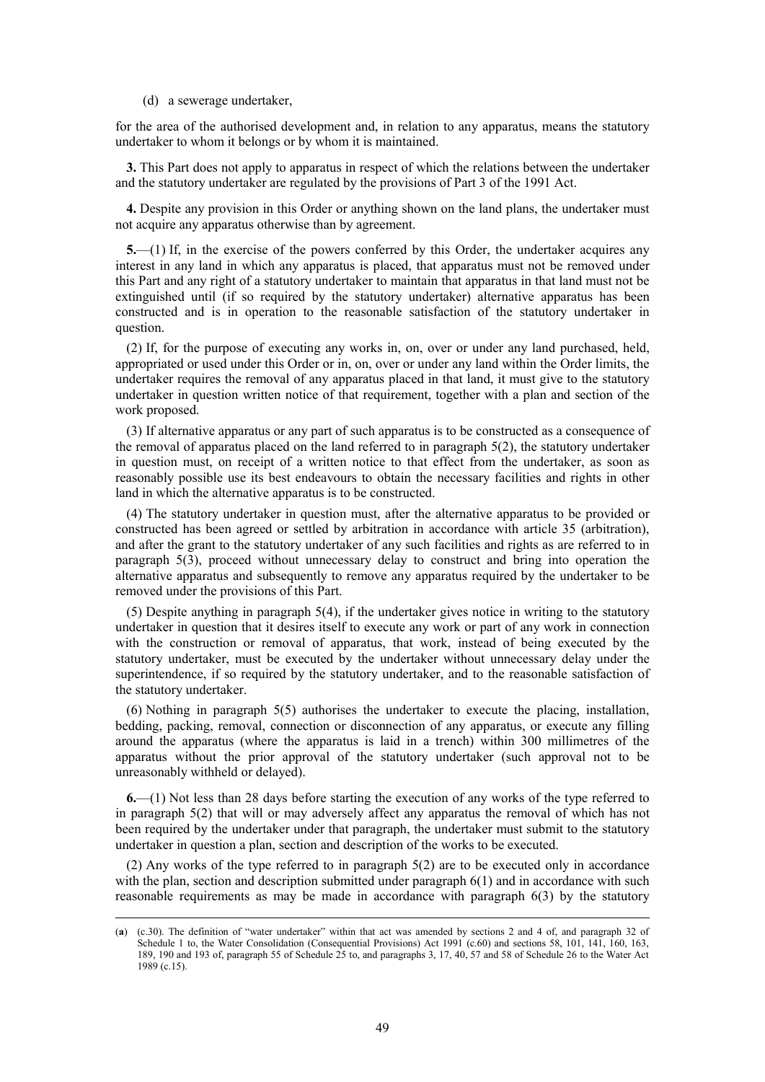(d) a sewerage undertaker,

 $\overline{a}$ 

for the area of the authorised development and, in relation to any apparatus, means the statutory undertaker to whom it belongs or by whom it is maintained.

**3.** This Part does not apply to apparatus in respect of which the relations between the undertaker and the statutory undertaker are regulated by the provisions of Part 3 of the 1991 Act.

**4.** Despite any provision in this Order or anything shown on the land plans, the undertaker must not acquire any apparatus otherwise than by agreement.

**5.**—(1) If, in the exercise of the powers conferred by this Order, the undertaker acquires any interest in any land in which any apparatus is placed, that apparatus must not be removed under this Part and any right of a statutory undertaker to maintain that apparatus in that land must not be extinguished until (if so required by the statutory undertaker) alternative apparatus has been constructed and is in operation to the reasonable satisfaction of the statutory undertaker in question.

(2) If, for the purpose of executing any works in, on, over or under any land purchased, held, appropriated or used under this Order or in, on, over or under any land within the Order limits, the undertaker requires the removal of any apparatus placed in that land, it must give to the statutory undertaker in question written notice of that requirement, together with a plan and section of the work proposed.

(3) If alternative apparatus or any part of such apparatus is to be constructed as a consequence of the removal of apparatus placed on the land referred to in paragraph 5(2), the statutory undertaker in question must, on receipt of a written notice to that effect from the undertaker, as soon as reasonably possible use its best endeavours to obtain the necessary facilities and rights in other land in which the alternative apparatus is to be constructed.

(4) The statutory undertaker in question must, after the alternative apparatus to be provided or constructed has been agreed or settled by arbitration in accordance with article 35 (arbitration), and after the grant to the statutory undertaker of any such facilities and rights as are referred to in paragraph 5(3), proceed without unnecessary delay to construct and bring into operation the alternative apparatus and subsequently to remove any apparatus required by the undertaker to be removed under the provisions of this Part.

(5) Despite anything in paragraph 5(4), if the undertaker gives notice in writing to the statutory undertaker in question that it desires itself to execute any work or part of any work in connection with the construction or removal of apparatus, that work, instead of being executed by the statutory undertaker, must be executed by the undertaker without unnecessary delay under the superintendence, if so required by the statutory undertaker, and to the reasonable satisfaction of the statutory undertaker.

(6) Nothing in paragraph 5(5) authorises the undertaker to execute the placing, installation, bedding, packing, removal, connection or disconnection of any apparatus, or execute any filling around the apparatus (where the apparatus is laid in a trench) within 300 millimetres of the apparatus without the prior approval of the statutory undertaker (such approval not to be unreasonably withheld or delayed).

**6.**—(1) Not less than 28 days before starting the execution of any works of the type referred to in paragraph 5(2) that will or may adversely affect any apparatus the removal of which has not been required by the undertaker under that paragraph, the undertaker must submit to the statutory undertaker in question a plan, section and description of the works to be executed.

(2) Any works of the type referred to in paragraph 5(2) are to be executed only in accordance with the plan, section and description submitted under paragraph 6(1) and in accordance with such reasonable requirements as may be made in accordance with paragraph 6(3) by the statutory

<sup>(</sup>**a**) (c.30). The definition of "water undertaker" within that act was amended by sections 2 and 4 of, and paragraph 32 of Schedule 1 to, the Water Consolidation (Consequential Provisions) Act 1991 (c.60) and sections 58, 101, 141, 160, 163, 189, 190 and 193 of, paragraph 55 of Schedule 25 to, and paragraphs 3, 17, 40, 57 and 58 of Schedule 26 to the Water Act 1989 (c.15).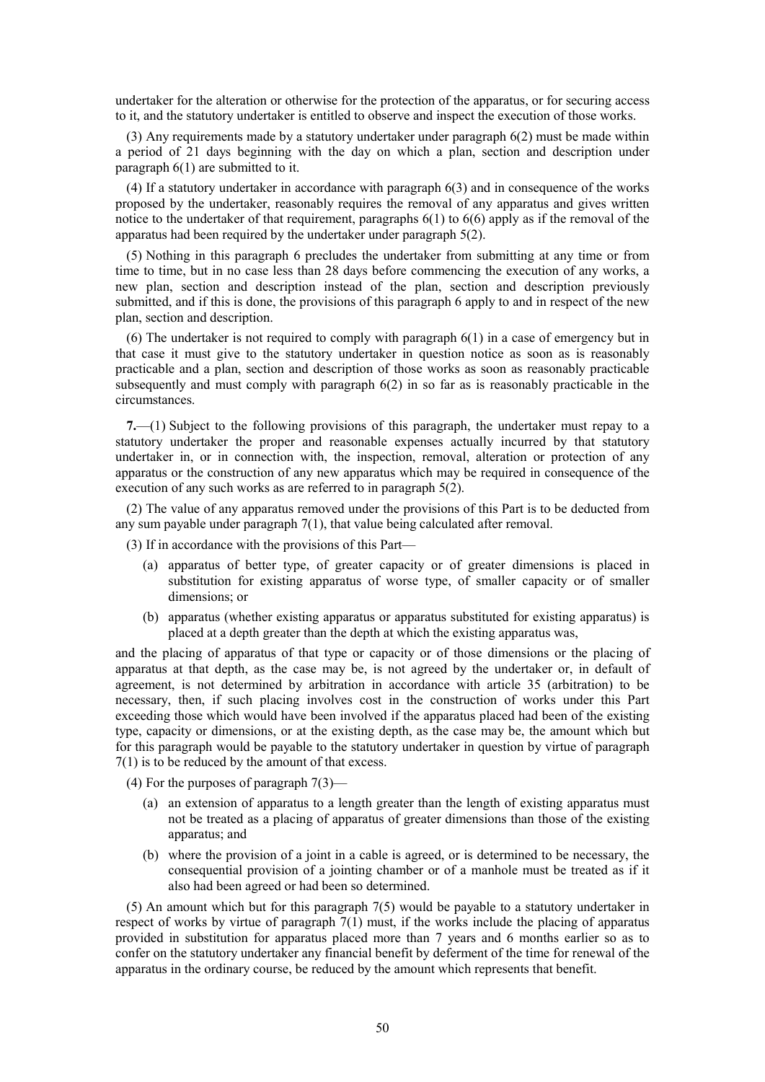undertaker for the alteration or otherwise for the protection of the apparatus, or for securing access to it, and the statutory undertaker is entitled to observe and inspect the execution of those works.

(3) Any requirements made by a statutory undertaker under paragraph 6(2) must be made within a period of 21 days beginning with the day on which a plan, section and description under paragraph 6(1) are submitted to it.

(4) If a statutory undertaker in accordance with paragraph 6(3) and in consequence of the works proposed by the undertaker, reasonably requires the removal of any apparatus and gives written notice to the undertaker of that requirement, paragraphs  $6(1)$  to  $6(6)$  apply as if the removal of the apparatus had been required by the undertaker under paragraph 5(2).

(5) Nothing in this paragraph 6 precludes the undertaker from submitting at any time or from time to time, but in no case less than 28 days before commencing the execution of any works, a new plan, section and description instead of the plan, section and description previously submitted, and if this is done, the provisions of this paragraph 6 apply to and in respect of the new plan, section and description.

(6) The undertaker is not required to comply with paragraph 6(1) in a case of emergency but in that case it must give to the statutory undertaker in question notice as soon as is reasonably practicable and a plan, section and description of those works as soon as reasonably practicable subsequently and must comply with paragraph 6(2) in so far as is reasonably practicable in the circumstances.

**7.**—(1) Subject to the following provisions of this paragraph, the undertaker must repay to a statutory undertaker the proper and reasonable expenses actually incurred by that statutory undertaker in, or in connection with, the inspection, removal, alteration or protection of any apparatus or the construction of any new apparatus which may be required in consequence of the execution of any such works as are referred to in paragraph 5(2).

(2) The value of any apparatus removed under the provisions of this Part is to be deducted from any sum payable under paragraph 7(1), that value being calculated after removal.

(3) If in accordance with the provisions of this Part—

- (a) apparatus of better type, of greater capacity or of greater dimensions is placed in substitution for existing apparatus of worse type, of smaller capacity or of smaller dimensions; or
- (b) apparatus (whether existing apparatus or apparatus substituted for existing apparatus) is placed at a depth greater than the depth at which the existing apparatus was,

and the placing of apparatus of that type or capacity or of those dimensions or the placing of apparatus at that depth, as the case may be, is not agreed by the undertaker or, in default of agreement, is not determined by arbitration in accordance with article 35 (arbitration) to be necessary, then, if such placing involves cost in the construction of works under this Part exceeding those which would have been involved if the apparatus placed had been of the existing type, capacity or dimensions, or at the existing depth, as the case may be, the amount which but for this paragraph would be payable to the statutory undertaker in question by virtue of paragraph 7(1) is to be reduced by the amount of that excess.

(4) For the purposes of paragraph 7(3)—

- (a) an extension of apparatus to a length greater than the length of existing apparatus must not be treated as a placing of apparatus of greater dimensions than those of the existing apparatus; and
- (b) where the provision of a joint in a cable is agreed, or is determined to be necessary, the consequential provision of a jointing chamber or of a manhole must be treated as if it also had been agreed or had been so determined.

(5) An amount which but for this paragraph 7(5) would be payable to a statutory undertaker in respect of works by virtue of paragraph 7(1) must, if the works include the placing of apparatus provided in substitution for apparatus placed more than 7 years and 6 months earlier so as to confer on the statutory undertaker any financial benefit by deferment of the time for renewal of the apparatus in the ordinary course, be reduced by the amount which represents that benefit.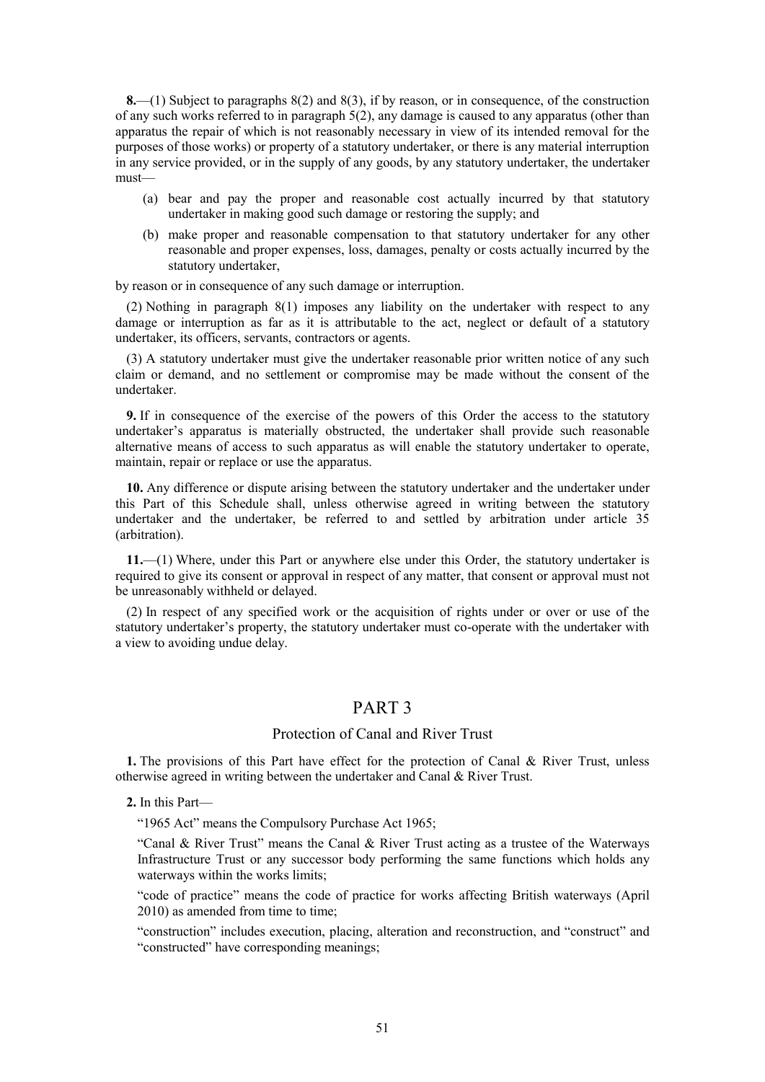**8.**—(1) Subject to paragraphs 8(2) and 8(3), if by reason, or in consequence, of the construction of any such works referred to in paragraph 5(2), any damage is caused to any apparatus (other than apparatus the repair of which is not reasonably necessary in view of its intended removal for the purposes of those works) or property of a statutory undertaker, or there is any material interruption in any service provided, or in the supply of any goods, by any statutory undertaker, the undertaker must—

- (a) bear and pay the proper and reasonable cost actually incurred by that statutory undertaker in making good such damage or restoring the supply; and
- (b) make proper and reasonable compensation to that statutory undertaker for any other reasonable and proper expenses, loss, damages, penalty or costs actually incurred by the statutory undertaker,

by reason or in consequence of any such damage or interruption.

(2) Nothing in paragraph 8(1) imposes any liability on the undertaker with respect to any damage or interruption as far as it is attributable to the act, neglect or default of a statutory undertaker, its officers, servants, contractors or agents.

(3) A statutory undertaker must give the undertaker reasonable prior written notice of any such claim or demand, and no settlement or compromise may be made without the consent of the undertaker.

**9.** If in consequence of the exercise of the powers of this Order the access to the statutory undertaker's apparatus is materially obstructed, the undertaker shall provide such reasonable alternative means of access to such apparatus as will enable the statutory undertaker to operate, maintain, repair or replace or use the apparatus.

**10.** Any difference or dispute arising between the statutory undertaker and the undertaker under this Part of this Schedule shall, unless otherwise agreed in writing between the statutory undertaker and the undertaker, be referred to and settled by arbitration under article 35 (arbitration).

**11.**—(1) Where, under this Part or anywhere else under this Order, the statutory undertaker is required to give its consent or approval in respect of any matter, that consent or approval must not be unreasonably withheld or delayed.

<span id="page-50-0"></span>(2) In respect of any specified work or the acquisition of rights under or over or use of the statutory undertaker's property, the statutory undertaker must co-operate with the undertaker with a view to avoiding undue delay.

## PART 3

## Protection of Canal and River Trust

**1.** The provisions of this Part have effect for the protection of Canal & River Trust, unless otherwise agreed in writing between the undertaker and Canal & River Trust.

**2.** In this Part—

"1965 Act" means the Compulsory Purchase Act 1965;

"Canal & River Trust" means the Canal & River Trust acting as a trustee of the Waterways Infrastructure Trust or any successor body performing the same functions which holds any waterways within the works limits;

"code of practice" means the code of practice for works affecting British waterways (April 2010) as amended from time to time;

"construction" includes execution, placing, alteration and reconstruction, and "construct" and "constructed" have corresponding meanings;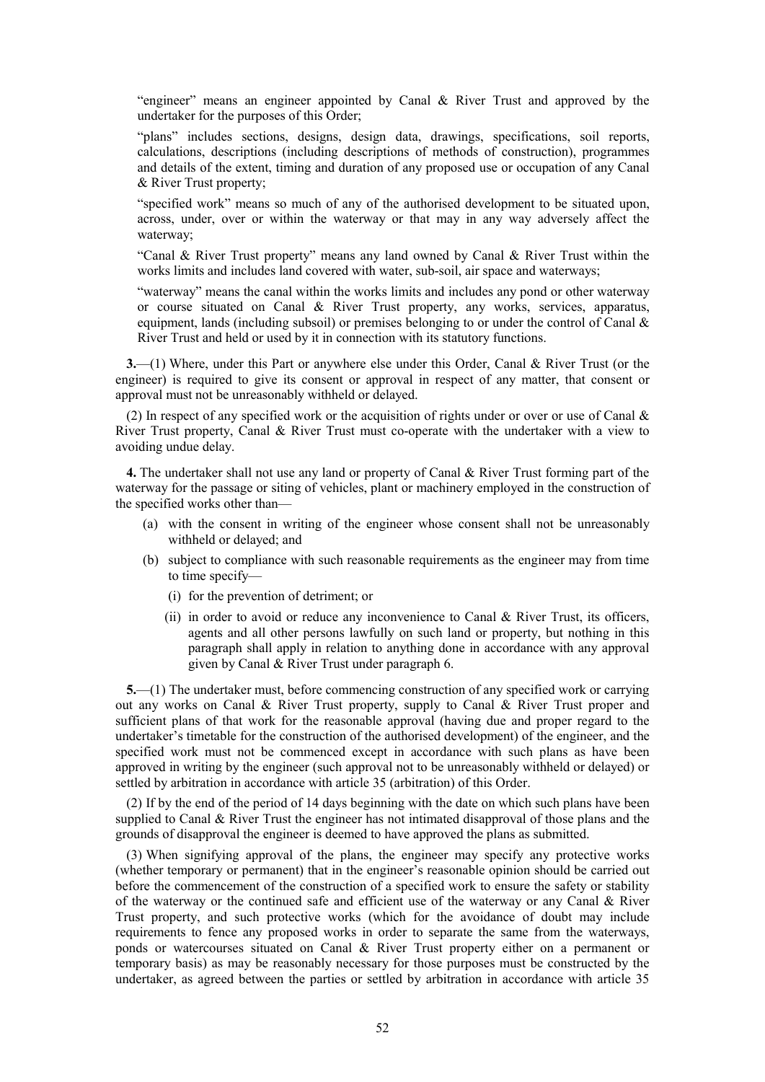"engineer" means an engineer appointed by Canal & River Trust and approved by the undertaker for the purposes of this Order;

"plans" includes sections, designs, design data, drawings, specifications, soil reports, calculations, descriptions (including descriptions of methods of construction), programmes and details of the extent, timing and duration of any proposed use or occupation of any Canal & River Trust property;

"specified work" means so much of any of the authorised development to be situated upon, across, under, over or within the waterway or that may in any way adversely affect the waterway;

"Canal & River Trust property" means any land owned by Canal & River Trust within the works limits and includes land covered with water, sub-soil, air space and waterways;

"waterway" means the canal within the works limits and includes any pond or other waterway or course situated on Canal & River Trust property, any works, services, apparatus, equipment, lands (including subsoil) or premises belonging to or under the control of Canal & River Trust and held or used by it in connection with its statutory functions.

**3.**—(1) Where, under this Part or anywhere else under this Order, Canal & River Trust (or the engineer) is required to give its consent or approval in respect of any matter, that consent or approval must not be unreasonably withheld or delayed.

(2) In respect of any specified work or the acquisition of rights under or over or use of Canal  $\&$ River Trust property, Canal & River Trust must co-operate with the undertaker with a view to avoiding undue delay.

**4.** The undertaker shall not use any land or property of Canal & River Trust forming part of the waterway for the passage or siting of vehicles, plant or machinery employed in the construction of the specified works other than—

- (a) with the consent in writing of the engineer whose consent shall not be unreasonably withheld or delayed; and
- (b) subject to compliance with such reasonable requirements as the engineer may from time to time specify—
	- (i) for the prevention of detriment; or
	- (ii) in order to avoid or reduce any inconvenience to Canal  $\&$  River Trust, its officers, agents and all other persons lawfully on such land or property, but nothing in this paragraph shall apply in relation to anything done in accordance with any approval given by Canal & River Trust under paragraph 6.

**5.**—(1) The undertaker must, before commencing construction of any specified work or carrying out any works on Canal & River Trust property, supply to Canal & River Trust proper and sufficient plans of that work for the reasonable approval (having due and proper regard to the undertaker's timetable for the construction of the authorised development) of the engineer, and the specified work must not be commenced except in accordance with such plans as have been approved in writing by the engineer (such approval not to be unreasonably withheld or delayed) or settled by arbitration in accordance with article 35 (arbitration) of this Order.

(2) If by the end of the period of 14 days beginning with the date on which such plans have been supplied to Canal & River Trust the engineer has not intimated disapproval of those plans and the grounds of disapproval the engineer is deemed to have approved the plans as submitted.

(3) When signifying approval of the plans, the engineer may specify any protective works (whether temporary or permanent) that in the engineer's reasonable opinion should be carried out before the commencement of the construction of a specified work to ensure the safety or stability of the waterway or the continued safe and efficient use of the waterway or any Canal & River Trust property, and such protective works (which for the avoidance of doubt may include requirements to fence any proposed works in order to separate the same from the waterways, ponds or watercourses situated on Canal & River Trust property either on a permanent or temporary basis) as may be reasonably necessary for those purposes must be constructed by the undertaker, as agreed between the parties or settled by arbitration in accordance with article 35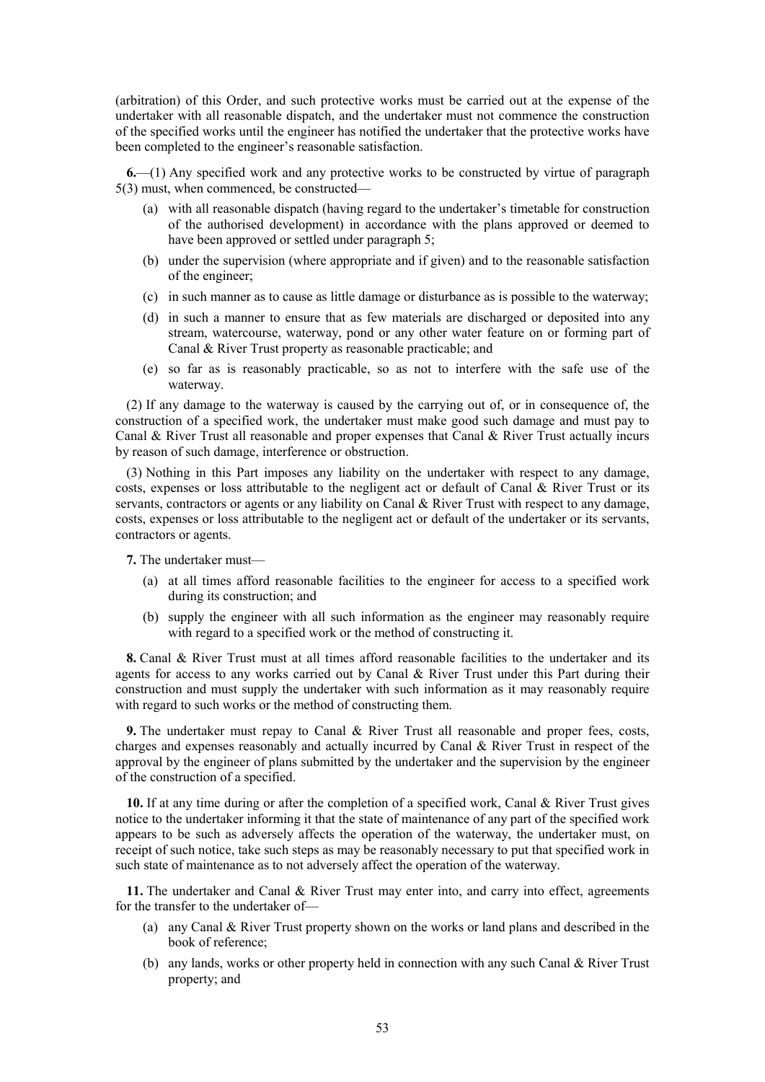(arbitration) of this Order, and such protective works must be carried out at the expense of the undertaker with all reasonable dispatch, and the undertaker must not commence the construction of the specified works until the engineer has notified the undertaker that the protective works have been completed to the engineer's reasonable satisfaction.

**6.**—(1) Any specified work and any protective works to be constructed by virtue of paragraph 5(3) must, when commenced, be constructed—

- (a) with all reasonable dispatch (having regard to the undertaker's timetable for construction of the authorised development) in accordance with the plans approved or deemed to have been approved or settled under paragraph 5;
- (b) under the supervision (where appropriate and if given) and to the reasonable satisfaction of the engineer;
- (c) in such manner as to cause as little damage or disturbance as is possible to the waterway;
- (d) in such a manner to ensure that as few materials are discharged or deposited into any stream, watercourse, waterway, pond or any other water feature on or forming part of Canal & River Trust property as reasonable practicable; and
- (e) so far as is reasonably practicable, so as not to interfere with the safe use of the waterway.

(2) If any damage to the waterway is caused by the carrying out of, or in consequence of, the construction of a specified work, the undertaker must make good such damage and must pay to Canal & River Trust all reasonable and proper expenses that Canal & River Trust actually incurs by reason of such damage, interference or obstruction.

(3) Nothing in this Part imposes any liability on the undertaker with respect to any damage, costs, expenses or loss attributable to the negligent act or default of Canal & River Trust or its servants, contractors or agents or any liability on Canal & River Trust with respect to any damage, costs, expenses or loss attributable to the negligent act or default of the undertaker or its servants, contractors or agents.

**7.** The undertaker must—

- (a) at all times afford reasonable facilities to the engineer for access to a specified work during its construction; and
- (b) supply the engineer with all such information as the engineer may reasonably require with regard to a specified work or the method of constructing it.

**8.** Canal & River Trust must at all times afford reasonable facilities to the undertaker and its agents for access to any works carried out by Canal  $\&$  River Trust under this Part during their construction and must supply the undertaker with such information as it may reasonably require with regard to such works or the method of constructing them.

**9.** The undertaker must repay to Canal & River Trust all reasonable and proper fees, costs, charges and expenses reasonably and actually incurred by Canal & River Trust in respect of the approval by the engineer of plans submitted by the undertaker and the supervision by the engineer of the construction of a specified.

**10.** If at any time during or after the completion of a specified work, Canal & River Trust gives notice to the undertaker informing it that the state of maintenance of any part of the specified work appears to be such as adversely affects the operation of the waterway, the undertaker must, on receipt of such notice, take such steps as may be reasonably necessary to put that specified work in such state of maintenance as to not adversely affect the operation of the waterway.

**11.** The undertaker and Canal & River Trust may enter into, and carry into effect, agreements for the transfer to the undertaker of—

- (a) any Canal & River Trust property shown on the works or land plans and described in the book of reference;
- (b) any lands, works or other property held in connection with any such Canal & River Trust property; and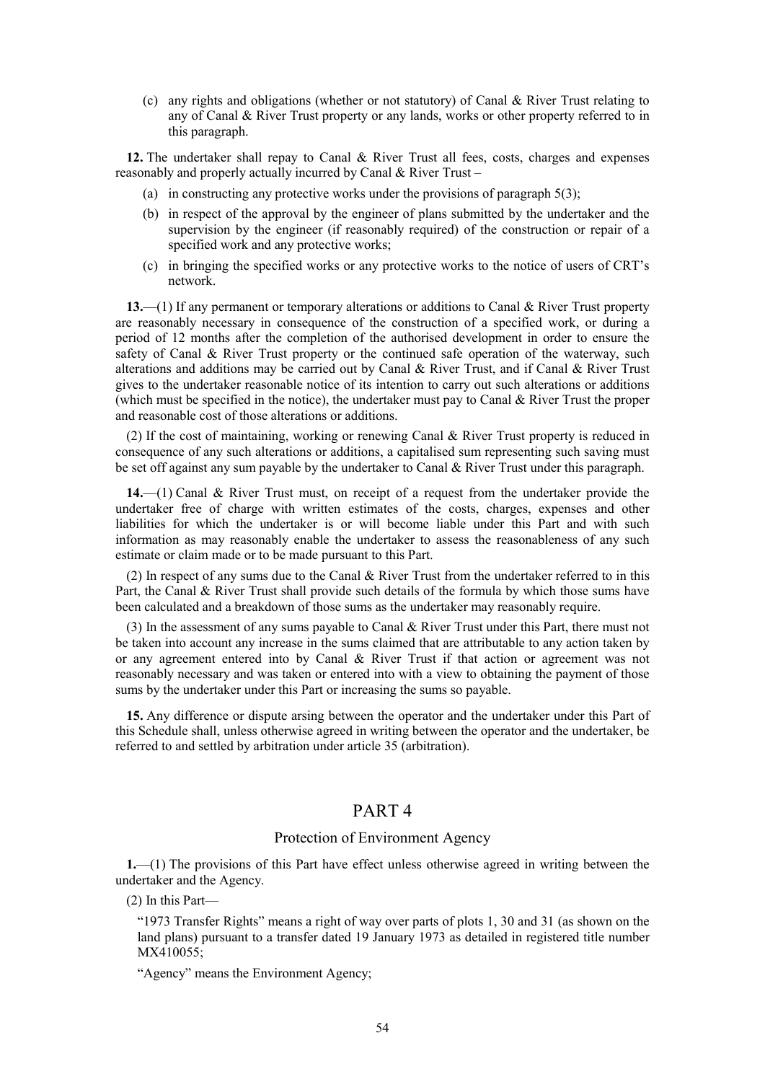(c) any rights and obligations (whether or not statutory) of Canal & River Trust relating to any of Canal & River Trust property or any lands, works or other property referred to in this paragraph.

**12.** The undertaker shall repay to Canal & River Trust all fees, costs, charges and expenses reasonably and properly actually incurred by Canal & River Trust –

- (a) in constructing any protective works under the provisions of paragraph  $5(3)$ ;
- (b) in respect of the approval by the engineer of plans submitted by the undertaker and the supervision by the engineer (if reasonably required) of the construction or repair of a specified work and any protective works;
- (c) in bringing the specified works or any protective works to the notice of users of CRT's network.

**13.**—(1) If any permanent or temporary alterations or additions to Canal & River Trust property are reasonably necessary in consequence of the construction of a specified work, or during a period of 12 months after the completion of the authorised development in order to ensure the safety of Canal & River Trust property or the continued safe operation of the waterway, such alterations and additions may be carried out by Canal & River Trust, and if Canal & River Trust gives to the undertaker reasonable notice of its intention to carry out such alterations or additions (which must be specified in the notice), the undertaker must pay to Canal & River Trust the proper and reasonable cost of those alterations or additions.

(2) If the cost of maintaining, working or renewing Canal & River Trust property is reduced in consequence of any such alterations or additions, a capitalised sum representing such saving must be set off against any sum payable by the undertaker to Canal & River Trust under this paragraph.

**14.**—(1) Canal & River Trust must, on receipt of a request from the undertaker provide the undertaker free of charge with written estimates of the costs, charges, expenses and other liabilities for which the undertaker is or will become liable under this Part and with such information as may reasonably enable the undertaker to assess the reasonableness of any such estimate or claim made or to be made pursuant to this Part.

(2) In respect of any sums due to the Canal & River Trust from the undertaker referred to in this Part, the Canal & River Trust shall provide such details of the formula by which those sums have been calculated and a breakdown of those sums as the undertaker may reasonably require.

(3) In the assessment of any sums payable to Canal & River Trust under this Part, there must not be taken into account any increase in the sums claimed that are attributable to any action taken by or any agreement entered into by Canal & River Trust if that action or agreement was not reasonably necessary and was taken or entered into with a view to obtaining the payment of those sums by the undertaker under this Part or increasing the sums so payable.

<span id="page-53-0"></span>**15.** Any difference or dispute arsing between the operator and the undertaker under this Part of this Schedule shall, unless otherwise agreed in writing between the operator and the undertaker, be referred to and settled by arbitration under article 35 (arbitration).

## PART 4

## Protection of Environment Agency

**1.**—(1) The provisions of this Part have effect unless otherwise agreed in writing between the undertaker and the Agency.

(2) In this Part—

"1973 Transfer Rights" means a right of way over parts of plots 1, 30 and 31 (as shown on the land plans) pursuant to a transfer dated 19 January 1973 as detailed in registered title number MX410055;

"Agency" means the Environment Agency;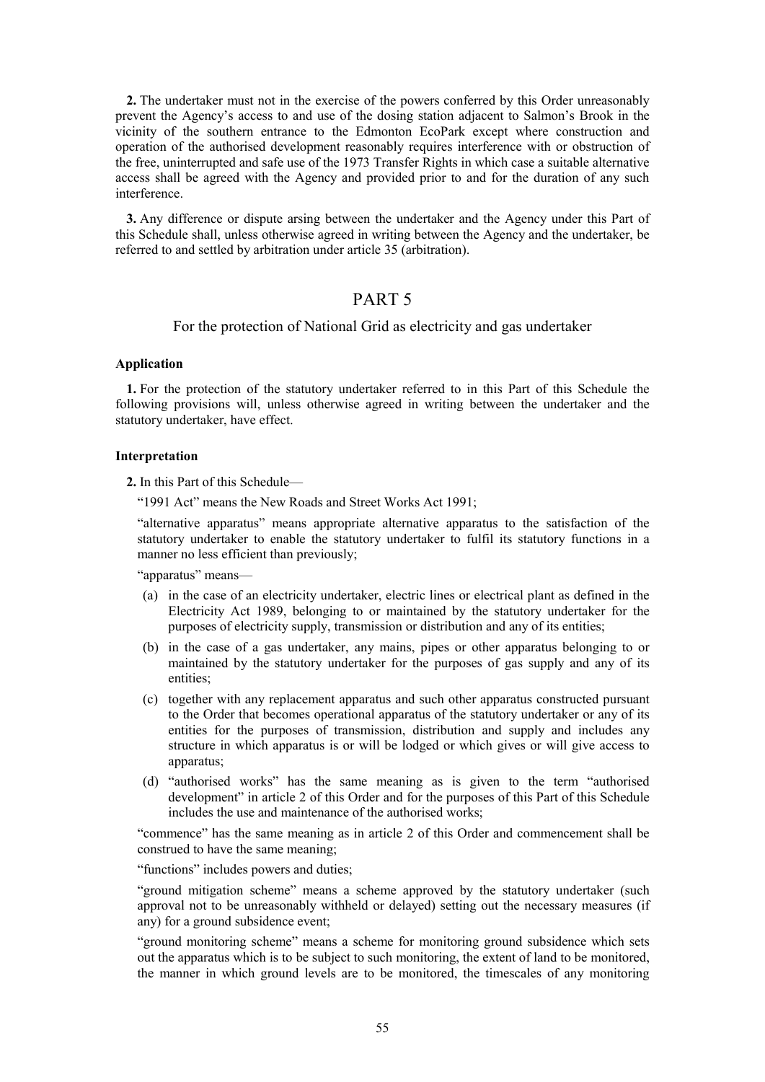**2.** The undertaker must not in the exercise of the powers conferred by this Order unreasonably prevent the Agency's access to and use of the dosing station adjacent to Salmon's Brook in the vicinity of the southern entrance to the Edmonton EcoPark except where construction and operation of the authorised development reasonably requires interference with or obstruction of the free, uninterrupted and safe use of the 1973 Transfer Rights in which case a suitable alternative access shall be agreed with the Agency and provided prior to and for the duration of any such interference.

<span id="page-54-0"></span>**3.** Any difference or dispute arsing between the undertaker and the Agency under this Part of this Schedule shall, unless otherwise agreed in writing between the Agency and the undertaker, be referred to and settled by arbitration under article 35 (arbitration).

## PART 5

### For the protection of National Grid as electricity and gas undertaker

#### **Application**

<span id="page-54-1"></span>**1.** For the protection of the statutory undertaker referred to in this Part of this Schedule the following provisions will, unless otherwise agreed in writing between the undertaker and the statutory undertaker, have effect.

### **Interpretation**

**2.** In this Part of this Schedule—

"1991 Act" means the New Roads and Street Works Act 1991;

"alternative apparatus" means appropriate alternative apparatus to the satisfaction of the statutory undertaker to enable the statutory undertaker to fulfil its statutory functions in a manner no less efficient than previously;

"apparatus" means—

- (a) in the case of an electricity undertaker, electric lines or electrical plant as defined in the Electricity Act 1989, belonging to or maintained by the statutory undertaker for the purposes of electricity supply, transmission or distribution and any of its entities;
- (b) in the case of a gas undertaker, any mains, pipes or other apparatus belonging to or maintained by the statutory undertaker for the purposes of gas supply and any of its entities;
- (c) together with any replacement apparatus and such other apparatus constructed pursuant to the Order that becomes operational apparatus of the statutory undertaker or any of its entities for the purposes of transmission, distribution and supply and includes any structure in which apparatus is or will be lodged or which gives or will give access to apparatus;
- (d) "authorised works" has the same meaning as is given to the term "authorised development" in article 2 of this Order and for the purposes of this Part of this Schedule includes the use and maintenance of the authorised works;

"commence" has the same meaning as in article 2 of this Order and commencement shall be construed to have the same meaning;

"functions" includes powers and duties;

"ground mitigation scheme" means a scheme approved by the statutory undertaker (such approval not to be unreasonably withheld or delayed) setting out the necessary measures (if any) for a ground subsidence event;

"ground monitoring scheme" means a scheme for monitoring ground subsidence which sets out the apparatus which is to be subject to such monitoring, the extent of land to be monitored, the manner in which ground levels are to be monitored, the timescales of any monitoring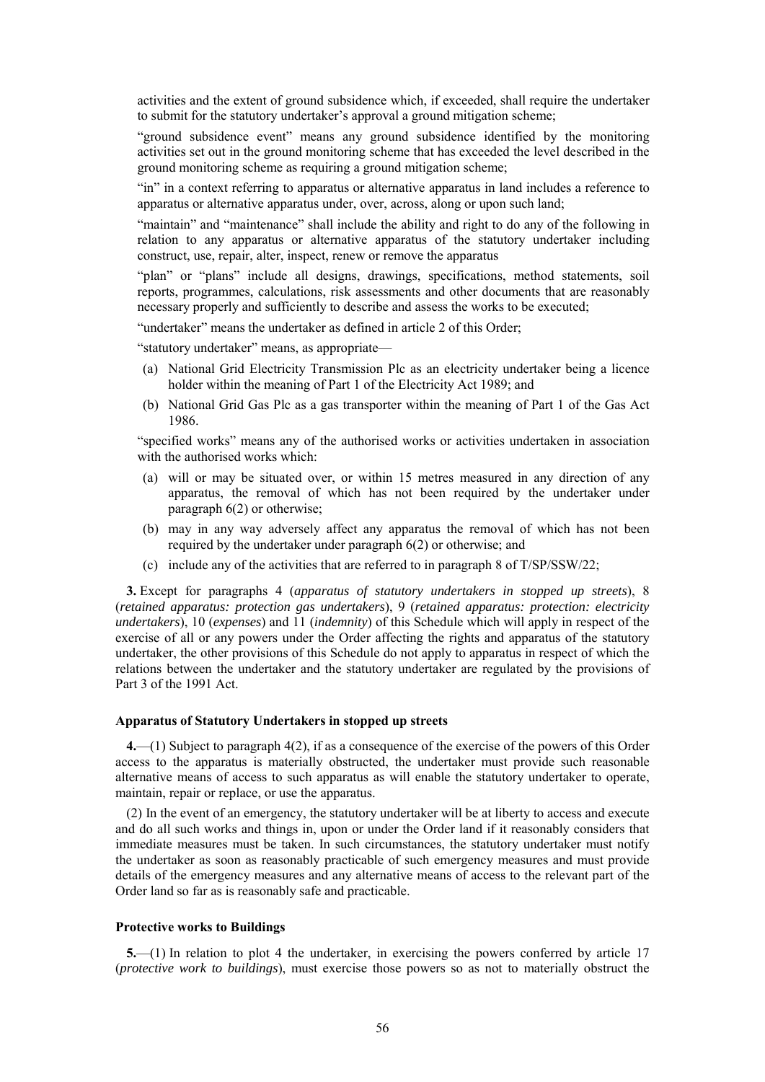activities and the extent of ground subsidence which, if exceeded, shall require the undertaker to submit for the statutory undertaker's approval a ground mitigation scheme;

"ground subsidence event" means any ground subsidence identified by the monitoring activities set out in the ground monitoring scheme that has exceeded the level described in the ground monitoring scheme as requiring a ground mitigation scheme;

"in" in a context referring to apparatus or alternative apparatus in land includes a reference to apparatus or alternative apparatus under, over, across, along or upon such land;

"maintain" and "maintenance" shall include the ability and right to do any of the following in relation to any apparatus or alternative apparatus of the statutory undertaker including construct, use, repair, alter, inspect, renew or remove the apparatus

"plan" or "plans" include all designs, drawings, specifications, method statements, soil reports, programmes, calculations, risk assessments and other documents that are reasonably necessary properly and sufficiently to describe and assess the works to be executed;

"undertaker" means the undertaker as defined in article 2 of this Order;

"statutory undertaker" means, as appropriate—

- (a) National Grid Electricity Transmission Plc as an electricity undertaker being a licence holder within the meaning of Part 1 of the Electricity Act 1989; and
- (b) National Grid Gas Plc as a gas transporter within the meaning of Part 1 of the Gas Act 1986.

"specified works" means any of the authorised works or activities undertaken in association with the authorised works which:

- (a) will or may be situated over, or within 15 metres measured in any direction of any apparatus, the removal of which has not been required by the undertaker under paragrap[h 6\(2\)](#page-56-0) or otherwise;
- (b) may in any way adversely affect any apparatus the removal of which has not been required by the undertaker under paragraph [6\(2\)](#page-56-0) or otherwise; and
- (c) include any of the activities that are referred to in paragraph 8 of T/SP/SSW/22;

<span id="page-55-2"></span>**3.** Except for paragraphs [4](#page-55-0) (*apparatus of statutory undertakers in stopped up streets*), 8 (*retained apparatus: protection gas undertakers*), 9 (*retained apparatus: protection: electricity undertakers*), 10 (*expenses*) and 11 (*indemnity*) of this Schedule which will apply in respect of the exercise of all or any powers under the Order affecting the rights and apparatus of the statutory undertaker, the other provisions of this Schedule do not apply to apparatus in respect of which the relations between the undertaker and the statutory undertaker are regulated by the provisions of Part 3 of the 1991 Act.

#### **Apparatus of Statutory Undertakers in stopped up streets**

<span id="page-55-0"></span>**4.**—(1) Subject to paragraph [4\(2\),](#page-55-1) if as a consequence of the exercise of the powers of this Order access to the apparatus is materially obstructed, the undertaker must provide such reasonable alternative means of access to such apparatus as will enable the statutory undertaker to operate, maintain, repair or replace, or use the apparatus.

<span id="page-55-1"></span>(2) In the event of an emergency, the statutory undertaker will be at liberty to access and execute and do all such works and things in, upon or under the Order land if it reasonably considers that immediate measures must be taken. In such circumstances, the statutory undertaker must notify the undertaker as soon as reasonably practicable of such emergency measures and must provide details of the emergency measures and any alternative means of access to the relevant part of the Order land so far as is reasonably safe and practicable.

#### **Protective works to Buildings**

**5.**—(1) In relation to plot 4 the undertaker, in exercising the powers conferred by article 17 (*protective work to buildings*), must exercise those powers so as not to materially obstruct the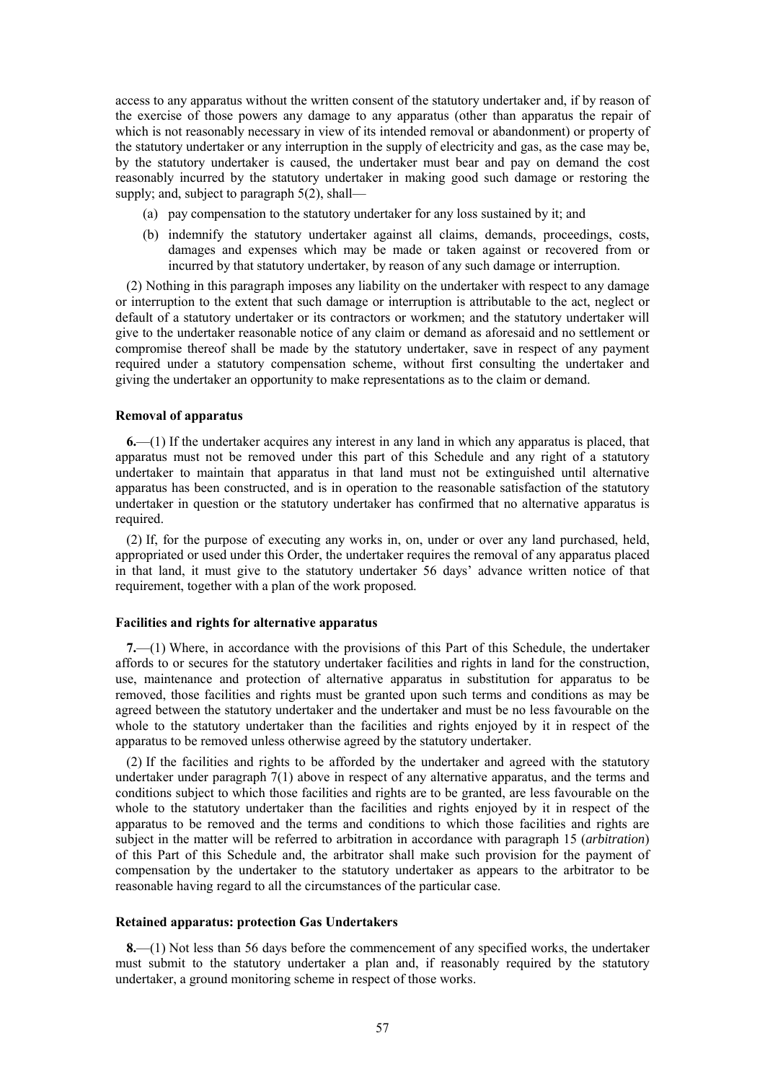access to any apparatus without the written consent of the statutory undertaker and, if by reason of the exercise of those powers any damage to any apparatus (other than apparatus the repair of which is not reasonably necessary in view of its intended removal or abandonment) or property of the statutory undertaker or any interruption in the supply of electricity and gas, as the case may be, by the statutory undertaker is caused, the undertaker must bear and pay on demand the cost reasonably incurred by the statutory undertaker in making good such damage or restoring the supply; and, subject to paragraph 5(2), shall—

- (a) pay compensation to the statutory undertaker for any loss sustained by it; and
- (b) indemnify the statutory undertaker against all claims, demands, proceedings, costs, damages and expenses which may be made or taken against or recovered from or incurred by that statutory undertaker, by reason of any such damage or interruption.

(2) Nothing in this paragraph imposes any liability on the undertaker with respect to any damage or interruption to the extent that such damage or interruption is attributable to the act, neglect or default of a statutory undertaker or its contractors or workmen; and the statutory undertaker will give to the undertaker reasonable notice of any claim or demand as aforesaid and no settlement or compromise thereof shall be made by the statutory undertaker, save in respect of any payment required under a statutory compensation scheme, without first consulting the undertaker and giving the undertaker an opportunity to make representations as to the claim or demand.

### **Removal of apparatus**

<span id="page-56-1"></span>**6.**—(1) If the undertaker acquires any interest in any land in which any apparatus is placed, that apparatus must not be removed under this part of this Schedule and any right of a statutory undertaker to maintain that apparatus in that land must not be extinguished until alternative apparatus has been constructed, and is in operation to the reasonable satisfaction of the statutory undertaker in question or the statutory undertaker has confirmed that no alternative apparatus is required.

<span id="page-56-0"></span>(2) If, for the purpose of executing any works in, on, under or over any land purchased, held, appropriated or used under this Order, the undertaker requires the removal of any apparatus placed in that land, it must give to the statutory undertaker 56 days' advance written notice of that requirement, together with a plan of the work proposed.

#### **Facilities and rights for alternative apparatus**

**7.**—(1) Where, in accordance with the provisions of this Part of this Schedule, the undertaker affords to or secures for the statutory undertaker facilities and rights in land for the construction, use, maintenance and protection of alternative apparatus in substitution for apparatus to be removed, those facilities and rights must be granted upon such terms and conditions as may be agreed between the statutory undertaker and the undertaker and must be no less favourable on the whole to the statutory undertaker than the facilities and rights enjoyed by it in respect of the apparatus to be removed unless otherwise agreed by the statutory undertaker.

(2) If the facilities and rights to be afforded by the undertaker and agreed with the statutory undertaker under paragraph  $7(1)$  above in respect of any alternative apparatus, and the terms and conditions subject to which those facilities and rights are to be granted, are less favourable on the whole to the statutory undertaker than the facilities and rights enjoyed by it in respect of the apparatus to be removed and the terms and conditions to which those facilities and rights are subject in the matter will be referred to arbitration in accordance with paragraph 15 (*arbitration*) of this Part of this Schedule and, the arbitrator shall make such provision for the payment of compensation by the undertaker to the statutory undertaker as appears to the arbitrator to be reasonable having regard to all the circumstances of the particular case.

#### **Retained apparatus: protection Gas Undertakers**

<span id="page-56-2"></span>**8.**—(1) Not less than 56 days before the commencement of any specified works, the undertaker must submit to the statutory undertaker a plan and, if reasonably required by the statutory undertaker, a ground monitoring scheme in respect of those works.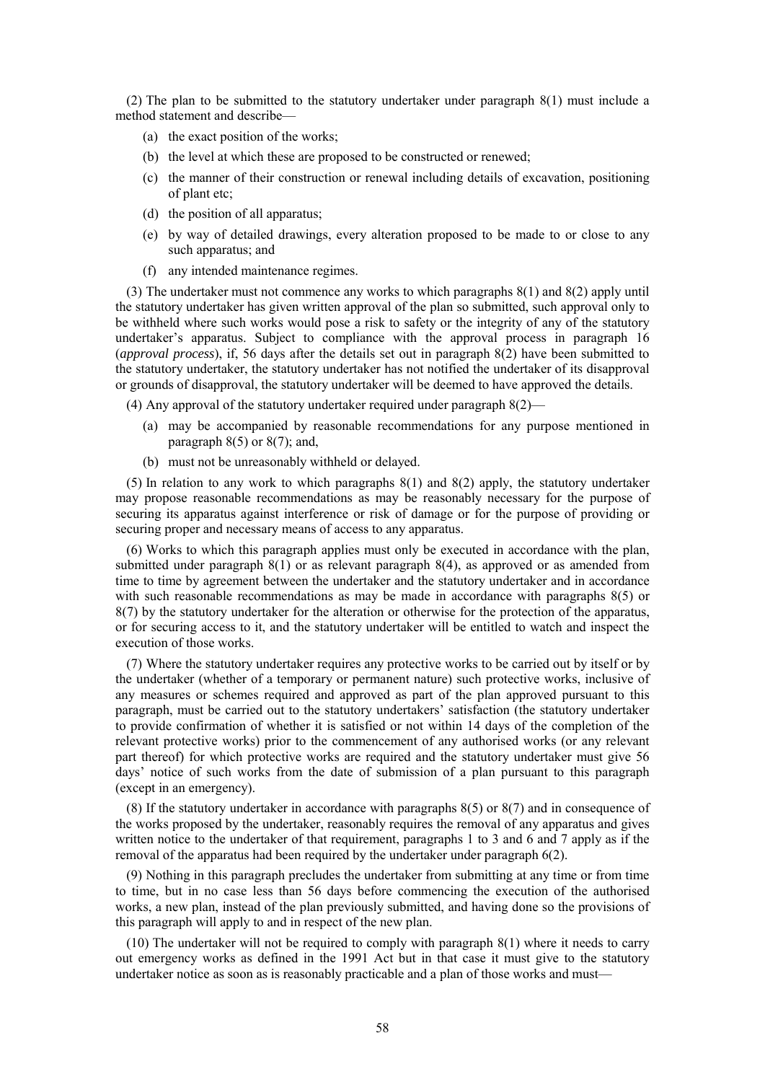(2) The plan to be submitted to the statutory undertaker under paragraph 8(1) must include a method statement and describe—

- (a) the exact position of the works;
- (b) the level at which these are proposed to be constructed or renewed;
- (c) the manner of their construction or renewal including details of excavation, positioning of plant etc;
- (d) the position of all apparatus;
- (e) by way of detailed drawings, every alteration proposed to be made to or close to any such apparatus; and
- (f) any intended maintenance regimes.

(3) The undertaker must not commence any works to which paragraphs 8(1) and 8(2) apply until the statutory undertaker has given written approval of the plan so submitted, such approval only to be withheld where such works would pose a risk to safety or the integrity of any of the statutory undertaker's apparatus. Subject to compliance with the approval process in paragraph 16 (*approval process*), if, 56 days after the details set out in paragraph 8(2) have been submitted to the statutory undertaker, the statutory undertaker has not notified the undertaker of its disapproval or grounds of disapproval, the statutory undertaker will be deemed to have approved the details.

(4) Any approval of the statutory undertaker required under paragraph 8(2)—

- (a) may be accompanied by reasonable recommendations for any purpose mentioned in paragraph  $8(5)$  or  $8(7)$ ; and,
- (b) must not be unreasonably withheld or delayed.

(5) In relation to any work to which paragraphs 8(1) and 8(2) apply, the statutory undertaker may propose reasonable recommendations as may be reasonably necessary for the purpose of securing its apparatus against interference or risk of damage or for the purpose of providing or securing proper and necessary means of access to any apparatus.

(6) Works to which this paragraph applies must only be executed in accordance with the plan, submitted under paragraph 8(1) or as relevant paragraph 8(4), as approved or as amended from time to time by agreement between the undertaker and the statutory undertaker and in accordance with such reasonable recommendations as may be made in accordance with paragraphs 8(5) or 8(7) by the statutory undertaker for the alteration or otherwise for the protection of the apparatus, or for securing access to it, and the statutory undertaker will be entitled to watch and inspect the execution of those works.

(7) Where the statutory undertaker requires any protective works to be carried out by itself or by the undertaker (whether of a temporary or permanent nature) such protective works, inclusive of any measures or schemes required and approved as part of the plan approved pursuant to this paragraph, must be carried out to the statutory undertakers' satisfaction (the statutory undertaker to provide confirmation of whether it is satisfied or not within 14 days of the completion of the relevant protective works) prior to the commencement of any authorised works (or any relevant part thereof) for which protective works are required and the statutory undertaker must give 56 days' notice of such works from the date of submission of a plan pursuant to this paragraph (except in an emergency).

(8) If the statutory undertaker in accordance with paragraphs 8(5) or 8(7) and in consequence of the works proposed by the undertaker, reasonably requires the removal of any apparatus and gives written notice to the undertaker of that requirement, paragraphs [1](#page-54-1) to [3](#page-55-2) and [6](#page-56-1) and 7 apply as if the removal of the apparatus had been required by the undertaker under paragrap[h 6\(2\).](#page-56-0)

(9) Nothing in this paragraph precludes the undertaker from submitting at any time or from time to time, but in no case less than 56 days before commencing the execution of the authorised works, a new plan, instead of the plan previously submitted, and having done so the provisions of this paragraph will apply to and in respect of the new plan.

(10) The undertaker will not be required to comply with paragraph 8(1) where it needs to carry out emergency works as defined in the 1991 Act but in that case it must give to the statutory undertaker notice as soon as is reasonably practicable and a plan of those works and must—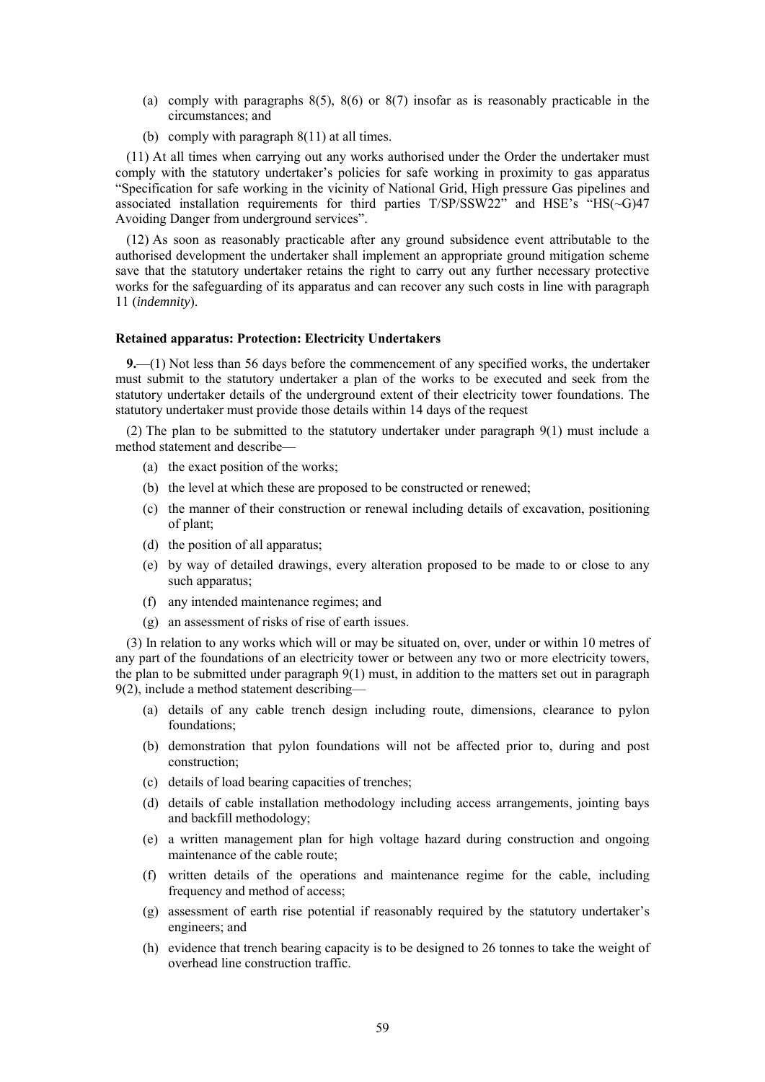- (a) comply with paragraphs 8(5), 8(6) or 8(7) insofar as is reasonably practicable in the circumstances; and
- (b) comply with paragraph 8(11) at all times.

(11) At all times when carrying out any works authorised under the Order the undertaker must comply with the statutory undertaker's policies for safe working in proximity to gas apparatus "Specification for safe working in the vicinity of National Grid, High pressure Gas pipelines and associated installation requirements for third parties T/SP/SSW22" and HSE's "HS(~G)47 Avoiding Danger from underground services".

(12) As soon as reasonably practicable after any ground subsidence event attributable to the authorised development the undertaker shall implement an appropriate ground mitigation scheme save that the statutory undertaker retains the right to carry out any further necessary protective works for the safeguarding of its apparatus and can recover any such costs in line with paragraph 11 (*indemnity*).

#### **Retained apparatus: Protection: Electricity Undertakers**

**9.**—(1) Not less than 56 days before the commencement of any specified works, the undertaker must submit to the statutory undertaker a plan of the works to be executed and seek from the statutory undertaker details of the underground extent of their electricity tower foundations. The statutory undertaker must provide those details within 14 days of the request

(2) The plan to be submitted to the statutory undertaker under paragraph 9(1) must include a method statement and describe—

- (a) the exact position of the works;
- (b) the level at which these are proposed to be constructed or renewed;
- (c) the manner of their construction or renewal including details of excavation, positioning of plant;
- (d) the position of all apparatus;
- (e) by way of detailed drawings, every alteration proposed to be made to or close to any such apparatus;
- (f) any intended maintenance regimes; and
- (g) an assessment of risks of rise of earth issues.

(3) In relation to any works which will or may be situated on, over, under or within 10 metres of any part of the foundations of an electricity tower or between any two or more electricity towers, the plan to be submitted under paragraph 9(1) must, in addition to the matters set out in paragraph 9(2), include a method statement describing—

- (a) details of any cable trench design including route, dimensions, clearance to pylon foundations;
- (b) demonstration that pylon foundations will not be affected prior to, during and post construction;
- (c) details of load bearing capacities of trenches;
- (d) details of cable installation methodology including access arrangements, jointing bays and backfill methodology;
- (e) a written management plan for high voltage hazard during construction and ongoing maintenance of the cable route;
- (f) written details of the operations and maintenance regime for the cable, including frequency and method of access;
- (g) assessment of earth rise potential if reasonably required by the statutory undertaker's engineers; and
- (h) evidence that trench bearing capacity is to be designed to 26 tonnes to take the weight of overhead line construction traffic.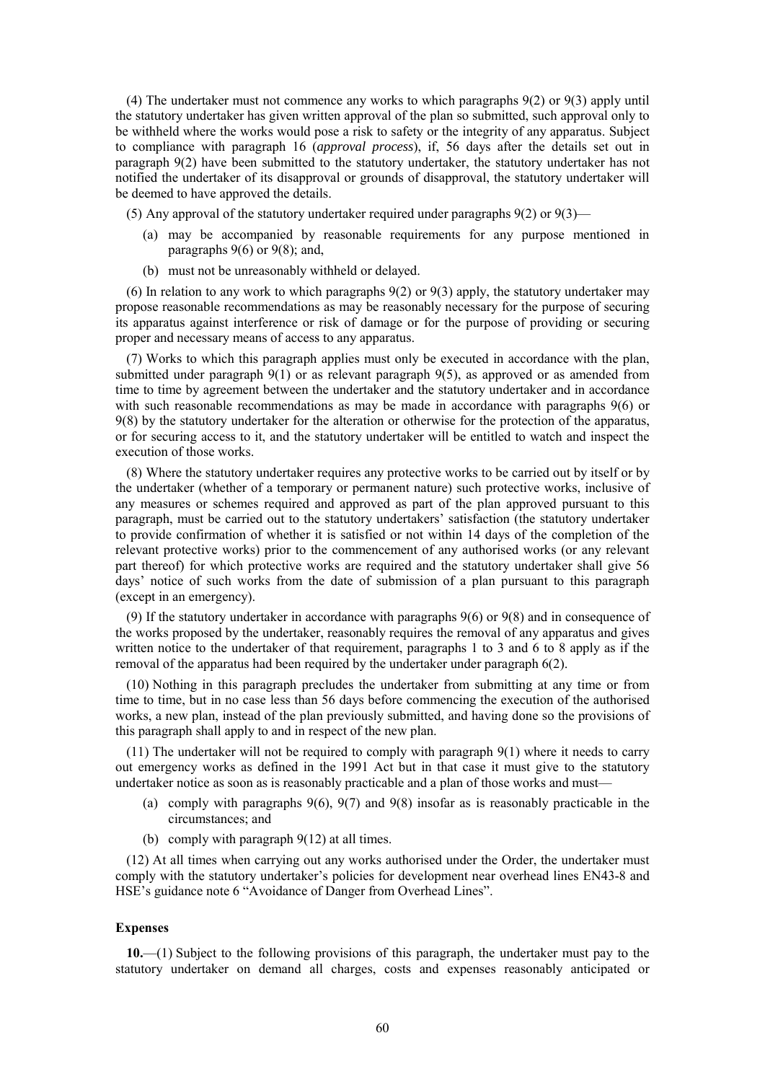(4) The undertaker must not commence any works to which paragraphs 9(2) or 9(3) apply until the statutory undertaker has given written approval of the plan so submitted, such approval only to be withheld where the works would pose a risk to safety or the integrity of any apparatus. Subject to compliance with paragraph 16 (*approval process*), if, 56 days after the details set out in paragraph 9(2) have been submitted to the statutory undertaker, the statutory undertaker has not notified the undertaker of its disapproval or grounds of disapproval, the statutory undertaker will be deemed to have approved the details.

(5) Any approval of the statutory undertaker required under paragraphs 9(2) or 9(3)—

- (a) may be accompanied by reasonable requirements for any purpose mentioned in paragraphs  $9(6)$  or  $9(8)$ ; and,
- (b) must not be unreasonably withheld or delayed.

(6) In relation to any work to which paragraphs 9(2) or 9(3) apply, the statutory undertaker may propose reasonable recommendations as may be reasonably necessary for the purpose of securing its apparatus against interference or risk of damage or for the purpose of providing or securing proper and necessary means of access to any apparatus.

(7) Works to which this paragraph applies must only be executed in accordance with the plan, submitted under paragraph 9(1) or as relevant paragraph 9(5), as approved or as amended from time to time by agreement between the undertaker and the statutory undertaker and in accordance with such reasonable recommendations as may be made in accordance with paragraphs 9(6) or 9(8) by the statutory undertaker for the alteration or otherwise for the protection of the apparatus, or for securing access to it, and the statutory undertaker will be entitled to watch and inspect the execution of those works.

(8) Where the statutory undertaker requires any protective works to be carried out by itself or by the undertaker (whether of a temporary or permanent nature) such protective works, inclusive of any measures or schemes required and approved as part of the plan approved pursuant to this paragraph, must be carried out to the statutory undertakers' satisfaction (the statutory undertaker to provide confirmation of whether it is satisfied or not within 14 days of the completion of the relevant protective works) prior to the commencement of any authorised works (or any relevant part thereof) for which protective works are required and the statutory undertaker shall give 56 days' notice of such works from the date of submission of a plan pursuant to this paragraph (except in an emergency).

(9) If the statutory undertaker in accordance with paragraphs 9(6) or 9(8) and in consequence of the works proposed by the undertaker, reasonably requires the removal of any apparatus and gives written notice to the undertaker of that requirement, paragraphs [1](#page-54-1) to [3](#page-55-2) and 6 to [8](#page-56-2) apply as if the removal of the apparatus had been required by the undertaker under paragrap[h 6\(2\).](#page-56-0)

(10) Nothing in this paragraph precludes the undertaker from submitting at any time or from time to time, but in no case less than 56 days before commencing the execution of the authorised works, a new plan, instead of the plan previously submitted, and having done so the provisions of this paragraph shall apply to and in respect of the new plan.

(11) The undertaker will not be required to comply with paragraph 9(1) where it needs to carry out emergency works as defined in the 1991 Act but in that case it must give to the statutory undertaker notice as soon as is reasonably practicable and a plan of those works and must—

- (a) comply with paragraphs 9(6), 9(7) and 9(8) insofar as is reasonably practicable in the circumstances; and
- (b) comply with paragraph 9(12) at all times.

(12) At all times when carrying out any works authorised under the Order, the undertaker must comply with the statutory undertaker's policies for development near overhead lines EN43-8 and HSE's guidance note 6 "Avoidance of Danger from Overhead Lines".

#### **Expenses**

**10.**—(1) Subject to the following provisions of this paragraph, the undertaker must pay to the statutory undertaker on demand all charges, costs and expenses reasonably anticipated or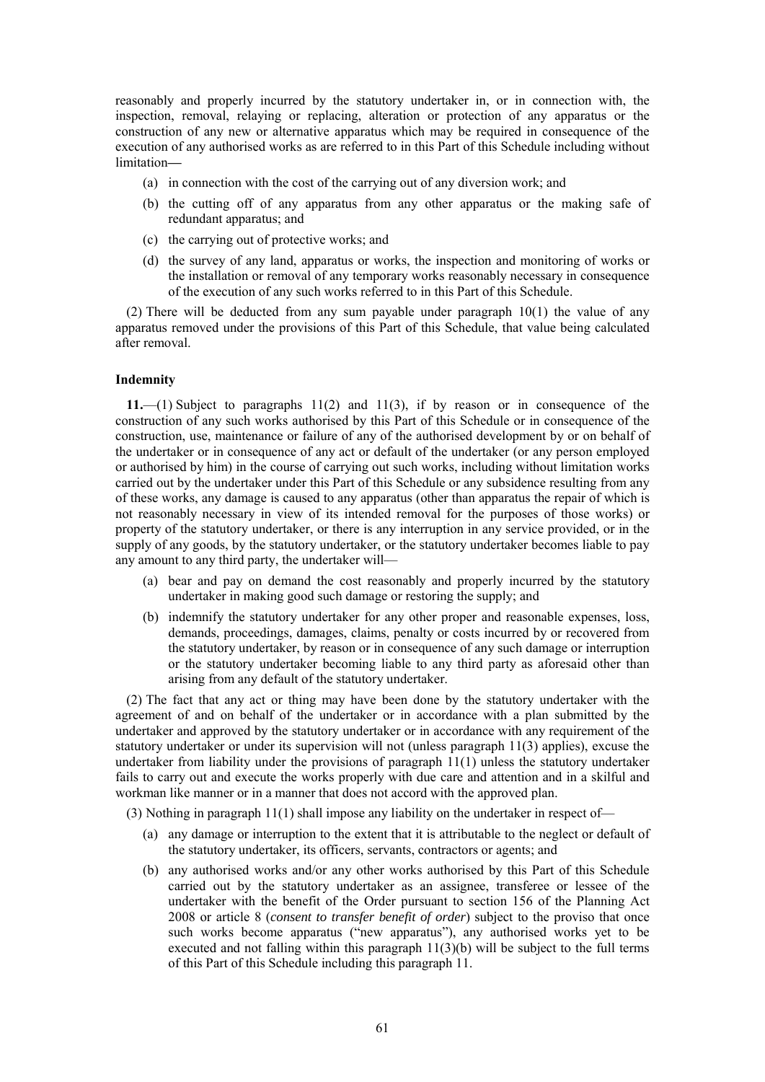reasonably and properly incurred by the statutory undertaker in, or in connection with, the inspection, removal, relaying or replacing, alteration or protection of any apparatus or the construction of any new or alternative apparatus which may be required in consequence of the execution of any authorised works as are referred to in this Part of this Schedule including without limitation**—**

- (a) in connection with the cost of the carrying out of any diversion work; and
- (b) the cutting off of any apparatus from any other apparatus or the making safe of redundant apparatus; and
- (c) the carrying out of protective works; and
- (d) the survey of any land, apparatus or works, the inspection and monitoring of works or the installation or removal of any temporary works reasonably necessary in consequence of the execution of any such works referred to in this Part of this Schedule.

(2) There will be deducted from any sum payable under paragraph 10(1) the value of any apparatus removed under the provisions of this Part of this Schedule, that value being calculated after removal.

#### **Indemnity**

<span id="page-60-0"></span>**11.**—(1) Subject to paragraphs 11(2) and 11(3), if by reason or in consequence of the construction of any such works authorised by this Part of this Schedule or in consequence of the construction, use, maintenance or failure of any of the authorised development by or on behalf of the undertaker or in consequence of any act or default of the undertaker (or any person employed or authorised by him) in the course of carrying out such works, including without limitation works carried out by the undertaker under this Part of this Schedule or any subsidence resulting from any of these works, any damage is caused to any apparatus (other than apparatus the repair of which is not reasonably necessary in view of its intended removal for the purposes of those works) or property of the statutory undertaker, or there is any interruption in any service provided, or in the supply of any goods, by the statutory undertaker, or the statutory undertaker becomes liable to pay any amount to any third party, the undertaker will—

- (a) bear and pay on demand the cost reasonably and properly incurred by the statutory undertaker in making good such damage or restoring the supply; and
- (b) indemnify the statutory undertaker for any other proper and reasonable expenses, loss, demands, proceedings, damages, claims, penalty or costs incurred by or recovered from the statutory undertaker, by reason or in consequence of any such damage or interruption or the statutory undertaker becoming liable to any third party as aforesaid other than arising from any default of the statutory undertaker.

(2) The fact that any act or thing may have been done by the statutory undertaker with the agreement of and on behalf of the undertaker or in accordance with a plan submitted by the undertaker and approved by the statutory undertaker or in accordance with any requirement of the statutory undertaker or under its supervision will not (unless paragraph 11(3) applies), excuse the undertaker from liability under the provisions of paragraph 11(1) unless the statutory undertaker fails to carry out and execute the works properly with due care and attention and in a skilful and workman like manner or in a manner that does not accord with the approved plan.

(3) Nothing in paragraph 11(1) shall impose any liability on the undertaker in respect of—

- (a) any damage or interruption to the extent that it is attributable to the neglect or default of the statutory undertaker, its officers, servants, contractors or agents; and
- (b) any authorised works and/or any other works authorised by this Part of this Schedule carried out by the statutory undertaker as an assignee, transferee or lessee of the undertaker with the benefit of the Order pursuant to section 156 of the Planning Act 2008 or article 8 (*consent to transfer benefit of order*) subject to the proviso that once such works become apparatus ("new apparatus"), any authorised works yet to be executed and not falling within this paragraph 11(3)(b) will be subject to the full terms of this Part of this Schedule including this paragrap[h 11.](#page-60-0)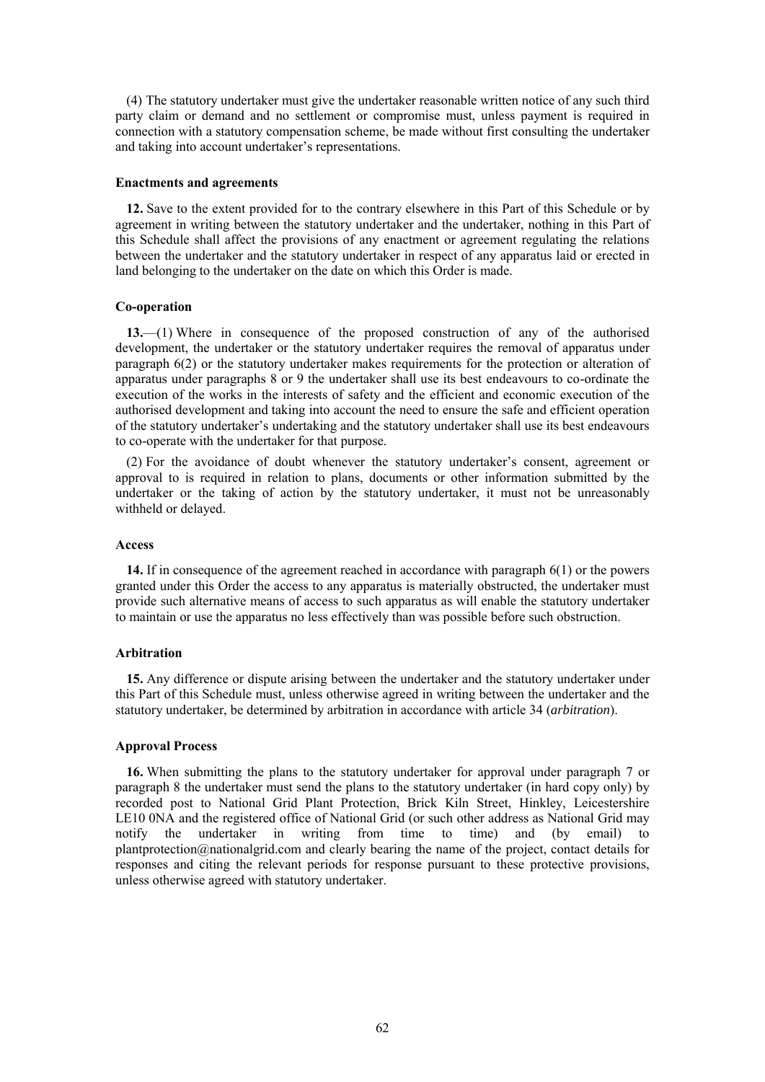(4) The statutory undertaker must give the undertaker reasonable written notice of any such third party claim or demand and no settlement or compromise must, unless payment is required in connection with a statutory compensation scheme, be made without first consulting the undertaker and taking into account undertaker's representations.

#### **Enactments and agreements**

**12.** Save to the extent provided for to the contrary elsewhere in this Part of this Schedule or by agreement in writing between the statutory undertaker and the undertaker, nothing in this Part of this Schedule shall affect the provisions of any enactment or agreement regulating the relations between the undertaker and the statutory undertaker in respect of any apparatus laid or erected in land belonging to the undertaker on the date on which this Order is made.

#### **Co-operation**

**13.**—(1) Where in consequence of the proposed construction of any of the authorised development, the undertaker or the statutory undertaker requires the removal of apparatus under paragraph [6\(2\)](#page-56-0) or the statutory undertaker makes requirements for the protection or alteration of apparatus under paragraphs 8 or 9 the undertaker shall use its best endeavours to co-ordinate the execution of the works in the interests of safety and the efficient and economic execution of the authorised development and taking into account the need to ensure the safe and efficient operation of the statutory undertaker's undertaking and the statutory undertaker shall use its best endeavours to co-operate with the undertaker for that purpose.

(2) For the avoidance of doubt whenever the statutory undertaker's consent, agreement or approval to is required in relation to plans, documents or other information submitted by the undertaker or the taking of action by the statutory undertaker, it must not be unreasonably withheld or delayed.

#### **Access**

**14.** If in consequence of the agreement reached in accordance with paragraph 6(1) or the powers granted under this Order the access to any apparatus is materially obstructed, the undertaker must provide such alternative means of access to such apparatus as will enable the statutory undertaker to maintain or use the apparatus no less effectively than was possible before such obstruction.

#### **Arbitration**

**15.** Any difference or dispute arising between the undertaker and the statutory undertaker under this Part of this Schedule must, unless otherwise agreed in writing between the undertaker and the statutory undertaker, be determined by arbitration in accordance with article 34 (*arbitration*).

#### **Approval Process**

**16.** When submitting the plans to the statutory undertaker for approval under paragraph 7 or paragraph 8 the undertaker must send the plans to the statutory undertaker (in hard copy only) by recorded post to National Grid Plant Protection, Brick Kiln Street, Hinkley, Leicestershire LE10 0NA and the registered office of National Grid (or such other address as National Grid may notify the undertaker in writing from time to time) and (by email) to [plantprotection@nationalgrid.com](mailto:plantprotection@nationalgrid.com) and clearly bearing the name of the project, contact details for responses and citing the relevant periods for response pursuant to these protective provisions, unless otherwise agreed with statutory undertaker.